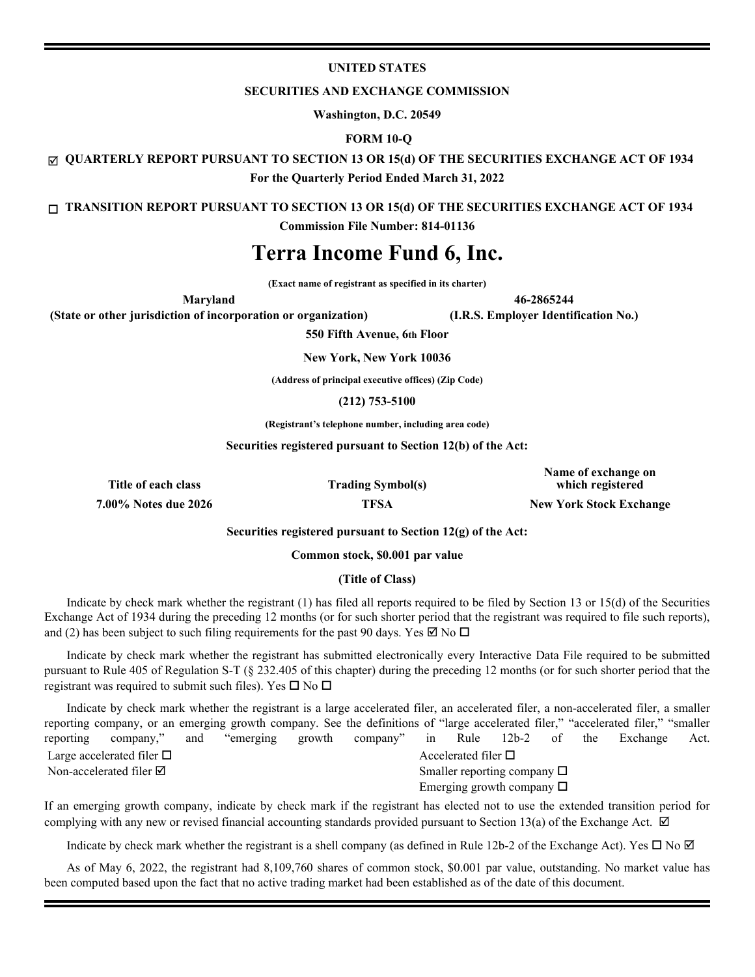## **UNITED STATES**

#### **SECURITIES AND EXCHANGE COMMISSION**

**Washington, D.C. 20549**

## **FORM 10-Q**

þ **QUARTERLY REPORT PURSUANT TO SECTION 13 OR 15(d) OF THE SECURITIES EXCHANGE ACT OF 1934**

**For the Quarterly Period Ended March 31, 2022**

o **TRANSITION REPORT PURSUANT TO SECTION 13 OR 15(d) OF THE SECURITIES EXCHANGE ACT OF 1934**

**Commission File Number: 814-01136**

# **Terra Income Fund 6, Inc.**

**(Exact name of registrant as specified in its charter)**

**(State or other jurisdiction of incorporation or organization) (I.R.S. Employer Identification No.)**

**Maryland 46-2865244**

**550 Fifth Avenue, 6th Floor**

**New York, New York 10036**

**(Address of principal executive offices) (Zip Code)**

**(212) 753-5100**

**(Registrant's telephone number, including area code)**

**Securities registered pursuant to Section 12(b) of the Act:** 

**Title of each class Trading Symbol(s)**

**Name of exchange on which registered**

**7.00% Notes due 2026 TFSA New York Stock Exchange**

**Securities registered pursuant to Section 12(g) of the Act:**

**Common stock, \$0.001 par value**

### **(Title of Class)**

 Indicate by check mark whether the registrant (1) has filed all reports required to be filed by Section 13 or 15(d) of the Securities Exchange Act of 1934 during the preceding 12 months (or for such shorter period that the registrant was required to file such reports), and (2) has been subject to such filing requirements for the past 90 days. Yes  $\boxtimes$  No  $\Box$ 

Indicate by check mark whether the registrant has submitted electronically every Interactive Data File required to be submitted pursuant to Rule 405 of Regulation S-T (§ 232.405 of this chapter) during the preceding 12 months (or for such shorter period that the registrant was required to submit such files). Yes  $\square$  No  $\square$ 

Indicate by check mark whether the registrant is a large accelerated filer, an accelerated filer, a non-accelerated filer, a smaller reporting company, or an emerging growth company. See the definitions of "large accelerated filer," "accelerated filer," "smaller reporting company," and "emerging growth company" in Rule 12b-2 of the Exchange Act. Large accelerated filer  $\Box$ Non-accelerated filer  $\boxtimes$  Smaller reporting company  $\Box$ Emerging growth company  $\Box$ 

If an emerging growth company, indicate by check mark if the registrant has elected not to use the extended transition period for complying with any new or revised financial accounting standards provided pursuant to Section 13(a) of the Exchange Act.  $\boxtimes$ 

Indicate by check mark whether the registrant is a shell company (as defined in Rule 12b-2 of the Exchange Act). Yes  $\Box$  No  $\Box$ 

As of May 6, 2022, the registrant had 8,109,760 shares of common stock, \$0.001 par value, outstanding. No market value has been computed based upon the fact that no active trading market had been established as of the date of this document.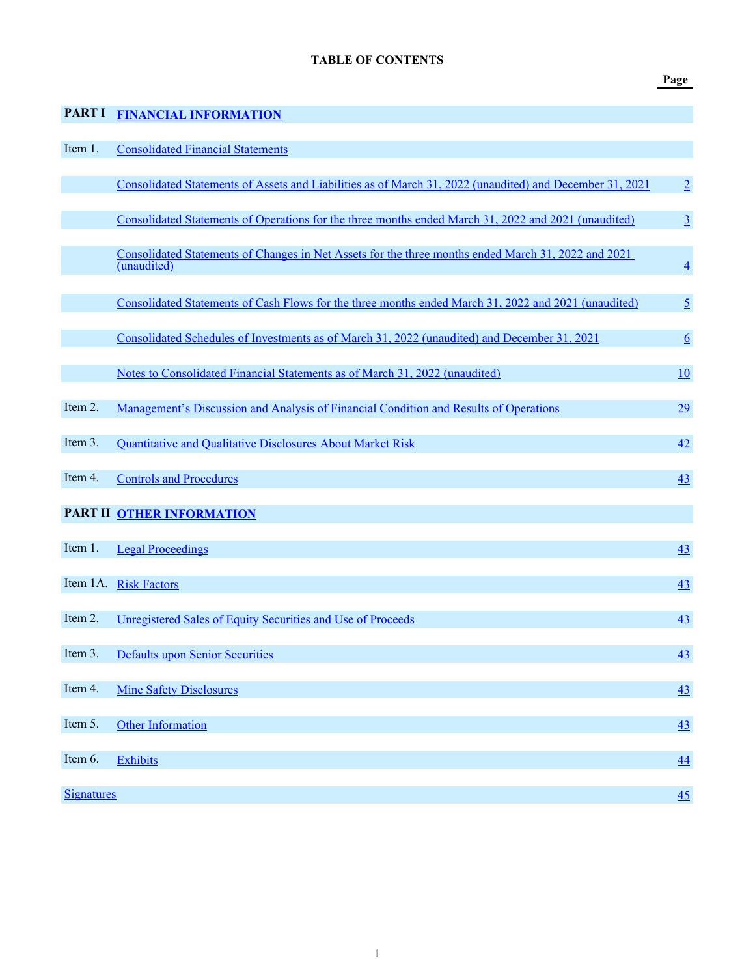## **Page**

<span id="page-1-0"></span>

| <b>PART I</b>     | <b>FINANCIAL INFORMATION</b>                                                                                       |                 |
|-------------------|--------------------------------------------------------------------------------------------------------------------|-----------------|
| Item 1.           | <b>Consolidated Financial Statements</b>                                                                           |                 |
|                   | Consolidated Statements of Assets and Liabilities as of March 31, 2022 (unaudited) and December 31, 2021           | $\overline{2}$  |
|                   | Consolidated Statements of Operations for the three months ended March 31, 2022 and 2021 (unaudited)               | $\underline{3}$ |
|                   | Consolidated Statements of Changes in Net Assets for the three months ended March 31, 2022 and 2021<br>(unaudited) | $\overline{4}$  |
|                   | Consolidated Statements of Cash Flows for the three months ended March 31, 2022 and 2021 (unaudited)               | $\overline{2}$  |
|                   | Consolidated Schedules of Investments as of March 31, 2022 (unaudited) and December 31, 2021                       | $\underline{6}$ |
|                   | Notes to Consolidated Financial Statements as of March 31, 2022 (unaudited)                                        | 10              |
| Item 2.           | Management's Discussion and Analysis of Financial Condition and Results of Operations                              | 29              |
| Item 3.           | Quantitative and Qualitative Disclosures About Market Risk                                                         | 42              |
| Item 4.           | <b>Controls and Procedures</b>                                                                                     | 43              |
|                   | PART II OTHER INFORMATION                                                                                          |                 |
| Item 1.           | <b>Legal Proceedings</b>                                                                                           | 43              |
|                   | Item 1A. Risk Factors                                                                                              | 43              |
| Item 2.           | Unregistered Sales of Equity Securities and Use of Proceeds                                                        | 43              |
| Item 3.           | <b>Defaults upon Senior Securities</b>                                                                             | 43              |
| Item 4.           | <b>Mine Safety Disclosures</b>                                                                                     | 43              |
| Item 5.           | Other Information                                                                                                  | 43              |
| Item 6.           | <b>Exhibits</b>                                                                                                    | 44              |
| <b>Signatures</b> |                                                                                                                    | 45              |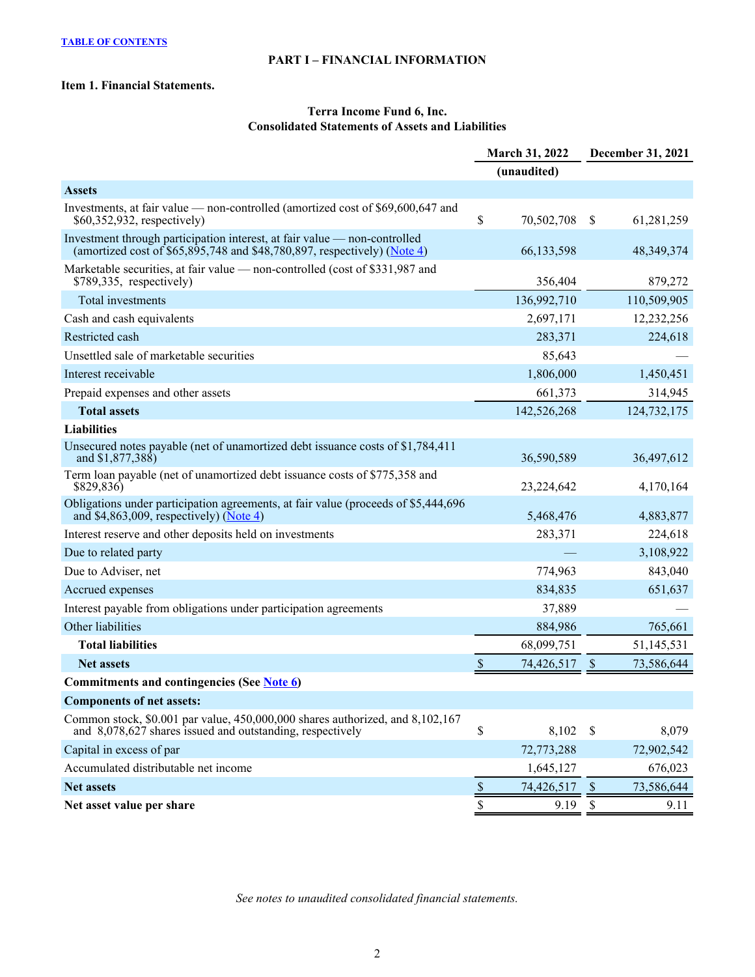## **PART I – FINANCIAL INFORMATION**

## <span id="page-2-0"></span>**Item 1. Financial Statements.**

## **Terra Income Fund 6, Inc. Consolidated Statements of Assets and Liabilities**

|                                                                                                                                                                    | <b>March 31, 2022</b>                   | December 31, 2021           |
|--------------------------------------------------------------------------------------------------------------------------------------------------------------------|-----------------------------------------|-----------------------------|
|                                                                                                                                                                    | (unaudited)                             |                             |
| <b>Assets</b>                                                                                                                                                      |                                         |                             |
| Investments, at fair value — non-controlled (amortized cost of \$69,600,647 and<br>\$60,352,932, respectively)                                                     | \$<br>70,502,708                        | 61,281,259<br>\$            |
| Investment through participation interest, at fair value — non-controlled<br>(amortized cost of \$65,895,748 and \$48,780,897, respectively) (Note $\frac{4}{3}$ ) | 66,133,598                              | 48, 349, 374                |
| Marketable securities, at fair value — non-controlled (cost of \$331,987 and<br>$$789,335$ , respectively)                                                         | 356,404                                 | 879,272                     |
| Total investments                                                                                                                                                  | 136,992,710                             | 110,509,905                 |
| Cash and cash equivalents                                                                                                                                          | 2,697,171                               | 12,232,256                  |
| Restricted cash                                                                                                                                                    | 283,371                                 | 224,618                     |
| Unsettled sale of marketable securities                                                                                                                            | 85,643                                  |                             |
| Interest receivable                                                                                                                                                | 1,806,000                               | 1,450,451                   |
| Prepaid expenses and other assets                                                                                                                                  | 661,373                                 | 314,945                     |
| <b>Total assets</b>                                                                                                                                                | 142,526,268                             | 124,732,175                 |
| <b>Liabilities</b>                                                                                                                                                 |                                         |                             |
| Unsecured notes payable (net of unamortized debt issuance costs of \$1,784,411<br>and \$1,877,388)                                                                 | 36,590,589                              | 36,497,612                  |
| Term loan payable (net of unamortized debt issuance costs of \$775,358 and<br>\$829,836)                                                                           | 23,224,642                              | 4,170,164                   |
| Obligations under participation agreements, at fair value (proceeds of \$5,444,696)<br>and \$4,863,009, respectively) ( $\overline{\text{Note 4}}$ )               | 5,468,476                               | 4,883,877                   |
| Interest reserve and other deposits held on investments                                                                                                            | 283,371                                 | 224,618                     |
| Due to related party                                                                                                                                               |                                         | 3,108,922                   |
| Due to Adviser, net                                                                                                                                                | 774,963                                 | 843,040                     |
| Accrued expenses                                                                                                                                                   | 834,835                                 | 651,637                     |
| Interest payable from obligations under participation agreements                                                                                                   | 37,889                                  |                             |
| Other liabilities                                                                                                                                                  | 884,986                                 | 765,661                     |
| <b>Total liabilities</b>                                                                                                                                           | 68,099,751                              | 51,145,531                  |
| <b>Net assets</b>                                                                                                                                                  | $\mathcal{S}$<br>74,426,517             | 73,586,644<br><sup>\$</sup> |
| Commitments and contingencies (See Note 6)                                                                                                                         |                                         |                             |
| <b>Components of net assets:</b>                                                                                                                                   |                                         |                             |
| Common stock, \$0.001 par value, 450,000,000 shares authorized, and 8,102,167<br>and 8,078,627 shares issued and outstanding, respectively                         | \$<br>8,102                             | 8,079<br>$\mathcal{S}$      |
| Capital in excess of par                                                                                                                                           | 72,773,288                              | 72,902,542                  |
| Accumulated distributable net income                                                                                                                               | 1,645,127                               | 676,023                     |
| <b>Net assets</b>                                                                                                                                                  | $\boldsymbol{\mathsf{S}}$<br>74,426,517 | 73,586,644<br>$\mathcal{S}$ |
| Net asset value per share                                                                                                                                          | \$<br>9.19                              | \$<br>9.11                  |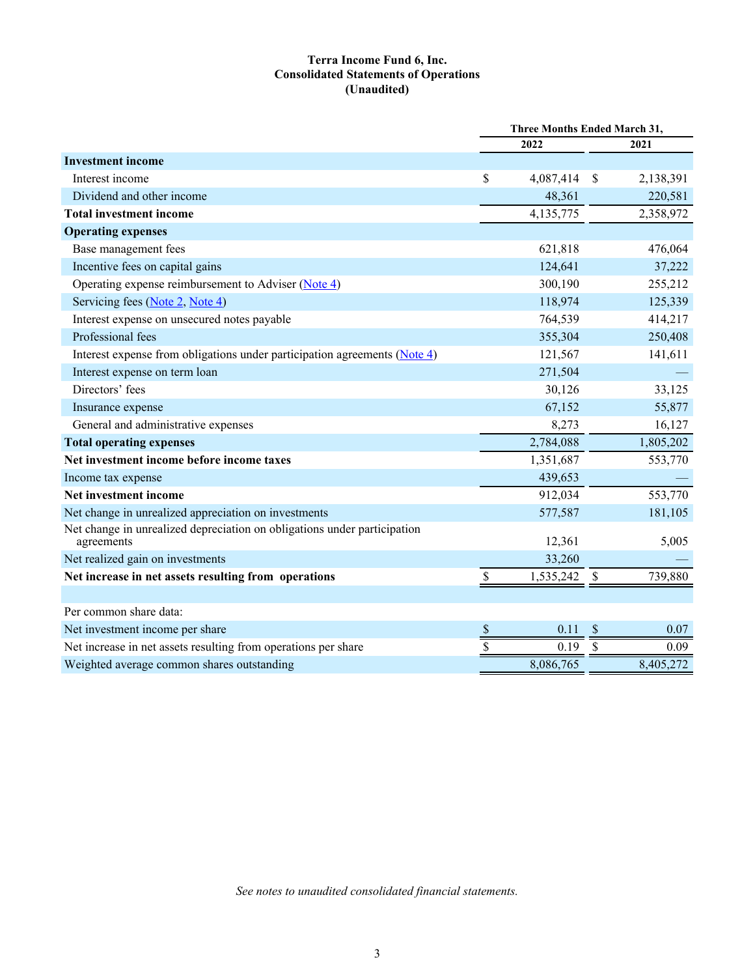## **Terra Income Fund 6, Inc. Consolidated Statements of Operations (Unaudited)**

<span id="page-3-0"></span>

|                                                                                        | <b>Three Months Ended March 31,</b> |           |                           |           |  |
|----------------------------------------------------------------------------------------|-------------------------------------|-----------|---------------------------|-----------|--|
|                                                                                        |                                     | 2022      |                           | 2021      |  |
| <b>Investment income</b>                                                               |                                     |           |                           |           |  |
| Interest income                                                                        | \$                                  | 4,087,414 | $\mathcal{S}$             | 2,138,391 |  |
| Dividend and other income                                                              |                                     | 48,361    |                           | 220,581   |  |
| <b>Total investment income</b>                                                         |                                     | 4,135,775 |                           | 2,358,972 |  |
| <b>Operating expenses</b>                                                              |                                     |           |                           |           |  |
| Base management fees                                                                   |                                     | 621,818   |                           | 476,064   |  |
| Incentive fees on capital gains                                                        |                                     | 124,641   |                           | 37,222    |  |
| Operating expense reimbursement to Adviser $(Note 4)$                                  |                                     | 300,190   |                           | 255,212   |  |
| Servicing fees (Note 2, Note 4)                                                        |                                     | 118,974   |                           | 125,339   |  |
| Interest expense on unsecured notes payable                                            |                                     | 764,539   |                           | 414,217   |  |
| Professional fees                                                                      |                                     | 355,304   |                           | 250,408   |  |
| Interest expense from obligations under participation agreements (Note 4)              |                                     | 121,567   |                           | 141,611   |  |
| Interest expense on term loan                                                          |                                     | 271,504   |                           |           |  |
| Directors' fees                                                                        |                                     | 30,126    |                           | 33,125    |  |
| Insurance expense                                                                      |                                     | 67,152    |                           | 55,877    |  |
| General and administrative expenses                                                    |                                     | 8,273     |                           | 16,127    |  |
| <b>Total operating expenses</b>                                                        |                                     | 2,784,088 |                           | 1,805,202 |  |
| Net investment income before income taxes                                              |                                     | 1,351,687 |                           | 553,770   |  |
| Income tax expense                                                                     |                                     | 439,653   |                           |           |  |
| Net investment income                                                                  |                                     | 912,034   |                           | 553,770   |  |
| Net change in unrealized appreciation on investments                                   |                                     | 577,587   |                           | 181,105   |  |
| Net change in unrealized depreciation on obligations under participation<br>agreements |                                     | 12,361    |                           | 5,005     |  |
| Net realized gain on investments                                                       |                                     | 33,260    |                           |           |  |
| Net increase in net assets resulting from operations                                   | \$                                  | 1,535,242 | $\boldsymbol{\mathsf{S}}$ | 739,880   |  |
|                                                                                        |                                     |           |                           |           |  |
| Per common share data:                                                                 |                                     |           |                           |           |  |
| Net investment income per share                                                        | $\frac{1}{2}$                       | 0.11      | $\boldsymbol{\mathsf{S}}$ | 0.07      |  |
| Net increase in net assets resulting from operations per share                         | \$                                  | 0.19      | $\boldsymbol{\mathsf{S}}$ | 0.09      |  |
| Weighted average common shares outstanding                                             |                                     | 8,086,765 |                           | 8,405,272 |  |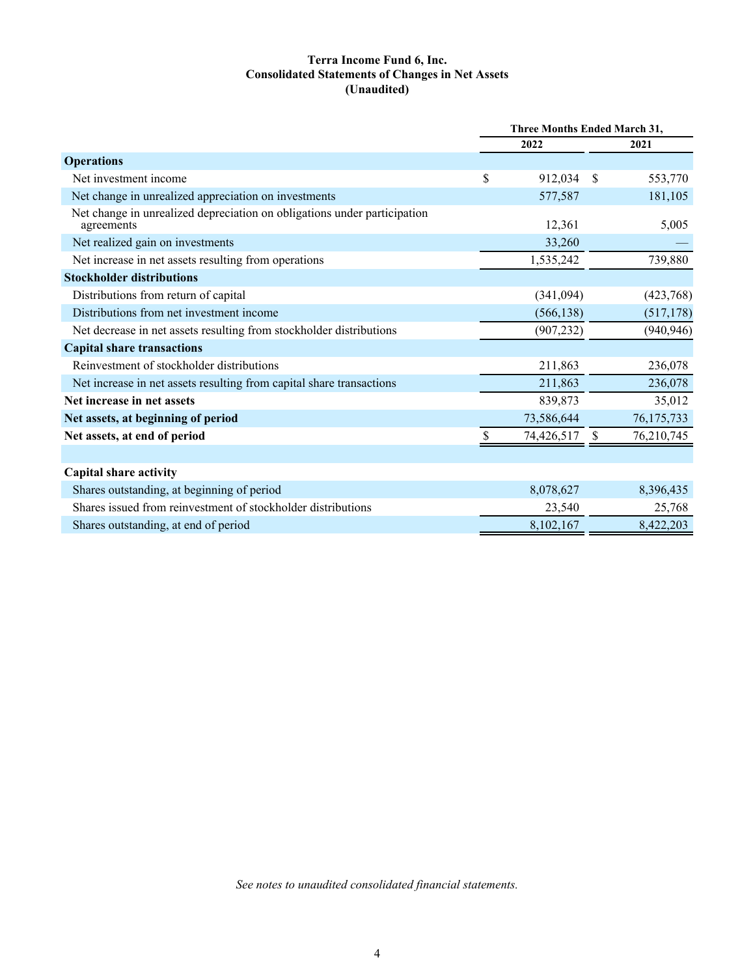## **Terra Income Fund 6, Inc. Consolidated Statements of Changes in Net Assets (Unaudited)**

<span id="page-4-0"></span>

|                                                                                        | Three Months Ended March 31, |            |              |              |
|----------------------------------------------------------------------------------------|------------------------------|------------|--------------|--------------|
|                                                                                        |                              | 2022       |              | 2021         |
| <b>Operations</b>                                                                      |                              |            |              |              |
| Net investment income                                                                  | \$                           | 912,034    | <sup>S</sup> | 553,770      |
| Net change in unrealized appreciation on investments                                   |                              | 577,587    |              | 181,105      |
| Net change in unrealized depreciation on obligations under participation<br>agreements |                              | 12,361     |              | 5,005        |
| Net realized gain on investments                                                       |                              | 33,260     |              |              |
| Net increase in net assets resulting from operations                                   |                              | 1,535,242  |              | 739,880      |
| <b>Stockholder distributions</b>                                                       |                              |            |              |              |
| Distributions from return of capital                                                   |                              | (341,094)  |              | (423,768)    |
| Distributions from net investment income                                               |                              | (566, 138) |              | (517, 178)   |
| Net decrease in net assets resulting from stockholder distributions                    |                              | (907, 232) |              | (940, 946)   |
| <b>Capital share transactions</b>                                                      |                              |            |              |              |
| Reinvestment of stockholder distributions                                              |                              | 211,863    |              | 236,078      |
| Net increase in net assets resulting from capital share transactions                   |                              | 211,863    |              | 236,078      |
| Net increase in net assets                                                             |                              | 839,873    |              | 35,012       |
| Net assets, at beginning of period                                                     |                              | 73,586,644 |              | 76, 175, 733 |
| Net assets, at end of period                                                           |                              | 74,426,517 |              | 76,210,745   |
|                                                                                        |                              |            |              |              |
| <b>Capital share activity</b>                                                          |                              |            |              |              |
| Shares outstanding, at beginning of period                                             |                              | 8,078,627  |              | 8,396,435    |
| Shares issued from reinvestment of stockholder distributions                           |                              | 23,540     |              | 25,768       |
| Shares outstanding, at end of period                                                   |                              | 8,102,167  |              | 8,422,203    |
|                                                                                        |                              |            |              |              |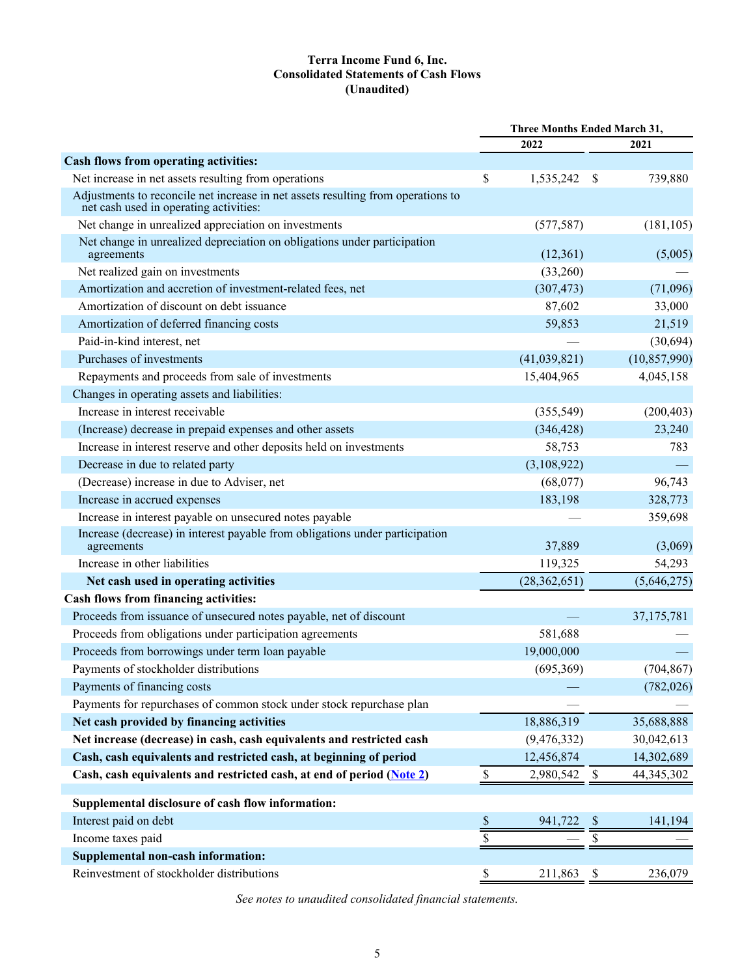## **Terra Income Fund 6, Inc. Consolidated Statements of Cash Flows (Unaudited)**

<span id="page-5-0"></span>

|                                                                                                                            | Three Months Ended March 31,      |                |                           |                |  |
|----------------------------------------------------------------------------------------------------------------------------|-----------------------------------|----------------|---------------------------|----------------|--|
|                                                                                                                            |                                   | 2022           |                           | 2021           |  |
| Cash flows from operating activities:                                                                                      |                                   |                |                           |                |  |
| Net increase in net assets resulting from operations                                                                       | \$                                | 1,535,242      | \$                        | 739,880        |  |
| Adjustments to reconcile net increase in net assets resulting from operations to<br>net cash used in operating activities: |                                   |                |                           |                |  |
| Net change in unrealized appreciation on investments                                                                       |                                   | (577, 587)     |                           | (181, 105)     |  |
| Net change in unrealized depreciation on obligations under participation<br>agreements                                     |                                   | (12,361)       |                           | (5,005)        |  |
| Net realized gain on investments                                                                                           |                                   | (33,260)       |                           |                |  |
| Amortization and accretion of investment-related fees, net                                                                 |                                   | (307, 473)     |                           | (71,096)       |  |
| Amortization of discount on debt issuance                                                                                  |                                   | 87,602         |                           | 33,000         |  |
| Amortization of deferred financing costs                                                                                   |                                   | 59,853         |                           | 21,519         |  |
| Paid-in-kind interest, net                                                                                                 |                                   |                |                           | (30,694)       |  |
| Purchases of investments                                                                                                   |                                   | (41,039,821)   |                           | (10, 857, 990) |  |
| Repayments and proceeds from sale of investments                                                                           |                                   | 15,404,965     |                           | 4,045,158      |  |
| Changes in operating assets and liabilities:                                                                               |                                   |                |                           |                |  |
| Increase in interest receivable                                                                                            |                                   | (355,549)      |                           | (200, 403)     |  |
| (Increase) decrease in prepaid expenses and other assets                                                                   |                                   | (346, 428)     |                           | 23,240         |  |
| Increase in interest reserve and other deposits held on investments                                                        |                                   | 58,753         |                           | 783            |  |
| Decrease in due to related party                                                                                           |                                   | (3,108,922)    |                           |                |  |
| (Decrease) increase in due to Adviser, net                                                                                 |                                   | (68,077)       |                           | 96,743         |  |
| Increase in accrued expenses                                                                                               |                                   | 183,198        |                           | 328,773        |  |
| Increase in interest payable on unsecured notes payable                                                                    |                                   |                |                           | 359,698        |  |
| Increase (decrease) in interest payable from obligations under participation<br>agreements                                 |                                   | 37,889         |                           | (3,069)        |  |
| Increase in other liabilities                                                                                              |                                   | 119,325        |                           | 54,293         |  |
| Net cash used in operating activities                                                                                      |                                   | (28, 362, 651) |                           | (5,646,275)    |  |
| Cash flows from financing activities:                                                                                      |                                   |                |                           |                |  |
| Proceeds from issuance of unsecured notes payable, net of discount                                                         |                                   |                |                           | 37, 175, 781   |  |
| Proceeds from obligations under participation agreements                                                                   |                                   | 581,688        |                           |                |  |
| Proceeds from borrowings under term loan payable                                                                           |                                   | 19,000,000     |                           |                |  |
| Payments of stockholder distributions                                                                                      |                                   | (695,369)      |                           | (704, 867)     |  |
| Payments of financing costs                                                                                                |                                   |                |                           | (782, 026)     |  |
| Payments for repurchases of common stock under stock repurchase plan                                                       |                                   |                |                           |                |  |
| Net cash provided by financing activities                                                                                  |                                   | 18,886,319     |                           | 35,688,888     |  |
| Net increase (decrease) in cash, cash equivalents and restricted cash                                                      |                                   | (9, 476, 332)  |                           | 30,042,613     |  |
| Cash, cash equivalents and restricted cash, at beginning of period                                                         |                                   | 12,456,874     |                           | 14,302,689     |  |
| Cash, cash equivalents and restricted cash, at end of period (Note 2)                                                      | $\mathbb{S}% _{t}\left( t\right)$ | 2,980,542      | \$                        | 44,345,302     |  |
| Supplemental disclosure of cash flow information:                                                                          |                                   |                |                           |                |  |
| Interest paid on debt                                                                                                      | $rac{S}{S}$                       | 941,722        |                           | 141,194        |  |
| Income taxes paid                                                                                                          |                                   |                | \$                        |                |  |
| <b>Supplemental non-cash information:</b>                                                                                  |                                   |                |                           |                |  |
| Reinvestment of stockholder distributions                                                                                  | \$                                | 211,863        | $\boldsymbol{\mathsf{S}}$ | 236,079        |  |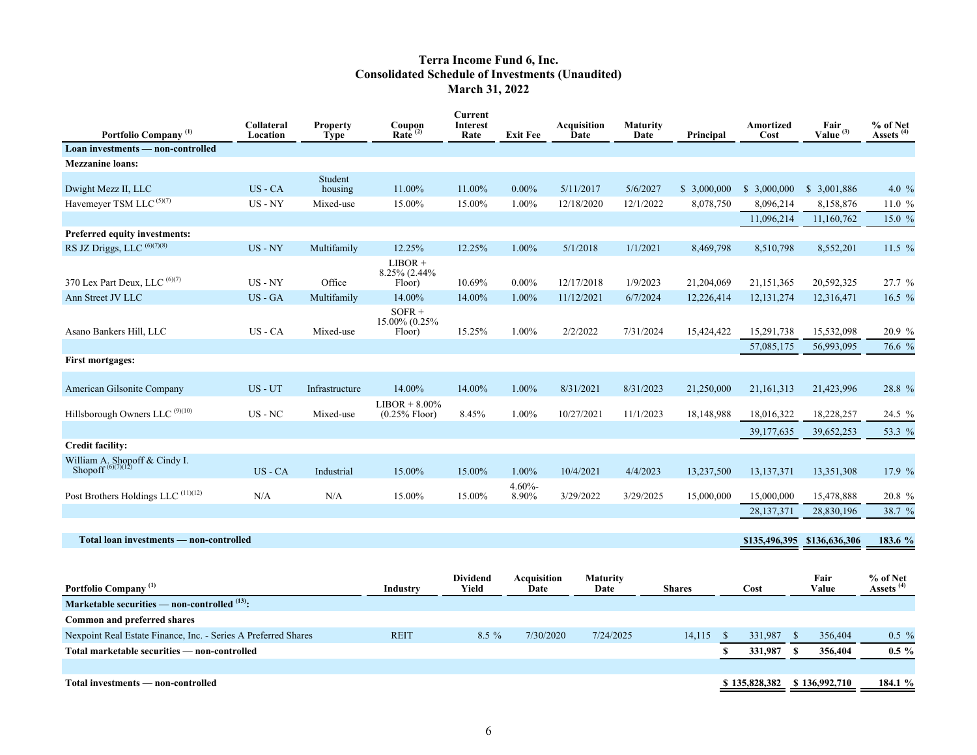## **Terra Income Fund 6, Inc. Consolidated Schedule of Investments (Unaudited) March 31, 2022**

<span id="page-6-0"></span>

| Portfolio Company <sup>(1)</sup>                               | Collateral<br>Location | <b>Property</b><br><b>Type</b> | Coupon<br>Rate <sup>(2)</sup>        | <b>Current</b><br>Interest<br>Rate | <b>Exit Fee</b>            | <b>Acquisition</b><br>Date | <b>Maturity</b><br>Date | Principal     | Amortized<br>Cost | Fair<br>Value $(3)$ | % of Net<br>Assets <sup>(4)</sup> |
|----------------------------------------------------------------|------------------------|--------------------------------|--------------------------------------|------------------------------------|----------------------------|----------------------------|-------------------------|---------------|-------------------|---------------------|-----------------------------------|
| Loan investments — non-controlled                              |                        |                                |                                      |                                    |                            |                            |                         |               |                   |                     |                                   |
| <b>Mezzanine loans:</b>                                        |                        |                                |                                      |                                    |                            |                            |                         |               |                   |                     |                                   |
| Dwight Mezz II, LLC                                            | $US - CA$              | Student<br>housing             | 11.00%                               | 11.00%                             | $0.00\%$                   | 5/11/2017                  | 5/6/2027                | \$3,000,000   | \$3,000,000       | \$ 3,001,886        | 4.0 $%$                           |
| Havemeyer TSM LLC <sup>(5)(7)</sup>                            | $US - NY$              | Mixed-use                      | 15.00%                               | 15.00%                             | 1.00%                      | 12/18/2020                 | 12/1/2022               | 8,078,750     | 8,096,214         | 8,158,876           | 11.0 %                            |
|                                                                |                        |                                |                                      |                                    |                            |                            |                         |               | 11,096,214        | 11,160,762          | 15.0 %                            |
| Preferred equity investments:                                  |                        |                                |                                      |                                    |                            |                            |                         |               |                   |                     |                                   |
| RS JZ Driggs, LLC (6)(7)(8)                                    | $US - NY$              | Multifamily                    | 12.25%                               | 12.25%                             | 1.00%                      | 5/1/2018                   | 1/1/2021                | 8,469,798     | 8,510,798         | 8,552,201           | 11.5 $%$                          |
|                                                                |                        |                                | $LIBOR +$<br>8.25% (2.44%            |                                    |                            |                            |                         |               |                   |                     |                                   |
| 370 Lex Part Deux, LLC (6)(7)                                  | $US - NY$              | Office                         | Floor)                               | 10.69%                             | $0.00\%$                   | 12/17/2018                 | 1/9/2023                | 21,204,069    | 21,151,365        | 20,592,325          | 27.7 %                            |
| Ann Street JV LLC                                              | US - GA                | Multifamily                    | 14.00%                               | 14.00%                             | 1.00%                      | 11/12/2021                 | 6/7/2024                | 12,226,414    | 12, 131, 274      | 12,316,471          | 16.5 $%$                          |
| Asano Bankers Hill, LLC                                        | US - CA                | Mixed-use                      | $SOFR +$<br>15.00% (0.25%)<br>Floor) | 15.25%                             | 1.00%                      | 2/2/2022                   | 7/31/2024               | 15,424,422    | 15,291,738        | 15,532,098          | 20.9 %                            |
|                                                                |                        |                                |                                      |                                    |                            |                            |                         |               | 57,085,175        | 56,993,095          | 76.6 %                            |
| <b>First mortgages:</b>                                        |                        |                                |                                      |                                    |                            |                            |                         |               |                   |                     |                                   |
| American Gilsonite Company                                     | $US - UT$              | Infrastructure                 | 14.00%                               | 14.00%                             | 1.00%                      | 8/31/2021                  | 8/31/2023               | 21,250,000    | 21, 161, 313      | 21,423,996          | 28.8 %                            |
| Hillsborough Owners LLC <sup>(9)(10)</sup>                     | $US$ - $NC$            | Mixed-use                      | $LIBOR + 8.00\%$<br>$(0.25\%$ Floor) | 8.45%                              | 1.00%                      | 10/27/2021                 | 11/1/2023               | 18,148,988    | 18,016,322        | 18,228,257          | 24.5 %                            |
|                                                                |                        |                                |                                      |                                    |                            |                            |                         |               | 39,177,635        | 39,652,253          | 53.3 %                            |
| <b>Credit facility:</b>                                        |                        |                                |                                      |                                    |                            |                            |                         |               |                   |                     |                                   |
| William A. Shopoff & Cindy I.<br>Shopoff <sup>(6)(7)(12)</sup> | $US - CA$              | Industrial                     | 15.00%                               | 15.00%                             | 1.00%                      | 10/4/2021                  | 4/4/2023                | 13,237,500    | 13,137,371        | 13,351,308          | 17.9 %                            |
| Post Brothers Holdings LLC <sup>(11)(12)</sup>                 | N/A                    | N/A                            | 15.00%                               | 15.00%                             | $4.60% -$<br>8.90%         | 3/29/2022                  | 3/29/2025               | 15,000,000    | 15,000,000        | 15,478,888          | 20.8 %                            |
|                                                                |                        |                                |                                      |                                    |                            |                            |                         |               | 28, 137, 371      | 28,830,196          | 38.7 %                            |
| Total loan investments - non-controlled                        |                        |                                |                                      |                                    |                            |                            |                         |               | \$135,496,395     | \$136,636,306       | 183.6 %                           |
|                                                                |                        |                                |                                      |                                    |                            |                            |                         |               |                   |                     |                                   |
| Portfolio Company <sup>(1)</sup>                               |                        |                                | Industry                             | <b>Dividend</b><br>Yield           | <b>Acquisition</b><br>Date | <b>Maturity</b><br>Date    |                         | <b>Shares</b> | Cost              | Fair<br>Value       | % of Net<br>Assets <sup>(4)</sup> |
| Marketable securities - non-controlled (13):                   |                        |                                |                                      |                                    |                            |                            |                         |               |                   |                     |                                   |

| Common and preferred shares                                    |             |         |           |           |        |                             |         |          |
|----------------------------------------------------------------|-------------|---------|-----------|-----------|--------|-----------------------------|---------|----------|
| Nexpoint Real Estate Finance, Inc. - Series A Preferred Shares | <b>REIT</b> | $8.5\%$ | 7/30/2020 | 7/24/2025 | 14.115 | 331.987                     | 356,404 | $0.5 \%$ |
| Total marketable securities — non-controlled                   |             |         |           |           |        | 331.987                     | 356.404 | $0.5\%$  |
|                                                                |             |         |           |           |        |                             |         |          |
| Total investments — non-controlled                             |             |         |           |           |        | \$135,828,382 \$136,992,710 |         | 184.1 %  |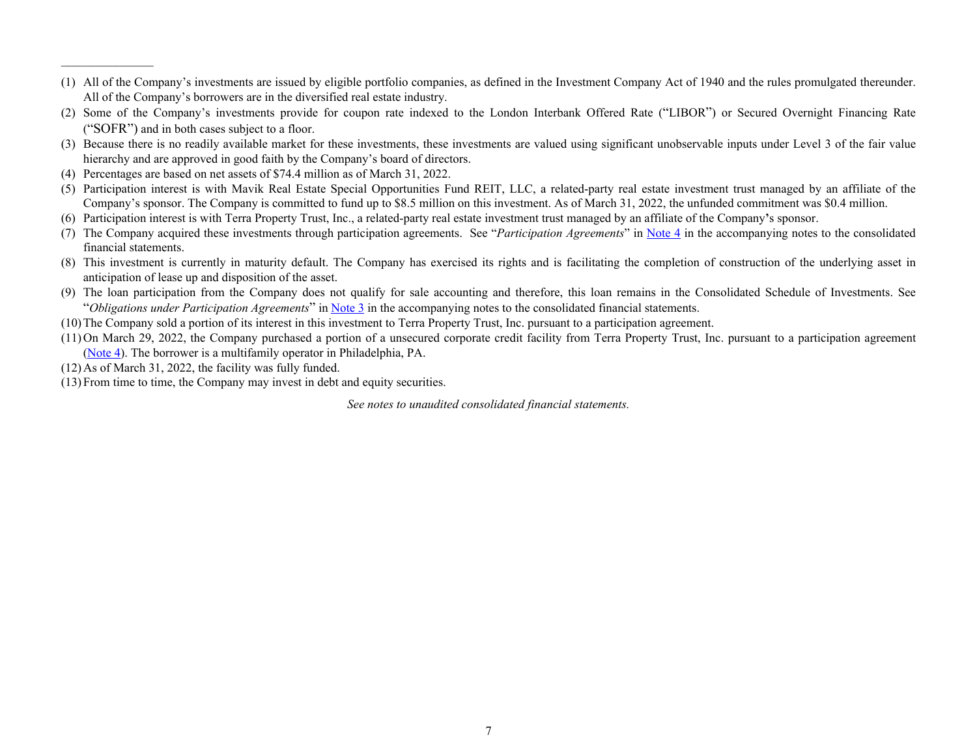- (1) All of the Company's investments are issued by eligible portfolio companies, as defined in the Investment Company Act of 1940 and the rules promulgated thereunder. All of the Company's borrowers are in the diversified real estate industry.
- (2) Some of the Company's investments provide for coupon rate indexed to the London Interbank Offered Rate ("LIBOR") or Secured Overnight Financing Rate ("SOFR") and in both cases subject to a floor.
- (3) Because there is no readily available market for these investments, these investments are valued using significant unobservable inputs under Level 3 of the fair value hierarchy and are approved in good faith by the Company's board of directors.
- (4) Percentages are based on net assets of \$74.4 million as of March 31, 2022.
- (5) Participation interest is with Mavik Real Estate Special Opportunities Fund REIT, LLC, a related-party real estate investment trust managed by an affiliate of the Company's sponsor. The Company is committed to fund up to \$8.5 million on this investment. As of March 31, 2022, the unfunded commitment was \$0.4 million.
- (6) Participation interest is with Terra Property Trust, Inc., a related-party real estate investment trust managed by an affiliate of the Company**'**s sponsor.
- (7) The Company acquired these investments through participation agreements. See "*Participation Agreements*" in [Note 4](#page-18-0) in the accompanying notes to the consolidated financial statements.
- (8) This investment is currently in maturity default. The Company has exercised its rights and is facilitating the completion of construction of the underlying asset in anticipation of lease up and disposition of the asset.
- (9) The loan participation from the Company does not qualify for sale accounting and therefore, this loan remains in the Consolidated Schedule of Investments. See "*Obligations under Participation Agreements*" in [Note 3](#page-14-0) in the accompanying notes to the consolidated financial statements.
- (10)The Company sold a portion of its interest in this investment to Terra Property Trust, Inc. pursuant to a participation agreement.
- (11)On March 29, 2022, the Company purchased a portion of a unsecured corporate credit facility from Terra Property Trust, Inc. pursuant to a participation agreement ([Note 4\)](#page-18-0). The borrower is a multifamily operator in Philadelphia, PA.
- (12)As of March 31, 2022, the facility was fully funded.

 $\mathcal{L}_\text{max}$  , where  $\mathcal{L}_\text{max}$ 

(13)From time to time, the Company may invest in debt and equity securities.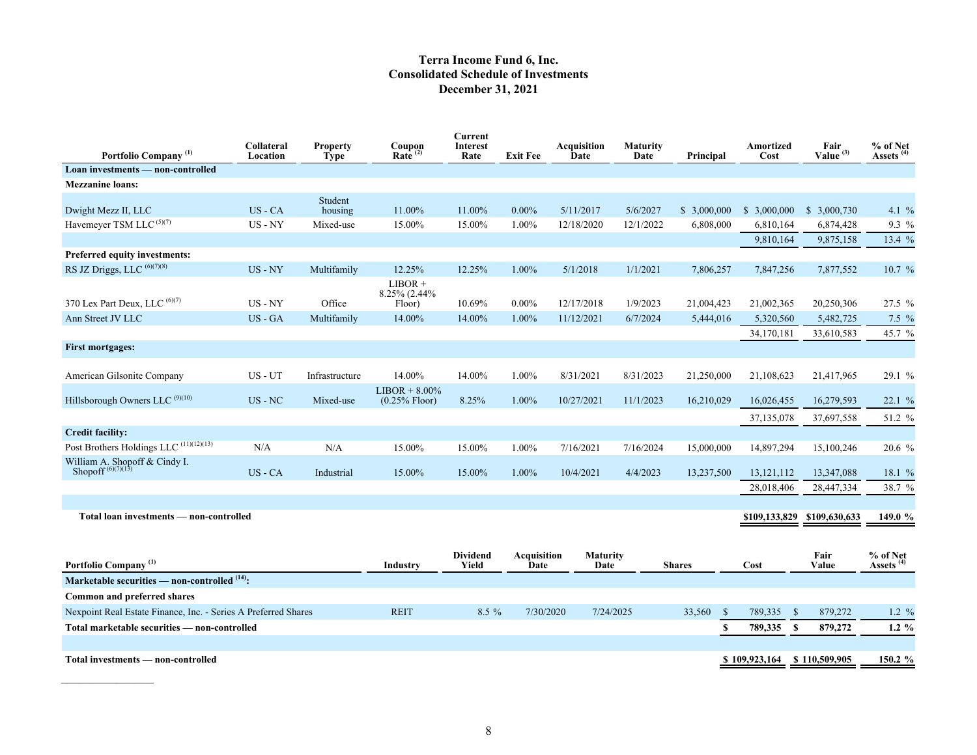## **Terra Income Fund 6, Inc. Consolidated Schedule of Investments December 31, 2021**

| Portfolio Company <sup>(1)</sup>                               | Collateral<br>Location | <b>Property</b><br><b>Type</b> | Coupon<br>Rate <sup>(2)</sup>        | <b>Current</b><br><b>Interest</b><br>Rate | <b>Exit Fee</b>            | Acquisition<br>Date     | <b>Maturity</b><br>Date | Principal              | Amortized<br>Cost | Fair<br>Value $(3)$      | $\frac{9}{6}$ of Net Assets <sup>(4)</sup> |
|----------------------------------------------------------------|------------------------|--------------------------------|--------------------------------------|-------------------------------------------|----------------------------|-------------------------|-------------------------|------------------------|-------------------|--------------------------|--------------------------------------------|
| Loan investments — non-controlled                              |                        |                                |                                      |                                           |                            |                         |                         |                        |                   |                          |                                            |
| <b>Mezzanine loans:</b>                                        |                        |                                |                                      |                                           |                            |                         |                         |                        |                   |                          |                                            |
| Dwight Mezz II, LLC                                            | $US - CA$              | Student<br>housing             | 11.00%                               | 11.00%                                    | $0.00\%$                   | 5/11/2017               | 5/6/2027                | \$3,000,000            | \$3,000,000       | \$ 3,000,730             | 4.1 $\%$                                   |
| Havemeyer TSM LLC <sup>(5)(7)</sup>                            | US - NY                | Mixed-use                      | 15.00%                               | 15.00%                                    | 1.00%                      | 12/18/2020              | 12/1/2022               | 6,808,000              | 6,810,164         | 6,874,428                | $9.3\%$                                    |
|                                                                |                        |                                |                                      |                                           |                            |                         |                         |                        | 9,810,164         | 9,875,158                | 13.4 %                                     |
| <b>Preferred equity investments:</b>                           |                        |                                |                                      |                                           |                            |                         |                         |                        |                   |                          |                                            |
| RS JZ Driggs, LLC (6)(7)(8)                                    | $US - NY$              | Multifamily                    | 12.25%                               | 12.25%                                    | 1.00%                      | 5/1/2018                | 1/1/2021                | 7,806,257              | 7,847,256         | 7,877,552                | 10.7%                                      |
| 370 Lex Part Deux, LLC (6)(7)                                  | $US - NY$              | Office                         | $LIBOR +$<br>8.25% (2.44%<br>Floor)  | 10.69%                                    | $0.00\%$                   | 12/17/2018              | 1/9/2023                | 21,004,423             | 21,002,365        | 20,250,306               | $27.5 \%$                                  |
| Ann Street JV LLC                                              | US - GA                | Multifamily                    | 14.00%                               | 14.00%                                    | 1.00%                      | 11/12/2021              | 6/7/2024                | 5,444,016              | 5,320,560         | 5,482,725                | $7.5\%$                                    |
|                                                                |                        |                                |                                      |                                           |                            |                         |                         |                        | 34,170,181        | 33,610,583               | 45.7 %                                     |
| <b>First mortgages:</b>                                        |                        |                                |                                      |                                           |                            |                         |                         |                        |                   |                          |                                            |
| American Gilsonite Company                                     | US-UT                  | Infrastructure                 | 14.00%                               | 14.00%                                    | 1.00%                      | 8/31/2021               | 8/31/2023               | 21,250,000             | 21,108,623        | 21,417,965               | 29.1 %                                     |
| Hillsborough Owners LLC <sup>(9)(10)</sup>                     | $US$ - $NC$            | Mixed-use                      | $LIBOR + 8.00\%$<br>$(0.25\%$ Floor) | 8.25%                                     | $1.00\%$                   | 10/27/2021              | 11/1/2023               | 16,210,029             | 16,026,455        | 16,279,593               | 22.1%                                      |
|                                                                |                        |                                |                                      |                                           |                            |                         |                         |                        | 37,135,078        | 37,697,558               | 51.2 %                                     |
| <b>Credit facility:</b>                                        |                        |                                |                                      |                                           |                            |                         |                         |                        |                   |                          |                                            |
| Post Brothers Holdings LLC <sup>(11)(12)(13)</sup>             | N/A                    | N/A                            | 15.00%                               | 15.00%                                    | 1.00%                      | 7/16/2021               | 7/16/2024               | 15,000,000             | 14,897,294        | 15,100,246               | 20.6%                                      |
| William A. Shopoff & Cindy I.<br>Shopoff $^{(6)(7)(13)}$       | US-CA                  | Industrial                     | 15.00%                               | 15.00%                                    | 1.00%                      | 10/4/2021               | 4/4/2023                | 13,237,500             | 13, 121, 112      | 13,347,088               | 18.1%                                      |
|                                                                |                        |                                |                                      |                                           |                            |                         |                         |                        | 28,018,406        | 28,447,334               | 38.7 %                                     |
| Total loan investments — non-controlled                        |                        |                                |                                      |                                           |                            |                         |                         |                        | \$109,133,829     | \$109,630,633            | 149.0 %                                    |
|                                                                |                        |                                |                                      |                                           |                            |                         |                         |                        |                   |                          |                                            |
| Portfolio Company <sup>(1)</sup>                               |                        |                                | <b>Industry</b>                      | <b>Dividend</b><br>Yield                  | <b>Acquisition</b><br>Date | <b>Maturity</b><br>Date |                         | <b>Shares</b>          | Cost              | Fair<br>Value            | % of Net<br>Assets <sup>(4)</sup>          |
| Marketable securities - non-controlled (14):                   |                        |                                |                                      |                                           |                            |                         |                         |                        |                   |                          |                                            |
| Common and preferred shares                                    |                        |                                |                                      |                                           |                            |                         |                         |                        |                   |                          |                                            |
| Nexpoint Real Estate Finance, Inc. - Series A Preferred Shares |                        |                                | <b>REIT</b>                          | 8.5 %                                     | 7/30/2020                  |                         | 7/24/2025               | 33,560<br>$\mathbb{S}$ | 789,335           | 879,272<br>- \$          | $1.2 \%$                                   |
| Total marketable securities — non-controlled                   |                        |                                |                                      |                                           |                            |                         |                         | $\mathbf{s}$           | 789,335           | <sup>\$</sup><br>879,272 | $1.2\%$                                    |
| Total investments — non-controlled                             |                        |                                |                                      |                                           |                            |                         |                         |                        | \$109,923,164     | \$110,509,905            | 150.2 %                                    |
|                                                                |                        |                                |                                      |                                           |                            |                         |                         |                        |                   |                          |                                            |

 $\mathcal{L}_\text{max}$  and  $\mathcal{L}_\text{max}$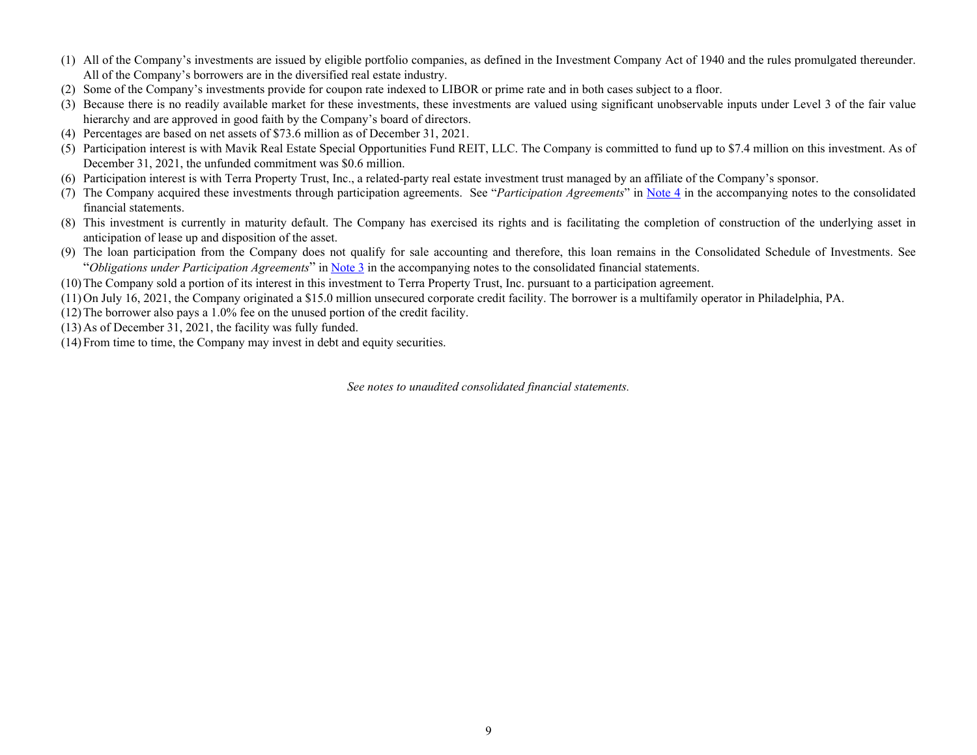- (1) All of the Company's investments are issued by eligible portfolio companies, as defined in the Investment Company Act of 1940 and the rules promulgated thereunder. All of the Company's borrowers are in the diversified real estate industry.
- (2) Some of the Company's investments provide for coupon rate indexed to LIBOR or prime rate and in both cases subject to a floor.
- (3) Because there is no readily available market for these investments, these investments are valued using significant unobservable inputs under Level 3 of the fair value hierarchy and are approved in good faith by the Company's board of directors.
- (4) Percentages are based on net assets of \$73.6 million as of December 31, 2021.
- (5) Participation interest is with Mavik Real Estate Special Opportunities Fund REIT, LLC. The Company is committed to fund up to \$7.4 million on this investment. As of December 31, 2021, the unfunded commitment was \$0.6 million.
- (6) Participation interest is with Terra Property Trust, Inc., a related-party real estate investment trust managed by an affiliate of the Company's sponsor.
- (7) The Company acquired these investments through participation agreements. See "*Participation Agreements*" in [Note 4](#page-18-0) in the accompanying notes to the consolidated financial statements.
- (8) This investment is currently in maturity default. The Company has exercised its rights and is facilitating the completion of construction of the underlying asset in anticipation of lease up and disposition of the asset.
- (9) The loan participation from the Company does not qualify for sale accounting and therefore, this loan remains in the Consolidated Schedule of Investments. See "*Obligations under Participation Agreements*" in [Note 3](#page-14-0) in the accompanying notes to the consolidated financial statements.
- (10)The Company sold a portion of its interest in this investment to Terra Property Trust, Inc. pursuant to a participation agreement.
- (11)On July 16, 2021, the Company originated a \$15.0 million unsecured corporate credit facility. The borrower is a multifamily operator in Philadelphia, PA.
- (12)The borrower also pays a 1.0% fee on the unused portion of the credit facility.
- (13)As of December 31, 2021, the facility was fully funded.
- (14)From time to time, the Company may invest in debt and equity securities.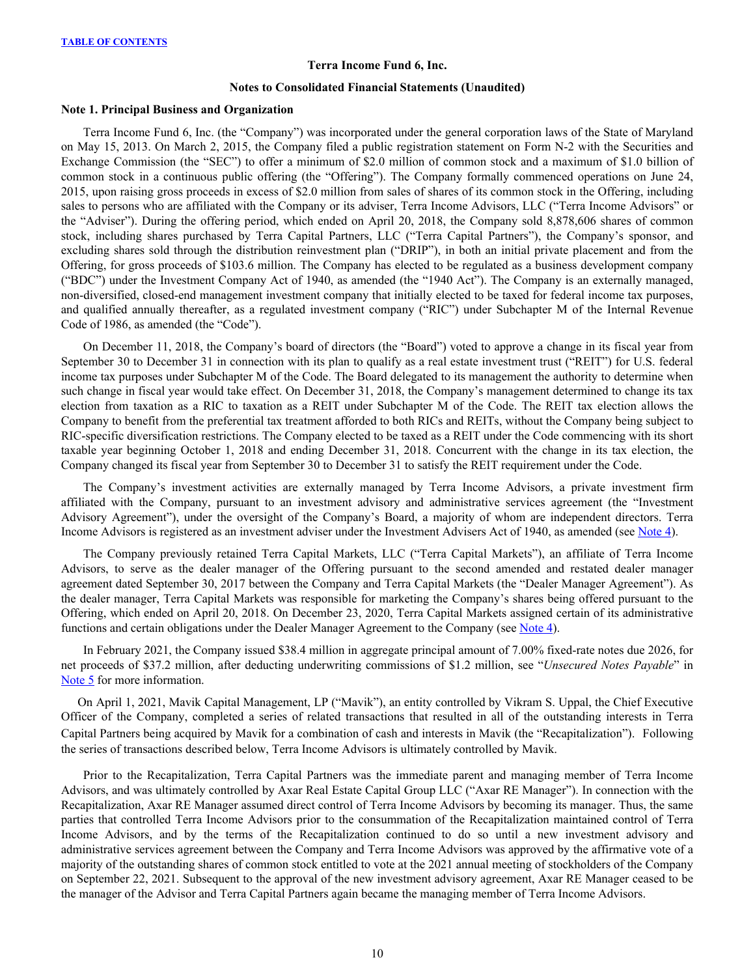#### **Terra Income Fund 6, Inc.**

#### **Notes to Consolidated Financial Statements (Unaudited)**

#### <span id="page-10-0"></span>**Note 1. Principal Business and Organization**

Terra Income Fund 6, Inc. (the "Company") was incorporated under the general corporation laws of the State of Maryland on May 15, 2013. On March 2, 2015, the Company filed a public registration statement on Form N-2 with the Securities and Exchange Commission (the "SEC") to offer a minimum of \$2.0 million of common stock and a maximum of \$1.0 billion of common stock in a continuous public offering (the "Offering"). The Company formally commenced operations on June 24, 2015, upon raising gross proceeds in excess of \$2.0 million from sales of shares of its common stock in the Offering, including sales to persons who are affiliated with the Company or its adviser, Terra Income Advisors, LLC ("Terra Income Advisors" or the "Adviser"). During the offering period, which ended on April 20, 2018, the Company sold 8,878,606 shares of common stock, including shares purchased by Terra Capital Partners, LLC ("Terra Capital Partners"), the Company's sponsor, and excluding shares sold through the distribution reinvestment plan ("DRIP"), in both an initial private placement and from the Offering, for gross proceeds of \$103.6 million. The Company has elected to be regulated as a business development company ("BDC") under the Investment Company Act of 1940, as amended (the "1940 Act"). The Company is an externally managed, non-diversified, closed-end management investment company that initially elected to be taxed for federal income tax purposes, and qualified annually thereafter, as a regulated investment company ("RIC") under Subchapter M of the Internal Revenue Code of 1986, as amended (the "Code").

On December 11, 2018, the Company's board of directors (the "Board") voted to approve a change in its fiscal year from September 30 to December 31 in connection with its plan to qualify as a real estate investment trust ("REIT") for U.S. federal income tax purposes under Subchapter M of the Code. The Board delegated to its management the authority to determine when such change in fiscal year would take effect. On December 31, 2018, the Company's management determined to change its tax election from taxation as a RIC to taxation as a REIT under Subchapter M of the Code. The REIT tax election allows the Company to benefit from the preferential tax treatment afforded to both RICs and REITs, without the Company being subject to RIC-specific diversification restrictions. The Company elected to be taxed as a REIT under the Code commencing with its short taxable year beginning October 1, 2018 and ending December 31, 2018. Concurrent with the change in its tax election, the Company changed its fiscal year from September 30 to December 31 to satisfy the REIT requirement under the Code.

The Company's investment activities are externally managed by Terra Income Advisors, a private investment firm affiliated with the Company, pursuant to an investment advisory and administrative services agreement (the "Investment Advisory Agreement"), under the oversight of the Company's Board, a majority of whom are independent directors. Terra Income Advisors is registered as an investment adviser under the Investment Advisers Act of 1940, as amended (see [Note 4\)](#page-18-0).

The Company previously retained Terra Capital Markets, LLC ("Terra Capital Markets"), an affiliate of Terra Income Advisors, to serve as the dealer manager of the Offering pursuant to the second amended and restated dealer manager agreement dated September 30, 2017 between the Company and Terra Capital Markets (the "Dealer Manager Agreement"). As the dealer manager, Terra Capital Markets was responsible for marketing the Company's shares being offered pursuant to the Offering, which ended on April 20, 2018. On December 23, 2020, Terra Capital Markets assigned certain of its administrative functions and certain obligations under the Dealer Manager Agreement to the Company (see [Note 4](#page-18-0)).

In February 2021, the Company issued \$38.4 million in aggregate principal amount of 7.00% fixed-rate notes due 2026, for net proceeds of \$37.2 million, after deducting underwriting commissions of \$1.2 million, see "*Unsecured Notes Payable*" in [Note 5](#page-22-0) for more information.

On April 1, 2021, Mavik Capital Management, LP ("Mavik"), an entity controlled by Vikram S. Uppal, the Chief Executive Officer of the Company, completed a series of related transactions that resulted in all of the outstanding interests in Terra Capital Partners being acquired by Mavik for a combination of cash and interests in Mavik (the "Recapitalization"). Following the series of transactions described below, Terra Income Advisors is ultimately controlled by Mavik.

Prior to the Recapitalization, Terra Capital Partners was the immediate parent and managing member of Terra Income Advisors, and was ultimately controlled by Axar Real Estate Capital Group LLC ("Axar RE Manager"). In connection with the Recapitalization, Axar RE Manager assumed direct control of Terra Income Advisors by becoming its manager. Thus, the same parties that controlled Terra Income Advisors prior to the consummation of the Recapitalization maintained control of Terra Income Advisors, and by the terms of the Recapitalization continued to do so until a new investment advisory and administrative services agreement between the Company and Terra Income Advisors was approved by the affirmative vote of a majority of the outstanding shares of common stock entitled to vote at the 2021 annual meeting of stockholders of the Company on September 22, 2021. Subsequent to the approval of the new investment advisory agreement, Axar RE Manager ceased to be the manager of the Advisor and Terra Capital Partners again became the managing member of Terra Income Advisors.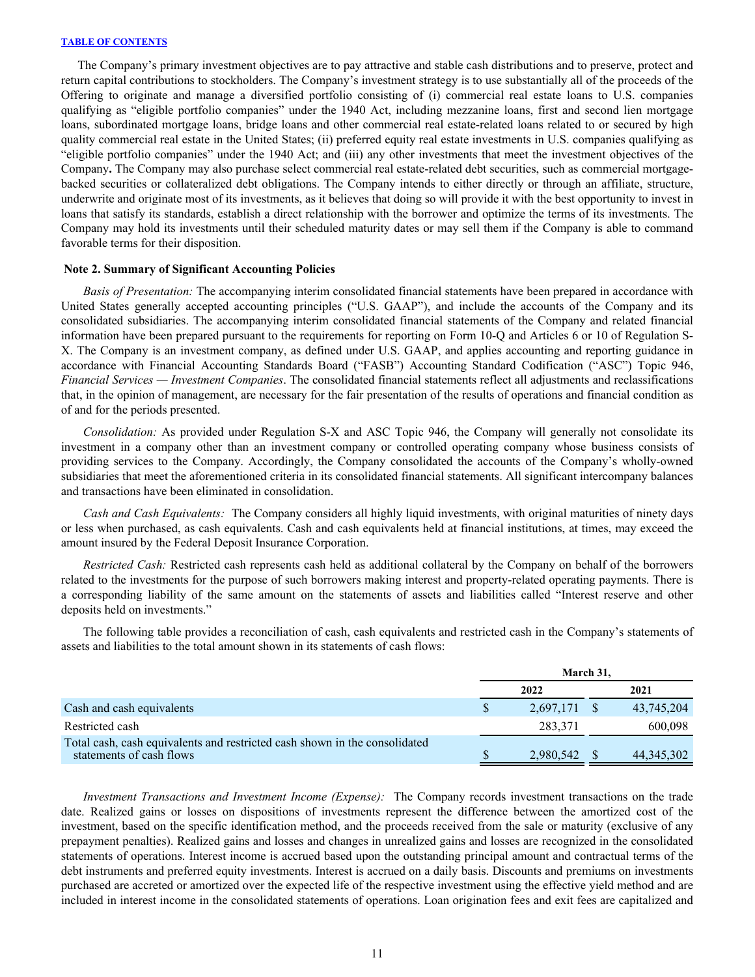<span id="page-11-0"></span>The Company's primary investment objectives are to pay attractive and stable cash distributions and to preserve, protect and return capital contributions to stockholders. The Company's investment strategy is to use substantially all of the proceeds of the Offering to originate and manage a diversified portfolio consisting of (i) commercial real estate loans to U.S. companies qualifying as "eligible portfolio companies" under the 1940 Act, including mezzanine loans, first and second lien mortgage loans, subordinated mortgage loans, bridge loans and other commercial real estate-related loans related to or secured by high quality commercial real estate in the United States; (ii) preferred equity real estate investments in U.S. companies qualifying as "eligible portfolio companies" under the 1940 Act; and (iii) any other investments that meet the investment objectives of the Company**.** The Company may also purchase select commercial real estate-related debt securities, such as commercial mortgagebacked securities or collateralized debt obligations. The Company intends to either directly or through an affiliate, structure, underwrite and originate most of its investments, as it believes that doing so will provide it with the best opportunity to invest in loans that satisfy its standards, establish a direct relationship with the borrower and optimize the terms of its investments. The Company may hold its investments until their scheduled maturity dates or may sell them if the Company is able to command favorable terms for their disposition.

#### **Note 2. Summary of Significant Accounting Policies**

*Basis of Presentation:* The accompanying interim consolidated financial statements have been prepared in accordance with United States generally accepted accounting principles ("U.S. GAAP"), and include the accounts of the Company and its consolidated subsidiaries. The accompanying interim consolidated financial statements of the Company and related financial information have been prepared pursuant to the requirements for reporting on Form 10-Q and Articles 6 or 10 of Regulation S-X. The Company is an investment company, as defined under U.S. GAAP, and applies accounting and reporting guidance in accordance with Financial Accounting Standards Board ("FASB") Accounting Standard Codification ("ASC") Topic 946, *Financial Services — Investment Companies*. The consolidated financial statements reflect all adjustments and reclassifications that, in the opinion of management, are necessary for the fair presentation of the results of operations and financial condition as of and for the periods presented.

*Consolidation:* As provided under Regulation S-X and ASC Topic 946, the Company will generally not consolidate its investment in a company other than an investment company or controlled operating company whose business consists of providing services to the Company. Accordingly, the Company consolidated the accounts of the Company's wholly-owned subsidiaries that meet the aforementioned criteria in its consolidated financial statements. All significant intercompany balances and transactions have been eliminated in consolidation.

*Cash and Cash Equivalents:* The Company considers all highly liquid investments, with original maturities of ninety days or less when purchased, as cash equivalents. Cash and cash equivalents held at financial institutions, at times, may exceed the amount insured by the Federal Deposit Insurance Corporation.

*Restricted Cash:* Restricted cash represents cash held as additional collateral by the Company on behalf of the borrowers related to the investments for the purpose of such borrowers making interest and property-related operating payments. There is a corresponding liability of the same amount on the statements of assets and liabilities called "Interest reserve and other deposits held on investments."

 The following table provides a reconciliation of cash, cash equivalents and restricted cash in the Company's statements of assets and liabilities to the total amount shown in its statements of cash flows:

|                                                                                                        |      | March 31.    |  |              |  |
|--------------------------------------------------------------------------------------------------------|------|--------------|--|--------------|--|
|                                                                                                        | 2022 |              |  | 2021         |  |
| Cash and cash equivalents                                                                              |      | 2,697,171 \$ |  | 43,745,204   |  |
| Restricted cash                                                                                        |      | 283.371      |  | 600.098      |  |
| Total cash, cash equivalents and restricted cash shown in the consolidated<br>statements of cash flows |      | 2,980,542    |  | 44, 345, 302 |  |

*Investment Transactions and Investment Income (Expense):* The Company records investment transactions on the trade date. Realized gains or losses on dispositions of investments represent the difference between the amortized cost of the investment, based on the specific identification method, and the proceeds received from the sale or maturity (exclusive of any prepayment penalties). Realized gains and losses and changes in unrealized gains and losses are recognized in the consolidated statements of operations. Interest income is accrued based upon the outstanding principal amount and contractual terms of the debt instruments and preferred equity investments. Interest is accrued on a daily basis. Discounts and premiums on investments purchased are accreted or amortized over the expected life of the respective investment using the effective yield method and are included in interest income in the consolidated statements of operations. Loan origination fees and exit fees are capitalized and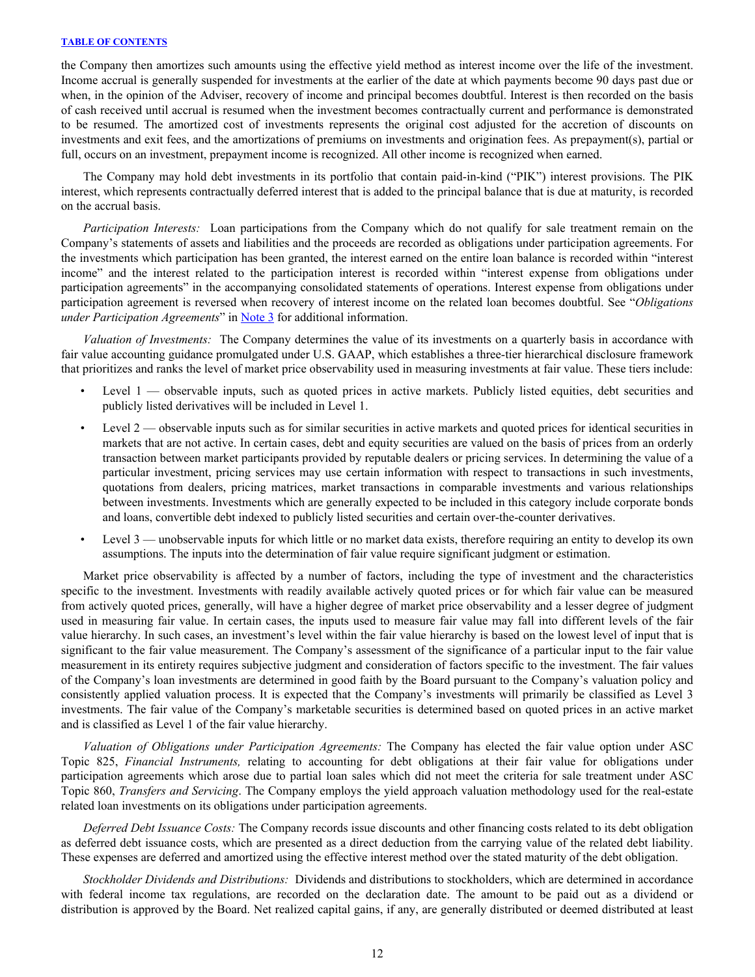the Company then amortizes such amounts using the effective yield method as interest income over the life of the investment. Income accrual is generally suspended for investments at the earlier of the date at which payments become 90 days past due or when, in the opinion of the Adviser, recovery of income and principal becomes doubtful. Interest is then recorded on the basis of cash received until accrual is resumed when the investment becomes contractually current and performance is demonstrated to be resumed. The amortized cost of investments represents the original cost adjusted for the accretion of discounts on investments and exit fees, and the amortizations of premiums on investments and origination fees. As prepayment(s), partial or full, occurs on an investment, prepayment income is recognized. All other income is recognized when earned.

 The Company may hold debt investments in its portfolio that contain paid-in-kind ("PIK") interest provisions. The PIK interest, which represents contractually deferred interest that is added to the principal balance that is due at maturity, is recorded on the accrual basis.

*Participation Interests:* Loan participations from the Company which do not qualify for sale treatment remain on the Company's statements of assets and liabilities and the proceeds are recorded as obligations under participation agreements. For the investments which participation has been granted, the interest earned on the entire loan balance is recorded within "interest income" and the interest related to the participation interest is recorded within "interest expense from obligations under participation agreements" in the accompanying consolidated statements of operations. Interest expense from obligations under participation agreement is reversed when recovery of interest income on the related loan becomes doubtful. See "*Obligations under Participation Agreements*" in [Note 3](#page-14-0) for additional information.

*Valuation of Investments:* The Company determines the value of its investments on a quarterly basis in accordance with fair value accounting guidance promulgated under U.S. GAAP, which establishes a three-tier hierarchical disclosure framework that prioritizes and ranks the level of market price observability used in measuring investments at fair value. These tiers include:

- Level 1 observable inputs, such as quoted prices in active markets. Publicly listed equities, debt securities and publicly listed derivatives will be included in Level 1.
- Level 2 observable inputs such as for similar securities in active markets and quoted prices for identical securities in markets that are not active. In certain cases, debt and equity securities are valued on the basis of prices from an orderly transaction between market participants provided by reputable dealers or pricing services. In determining the value of a particular investment, pricing services may use certain information with respect to transactions in such investments, quotations from dealers, pricing matrices, market transactions in comparable investments and various relationships between investments. Investments which are generally expected to be included in this category include corporate bonds and loans, convertible debt indexed to publicly listed securities and certain over-the-counter derivatives.
- Level 3 unobservable inputs for which little or no market data exists, therefore requiring an entity to develop its own assumptions. The inputs into the determination of fair value require significant judgment or estimation.

Market price observability is affected by a number of factors, including the type of investment and the characteristics specific to the investment. Investments with readily available actively quoted prices or for which fair value can be measured from actively quoted prices, generally, will have a higher degree of market price observability and a lesser degree of judgment used in measuring fair value. In certain cases, the inputs used to measure fair value may fall into different levels of the fair value hierarchy. In such cases, an investment's level within the fair value hierarchy is based on the lowest level of input that is significant to the fair value measurement. The Company's assessment of the significance of a particular input to the fair value measurement in its entirety requires subjective judgment and consideration of factors specific to the investment. The fair values of the Company's loan investments are determined in good faith by the Board pursuant to the Company's valuation policy and consistently applied valuation process. It is expected that the Company's investments will primarily be classified as Level 3 investments. The fair value of the Company's marketable securities is determined based on quoted prices in an active market and is classified as Level 1 of the fair value hierarchy.

 *Valuation of Obligations under Participation Agreements:* The Company has elected the fair value option under ASC Topic 825, *Financial Instruments,* relating to accounting for debt obligations at their fair value for obligations under participation agreements which arose due to partial loan sales which did not meet the criteria for sale treatment under ASC Topic 860, *Transfers and Servicing*. The Company employs the yield approach valuation methodology used for the real-estate related loan investments on its obligations under participation agreements.

*Deferred Debt Issuance Costs:* The Company records issue discounts and other financing costs related to its debt obligation as deferred debt issuance costs, which are presented as a direct deduction from the carrying value of the related debt liability. These expenses are deferred and amortized using the effective interest method over the stated maturity of the debt obligation.

*Stockholder Dividends and Distributions:* Dividends and distributions to stockholders, which are determined in accordance with federal income tax regulations, are recorded on the declaration date. The amount to be paid out as a dividend or distribution is approved by the Board. Net realized capital gains, if any, are generally distributed or deemed distributed at least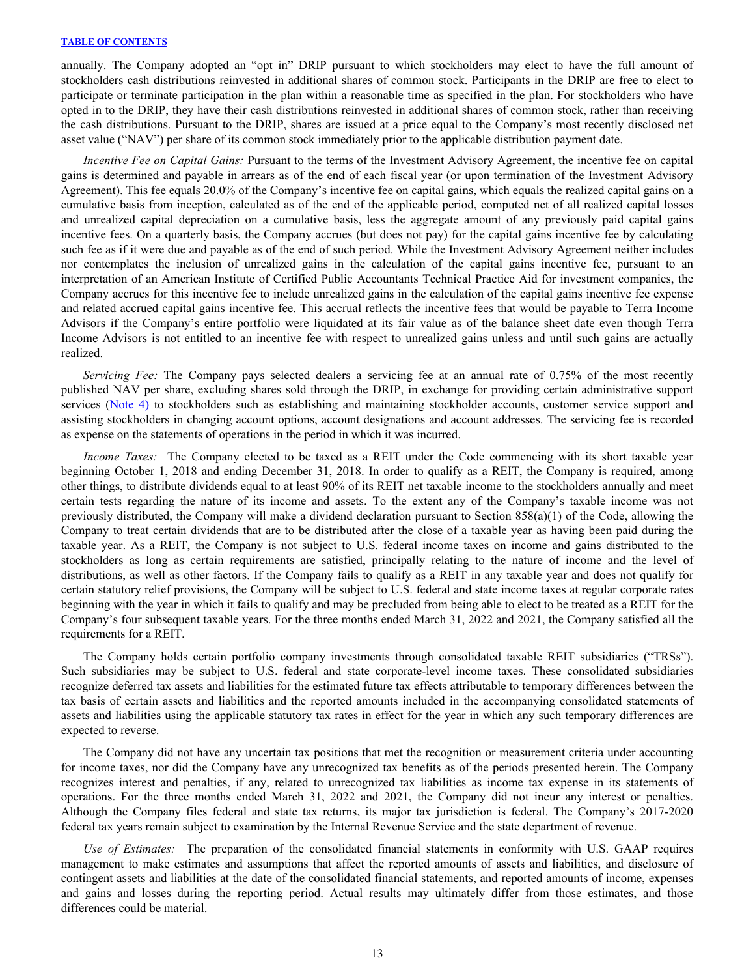annually. The Company adopted an "opt in" DRIP pursuant to which stockholders may elect to have the full amount of stockholders cash distributions reinvested in additional shares of common stock. Participants in the DRIP are free to elect to participate or terminate participation in the plan within a reasonable time as specified in the plan. For stockholders who have opted in to the DRIP, they have their cash distributions reinvested in additional shares of common stock, rather than receiving the cash distributions. Pursuant to the DRIP, shares are issued at a price equal to the Company's most recently disclosed net asset value ("NAV") per share of its common stock immediately prior to the applicable distribution payment date.

 *Incentive Fee on Capital Gains:* Pursuant to the terms of the Investment Advisory Agreement, the incentive fee on capital gains is determined and payable in arrears as of the end of each fiscal year (or upon termination of the Investment Advisory Agreement). This fee equals 20.0% of the Company's incentive fee on capital gains, which equals the realized capital gains on a cumulative basis from inception, calculated as of the end of the applicable period, computed net of all realized capital losses and unrealized capital depreciation on a cumulative basis, less the aggregate amount of any previously paid capital gains incentive fees. On a quarterly basis, the Company accrues (but does not pay) for the capital gains incentive fee by calculating such fee as if it were due and payable as of the end of such period. While the Investment Advisory Agreement neither includes nor contemplates the inclusion of unrealized gains in the calculation of the capital gains incentive fee, pursuant to an interpretation of an American Institute of Certified Public Accountants Technical Practice Aid for investment companies, the Company accrues for this incentive fee to include unrealized gains in the calculation of the capital gains incentive fee expense and related accrued capital gains incentive fee. This accrual reflects the incentive fees that would be payable to Terra Income Advisors if the Company's entire portfolio were liquidated at its fair value as of the balance sheet date even though Terra Income Advisors is not entitled to an incentive fee with respect to unrealized gains unless and until such gains are actually realized.

*Servicing Fee:* The Company pays selected dealers a servicing fee at an annual rate of 0.75% of the most recently published NAV per share, excluding shares sold through the DRIP, in exchange for providing certain administrative support services [\(Note 4\)](#page-18-0) to stockholders such as establishing and maintaining stockholder accounts, customer service support and assisting stockholders in changing account options, account designations and account addresses. The servicing fee is recorded as expense on the statements of operations in the period in which it was incurred.

*Income Taxes:* The Company elected to be taxed as a REIT under the Code commencing with its short taxable year beginning October 1, 2018 and ending December 31, 2018. In order to qualify as a REIT, the Company is required, among other things, to distribute dividends equal to at least 90% of its REIT net taxable income to the stockholders annually and meet certain tests regarding the nature of its income and assets. To the extent any of the Company's taxable income was not previously distributed, the Company will make a dividend declaration pursuant to Section 858(a)(1) of the Code, allowing the Company to treat certain dividends that are to be distributed after the close of a taxable year as having been paid during the taxable year. As a REIT, the Company is not subject to U.S. federal income taxes on income and gains distributed to the stockholders as long as certain requirements are satisfied, principally relating to the nature of income and the level of distributions, as well as other factors. If the Company fails to qualify as a REIT in any taxable year and does not qualify for certain statutory relief provisions, the Company will be subject to U.S. federal and state income taxes at regular corporate rates beginning with the year in which it fails to qualify and may be precluded from being able to elect to be treated as a REIT for the Company's four subsequent taxable years. For the three months ended March 31, 2022 and 2021, the Company satisfied all the requirements for a REIT.

The Company holds certain portfolio company investments through consolidated taxable REIT subsidiaries ("TRSs"). Such subsidiaries may be subject to U.S. federal and state corporate-level income taxes. These consolidated subsidiaries recognize deferred tax assets and liabilities for the estimated future tax effects attributable to temporary differences between the tax basis of certain assets and liabilities and the reported amounts included in the accompanying consolidated statements of assets and liabilities using the applicable statutory tax rates in effect for the year in which any such temporary differences are expected to reverse.

The Company did not have any uncertain tax positions that met the recognition or measurement criteria under accounting for income taxes, nor did the Company have any unrecognized tax benefits as of the periods presented herein. The Company recognizes interest and penalties, if any, related to unrecognized tax liabilities as income tax expense in its statements of operations. For the three months ended March 31, 2022 and 2021, the Company did not incur any interest or penalties. Although the Company files federal and state tax returns, its major tax jurisdiction is federal. The Company's 2017-2020 federal tax years remain subject to examination by the Internal Revenue Service and the state department of revenue.

*Use of Estimates:* The preparation of the consolidated financial statements in conformity with U.S. GAAP requires management to make estimates and assumptions that affect the reported amounts of assets and liabilities, and disclosure of contingent assets and liabilities at the date of the consolidated financial statements, and reported amounts of income, expenses and gains and losses during the reporting period. Actual results may ultimately differ from those estimates, and those differences could be material.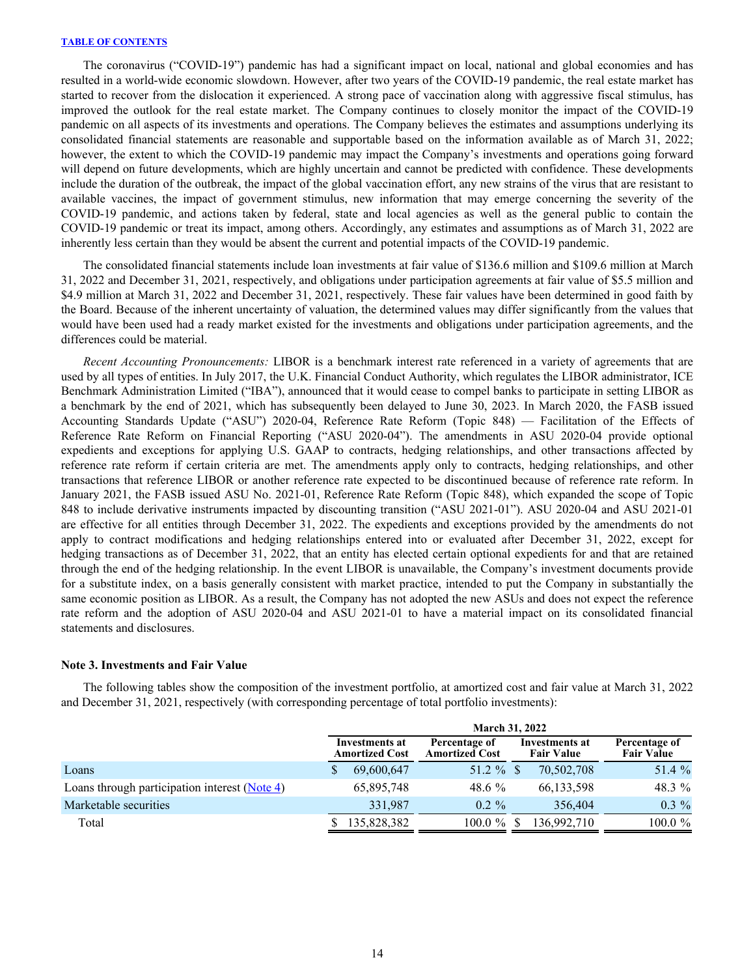<span id="page-14-0"></span>The coronavirus ("COVID-19") pandemic has had a significant impact on local, national and global economies and has resulted in a world-wide economic slowdown. However, after two years of the COVID-19 pandemic, the real estate market has started to recover from the dislocation it experienced. A strong pace of vaccination along with aggressive fiscal stimulus, has improved the outlook for the real estate market. The Company continues to closely monitor the impact of the COVID-19 pandemic on all aspects of its investments and operations. The Company believes the estimates and assumptions underlying its consolidated financial statements are reasonable and supportable based on the information available as of March 31, 2022; however, the extent to which the COVID-19 pandemic may impact the Company's investments and operations going forward will depend on future developments, which are highly uncertain and cannot be predicted with confidence. These developments include the duration of the outbreak, the impact of the global vaccination effort, any new strains of the virus that are resistant to available vaccines, the impact of government stimulus, new information that may emerge concerning the severity of the COVID-19 pandemic, and actions taken by federal, state and local agencies as well as the general public to contain the COVID-19 pandemic or treat its impact, among others. Accordingly, any estimates and assumptions as of March 31, 2022 are inherently less certain than they would be absent the current and potential impacts of the COVID-19 pandemic.

The consolidated financial statements include loan investments at fair value of \$136.6 million and \$109.6 million at March 31, 2022 and December 31, 2021, respectively, and obligations under participation agreements at fair value of \$5.5 million and \$4.9 million at March 31, 2022 and December 31, 2021, respectively. These fair values have been determined in good faith by the Board. Because of the inherent uncertainty of valuation, the determined values may differ significantly from the values that would have been used had a ready market existed for the investments and obligations under participation agreements, and the differences could be material.

*Recent Accounting Pronouncements:* LIBOR is a benchmark interest rate referenced in a variety of agreements that are used by all types of entities. In July 2017, the U.K. Financial Conduct Authority, which regulates the LIBOR administrator, ICE Benchmark Administration Limited ("IBA"), announced that it would cease to compel banks to participate in setting LIBOR as a benchmark by the end of 2021, which has subsequently been delayed to June 30, 2023. In March 2020, the FASB issued Accounting Standards Update ("ASU") 2020-04, Reference Rate Reform (Topic 848) — Facilitation of the Effects of Reference Rate Reform on Financial Reporting ("ASU 2020-04"). The amendments in ASU 2020-04 provide optional expedients and exceptions for applying U.S. GAAP to contracts, hedging relationships, and other transactions affected by reference rate reform if certain criteria are met. The amendments apply only to contracts, hedging relationships, and other transactions that reference LIBOR or another reference rate expected to be discontinued because of reference rate reform. In January 2021, the FASB issued ASU No. 2021-01, Reference Rate Reform (Topic 848), which expanded the scope of Topic 848 to include derivative instruments impacted by discounting transition ("ASU 2021-01"). ASU 2020-04 and ASU 2021-01 are effective for all entities through December 31, 2022. The expedients and exceptions provided by the amendments do not apply to contract modifications and hedging relationships entered into or evaluated after December 31, 2022, except for hedging transactions as of December 31, 2022, that an entity has elected certain optional expedients for and that are retained through the end of the hedging relationship. In the event LIBOR is unavailable, the Company's investment documents provide for a substitute index, on a basis generally consistent with market practice, intended to put the Company in substantially the same economic position as LIBOR. As a result, the Company has not adopted the new ASUs and does not expect the reference rate reform and the adoption of ASU 2020-04 and ASU 2021-01 to have a material impact on its consolidated financial statements and disclosures.

#### **Note 3. Investments and Fair Value**

The following tables show the composition of the investment portfolio, at amortized cost and fair value at March 31, 2022 and December 31, 2021, respectively (with corresponding percentage of total portfolio investments):

|                                                 |                                         | <b>March 31, 2022</b>                  |                                     |                                    |
|-------------------------------------------------|-----------------------------------------|----------------------------------------|-------------------------------------|------------------------------------|
|                                                 | Investments at<br><b>Amortized Cost</b> | Percentage of<br><b>Amortized Cost</b> | Investments at<br><b>Fair Value</b> | Percentage of<br><b>Fair Value</b> |
| Loans                                           | 69,600,647                              | 51.2 $%$ \$                            | 70,502,708                          | 51.4 %                             |
| Loans through participation interest $(Note 4)$ | 65,895,748                              | 48.6 $%$                               | 66, 133, 598                        | 48.3 %                             |
| Marketable securities                           | 331.987                                 | $0.2 \%$                               | 356,404                             | $0.3\%$                            |
| Total                                           | 135,828,382                             | $100.0 \%$                             | 136,992,710                         | 100.0 %                            |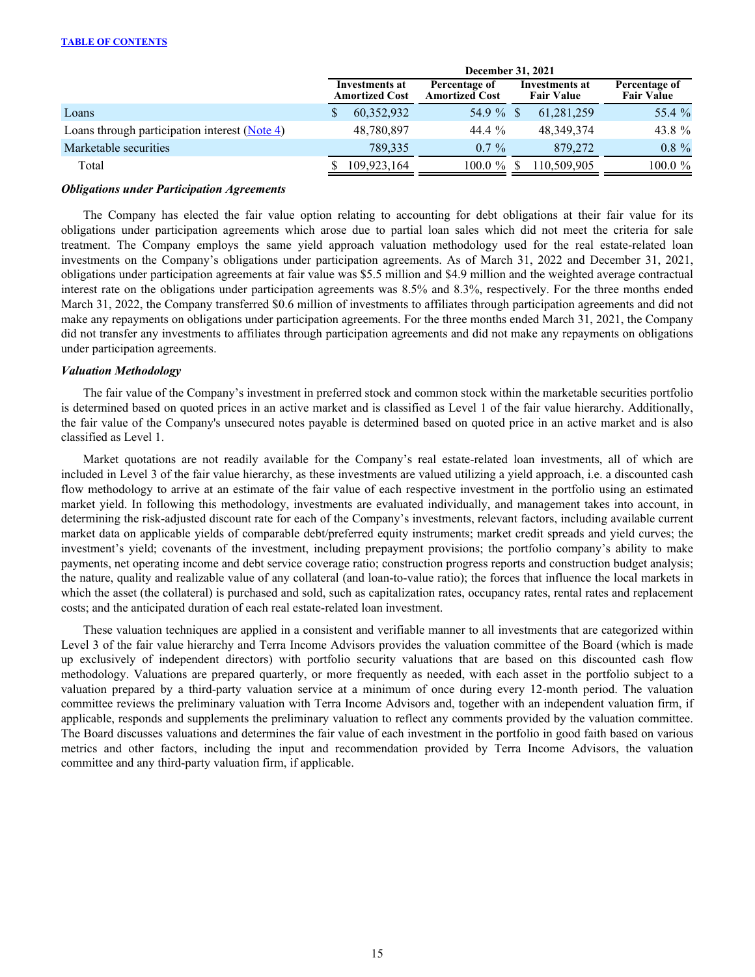|                                               |                                         | December 31, 2021                      |                                     |                                    |
|-----------------------------------------------|-----------------------------------------|----------------------------------------|-------------------------------------|------------------------------------|
|                                               | Investments at<br><b>Amortized Cost</b> | Percentage of<br><b>Amortized Cost</b> | Investments at<br><b>Fair Value</b> | Percentage of<br><b>Fair Value</b> |
| Loans                                         | 60,352,932                              | 54.9 %                                 | 61,281,259                          | 55.4 %                             |
| Loans through participation interest (Note 4) | 48,780,897                              | 44.4 %                                 | 48, 349, 374                        | 43.8 %                             |
| Marketable securities                         | 789.335                                 | $0.7\%$                                | 879.272                             | $0.8 \%$                           |
| Total                                         | 109,923,164                             | $100.0 \%$                             | 110,509,905                         | $100.0 \%$                         |

#### *Obligations under Participation Agreements*

 The Company has elected the fair value option relating to accounting for debt obligations at their fair value for its obligations under participation agreements which arose due to partial loan sales which did not meet the criteria for sale treatment. The Company employs the same yield approach valuation methodology used for the real estate-related loan investments on the Company's obligations under participation agreements. As of March 31, 2022 and December 31, 2021, obligations under participation agreements at fair value was \$5.5 million and \$4.9 million and the weighted average contractual interest rate on the obligations under participation agreements was 8.5% and 8.3%, respectively. For the three months ended March 31, 2022, the Company transferred \$0.6 million of investments to affiliates through participation agreements and did not make any repayments on obligations under participation agreements. For the three months ended March 31, 2021, the Company did not transfer any investments to affiliates through participation agreements and did not make any repayments on obligations under participation agreements.

#### *Valuation Methodology*

 The fair value of the Company's investment in preferred stock and common stock within the marketable securities portfolio is determined based on quoted prices in an active market and is classified as Level 1 of the fair value hierarchy. Additionally, the fair value of the Company's unsecured notes payable is determined based on quoted price in an active market and is also classified as Level 1.

Market quotations are not readily available for the Company's real estate-related loan investments, all of which are included in Level 3 of the fair value hierarchy, as these investments are valued utilizing a yield approach, i.e. a discounted cash flow methodology to arrive at an estimate of the fair value of each respective investment in the portfolio using an estimated market yield. In following this methodology, investments are evaluated individually, and management takes into account, in determining the risk-adjusted discount rate for each of the Company's investments, relevant factors, including available current market data on applicable yields of comparable debt/preferred equity instruments; market credit spreads and yield curves; the investment's yield; covenants of the investment, including prepayment provisions; the portfolio company's ability to make payments, net operating income and debt service coverage ratio; construction progress reports and construction budget analysis; the nature, quality and realizable value of any collateral (and loan-to-value ratio); the forces that influence the local markets in which the asset (the collateral) is purchased and sold, such as capitalization rates, occupancy rates, rental rates and replacement costs; and the anticipated duration of each real estate-related loan investment.

These valuation techniques are applied in a consistent and verifiable manner to all investments that are categorized within Level 3 of the fair value hierarchy and Terra Income Advisors provides the valuation committee of the Board (which is made up exclusively of independent directors) with portfolio security valuations that are based on this discounted cash flow methodology. Valuations are prepared quarterly, or more frequently as needed, with each asset in the portfolio subject to a valuation prepared by a third-party valuation service at a minimum of once during every 12-month period. The valuation committee reviews the preliminary valuation with Terra Income Advisors and, together with an independent valuation firm, if applicable, responds and supplements the preliminary valuation to reflect any comments provided by the valuation committee. The Board discusses valuations and determines the fair value of each investment in the portfolio in good faith based on various metrics and other factors, including the input and recommendation provided by Terra Income Advisors, the valuation committee and any third-party valuation firm, if applicable.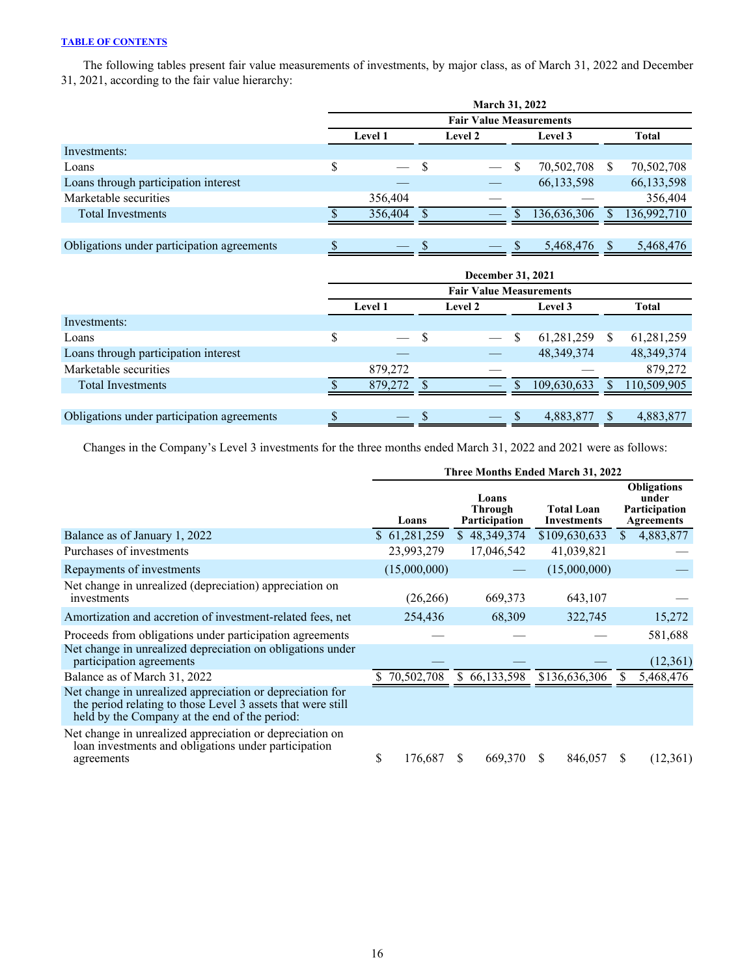The following tables present fair value measurements of investments, by major class, as of March 31, 2022 and December 31, 2021, according to the fair value hierarchy:

|                                            | <b>March 31, 2022</b>                |   |  |    |              |              |              |  |  |  |  |  |
|--------------------------------------------|--------------------------------------|---|--|----|--------------|--------------|--------------|--|--|--|--|--|
|                                            |                                      |   |  |    |              |              |              |  |  |  |  |  |
|                                            | <b>Level 1</b><br>Level 2<br>Level 3 |   |  |    |              |              | <b>Total</b> |  |  |  |  |  |
| Investments:                               |                                      |   |  |    |              |              |              |  |  |  |  |  |
| Loans                                      | \$<br>$\qquad \qquad$                | S |  | \$ | 70,502,708   | <sup>S</sup> | 70,502,708   |  |  |  |  |  |
| Loans through participation interest       |                                      |   |  |    | 66, 133, 598 |              | 66,133,598   |  |  |  |  |  |
| Marketable securities                      | 356,404                              |   |  |    |              |              | 356,404      |  |  |  |  |  |
| <b>Total Investments</b>                   | 356,404                              |   |  |    | 136,636,306  |              | 136,992,710  |  |  |  |  |  |
|                                            |                                      |   |  |    |              |              |              |  |  |  |  |  |
| Obligations under participation agreements | $\overline{\phantom{a}}$             | S |  |    | 5,468,476    |              | 5,468,476    |  |  |  |  |  |

|                                            | December 31, 2021              |                          |   |                |   |              |     |              |  |  |
|--------------------------------------------|--------------------------------|--------------------------|---|----------------|---|--------------|-----|--------------|--|--|
|                                            | <b>Fair Value Measurements</b> |                          |   |                |   |              |     |              |  |  |
|                                            |                                | <b>Level 1</b>           |   | <b>Level 2</b> |   | Level 3      |     | Total        |  |  |
| Investments:                               |                                |                          |   |                |   |              |     |              |  |  |
| Loans                                      | \$                             | $\frac{1}{1}$            | S |                | S | 61,281,259   | \$. | 61,281,259   |  |  |
| Loans through participation interest       |                                |                          |   |                |   | 48, 349, 374 |     | 48, 349, 374 |  |  |
| Marketable securities                      |                                | 879,272                  |   |                |   |              |     | 879,272      |  |  |
| <b>Total Investments</b>                   |                                | 879,272                  |   |                |   | 109,630,633  |     | 110,509,905  |  |  |
|                                            |                                |                          |   |                |   |              |     |              |  |  |
| Obligations under participation agreements |                                | $\overline{\phantom{0}}$ |   |                |   | 4,883,877    |     | 4,883,877    |  |  |

Changes in the Company's Level 3 investments for the three months ended March 31, 2022 and 2021 were as follows:

|                                                                                                                                                                           | Three Months Ended March 31, 2022 |                                                 |                                         |                                                                   |  |  |  |  |
|---------------------------------------------------------------------------------------------------------------------------------------------------------------------------|-----------------------------------|-------------------------------------------------|-----------------------------------------|-------------------------------------------------------------------|--|--|--|--|
|                                                                                                                                                                           | Loans                             | Loans<br><b>Through</b><br><b>Participation</b> | <b>Total Loan</b><br><b>Investments</b> | <b>Obligations</b><br>under<br>Participation<br><b>Agreements</b> |  |  |  |  |
| Balance as of January 1, 2022                                                                                                                                             | \$61,281,259                      | \$48,349,374                                    | \$109,630,633                           | 4,883,877<br><sup>\$</sup>                                        |  |  |  |  |
| Purchases of investments                                                                                                                                                  | 23,993,279                        | 17,046,542                                      | 41,039,821                              |                                                                   |  |  |  |  |
| Repayments of investments                                                                                                                                                 | (15,000,000)                      |                                                 | (15,000,000)                            |                                                                   |  |  |  |  |
| Net change in unrealized (depreciation) appreciation on<br>investments                                                                                                    | (26, 266)                         | 669,373                                         | 643,107                                 |                                                                   |  |  |  |  |
| Amortization and accretion of investment-related fees, net                                                                                                                | 254,436                           | 68,309                                          | 322,745                                 | 15,272                                                            |  |  |  |  |
| Proceeds from obligations under participation agreements                                                                                                                  |                                   |                                                 |                                         | 581,688                                                           |  |  |  |  |
| Net change in unrealized depreciation on obligations under<br>participation agreements                                                                                    |                                   |                                                 |                                         | (12, 361)                                                         |  |  |  |  |
| Balance as of March 31, 2022                                                                                                                                              | 70,502,708                        | \$66,133,598                                    | \$136,636,306                           | 5,468,476                                                         |  |  |  |  |
| Net change in unrealized appreciation or depreciation for<br>the period relating to those Level 3 assets that were still<br>held by the Company at the end of the period: |                                   |                                                 |                                         |                                                                   |  |  |  |  |
| Net change in unrealized appreciation or depreciation on<br>loan investments and obligations under participation<br>agreements                                            | \$<br>176,687                     | 669,370<br>S                                    | 846,057<br>S                            | (12,361)<br>S                                                     |  |  |  |  |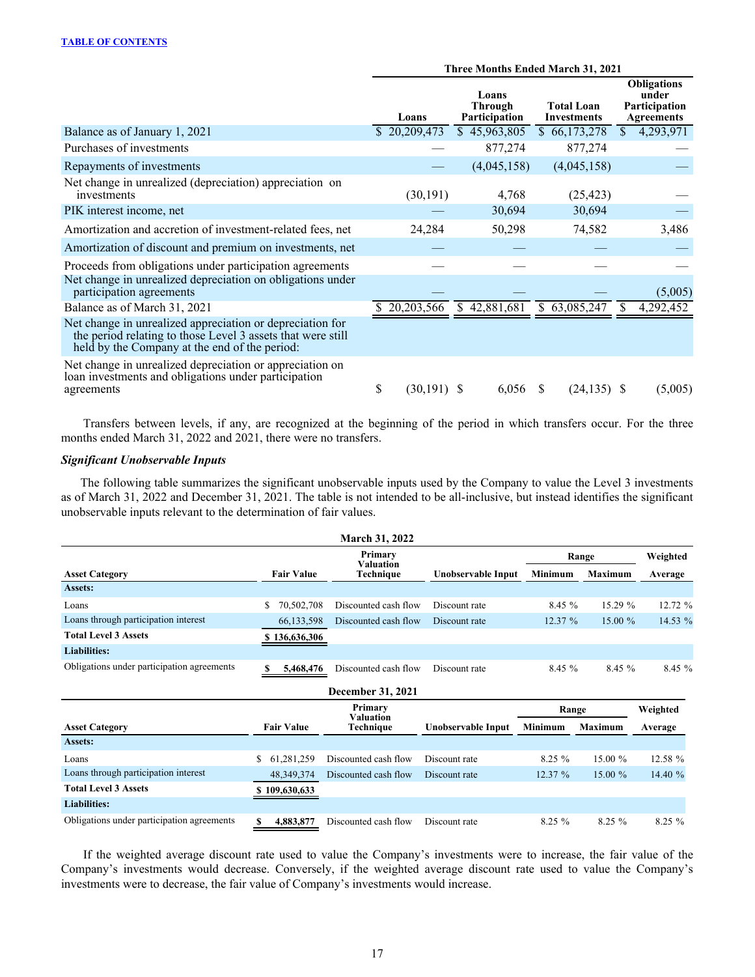|                                                                                                                                                                           | <b>Three Months Ended March 31, 2021</b> |               |  |                                          |     |                                         |               |                                                                   |  |
|---------------------------------------------------------------------------------------------------------------------------------------------------------------------------|------------------------------------------|---------------|--|------------------------------------------|-----|-----------------------------------------|---------------|-------------------------------------------------------------------|--|
|                                                                                                                                                                           |                                          | Loans         |  | Loans<br><b>Through</b><br>Participation |     | <b>Total Loan</b><br><b>Investments</b> |               | <b>Obligations</b><br>under<br>Participation<br><b>Agreements</b> |  |
| Balance as of January 1, 2021                                                                                                                                             |                                          | \$20,209,473  |  | \$45,963,805                             |     | \$66,173,278                            | <sup>\$</sup> | 4,293,971                                                         |  |
| Purchases of investments                                                                                                                                                  |                                          |               |  | 877,274                                  |     | 877,274                                 |               |                                                                   |  |
| Repayments of investments                                                                                                                                                 |                                          |               |  | (4,045,158)                              |     | (4,045,158)                             |               |                                                                   |  |
| Net change in unrealized (depreciation) appreciation on<br>investments                                                                                                    |                                          | (30, 191)     |  | 4,768                                    |     | (25, 423)                               |               |                                                                   |  |
| PIK interest income, net                                                                                                                                                  |                                          |               |  | 30,694                                   |     | 30,694                                  |               |                                                                   |  |
| Amortization and accretion of investment-related fees, net                                                                                                                |                                          | 24,284        |  | 50,298                                   |     | 74,582                                  |               | 3,486                                                             |  |
| Amortization of discount and premium on investments, net                                                                                                                  |                                          |               |  |                                          |     |                                         |               |                                                                   |  |
| Proceeds from obligations under participation agreements                                                                                                                  |                                          |               |  |                                          |     |                                         |               |                                                                   |  |
| Net change in unrealized depreciation on obligations under<br>participation agreements                                                                                    |                                          |               |  |                                          |     |                                         |               | (5,005)                                                           |  |
| Balance as of March 31, 2021                                                                                                                                              |                                          | 20,203,566    |  | \$42,881,681                             | S.  | 63,085,247                              |               | 4,292,452                                                         |  |
| Net change in unrealized appreciation or depreciation for<br>the period relating to those Level 3 assets that were still<br>held by the Company at the end of the period: |                                          |               |  |                                          |     |                                         |               |                                                                   |  |
| Net change in unrealized depreciation or appreciation on<br>loan investments and obligations under participation<br>agreements                                            | \$                                       | $(30,191)$ \$ |  | 6,056                                    | \$. | $(24, 135)$ \$                          |               | (5,005)                                                           |  |

 Transfers between levels, if any, are recognized at the beginning of the period in which transfers occur. For the three months ended March 31, 2022 and 2021, there were no transfers.

## *Significant Unobservable Inputs*

The following table summarizes the significant unobservable inputs used by the Company to value the Level 3 investments as of March 31, 2022 and December 31, 2021. The table is not intended to be all-inclusive, but instead identifies the significant unobservable inputs relevant to the determination of fair values.

|                                            |                   | <b>March 31, 2022</b>         |                    |                |                |          |
|--------------------------------------------|-------------------|-------------------------------|--------------------|----------------|----------------|----------|
|                                            |                   | Primary                       |                    |                | Range          | Weighted |
| <b>Asset Category</b>                      | <b>Fair Value</b> | <b>Valuation</b><br>Technique | Unobservable Input | <b>Minimum</b> | <b>Maximum</b> | Average  |
| Assets:                                    |                   |                               |                    |                |                |          |
| Loans                                      | 70,502,708<br>\$  | Discounted cash flow          | Discount rate      | 8.45%          | 15.29 %        | 12.72 %  |
| Loans through participation interest       | 66,133,598        | Discounted cash flow          | Discount rate      | 12.37 %        | 15.00 %        | 14.53 %  |
| <b>Total Level 3 Assets</b>                | \$136,636,306     |                               |                    |                |                |          |
| <b>Liabilities:</b>                        |                   |                               |                    |                |                |          |
| Obligations under participation agreements | 5,468,476<br>S    | Discounted cash flow          | Discount rate      | 8.45%          | 8.45 %         | 8.45 %   |
|                                            |                   | December 31, 2021             |                    |                |                |          |
|                                            |                   | Primary                       |                    | Range          | Weighted       |          |
| <b>Asset Category</b>                      | <b>Fair Value</b> | <b>Valuation</b><br>Technique | Unobservable Input | Minimum        | <b>Maximum</b> | Average  |
| Assets:                                    |                   |                               |                    |                |                |          |
| Loans                                      | \$<br>61,281,259  | Discounted cash flow          | Discount rate      | 8.25%          | 15.00 %        | 12.58 %  |
| Loans through participation interest       | 48, 349, 374      | Discounted cash flow          | Discount rate      | 12.37 %        | 15.00 %        | 14.40 %  |
| <b>Total Level 3 Assets</b>                | \$109,630,633     |                               |                    |                |                |          |
| <b>Liabilities:</b>                        |                   |                               |                    |                |                |          |
| Obligations under participation agreements | S<br>4,883,877    | Discounted cash flow          | Discount rate      | 8.25 %         | 8.25%          | 8.25 %   |

 If the weighted average discount rate used to value the Company's investments were to increase, the fair value of the Company's investments would decrease. Conversely, if the weighted average discount rate used to value the Company's investments were to decrease, the fair value of Company's investments would increase.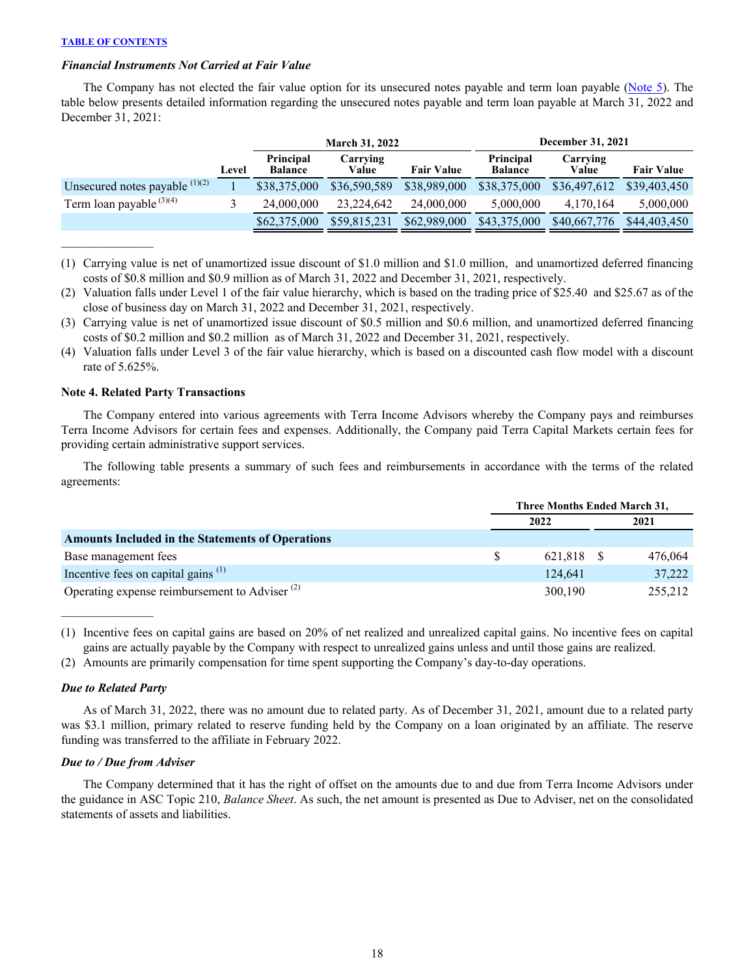$\mathcal{L}_\text{max}$  and  $\mathcal{L}_\text{max}$ 

#### <span id="page-18-0"></span>*Financial Instruments Not Carried at Fair Value*

The Company has not elected the fair value option for its unsecured notes payable and term loan payable ([Note 5](#page-22-0)). The table below presents detailed information regarding the unsecured notes payable and term loan payable at March 31, 2022 and December 31, 2021:

|                                     |       | December 31, 2021<br><b>March 31, 2022</b> |                   |                   |                             |                   |                   |  |  |
|-------------------------------------|-------|--------------------------------------------|-------------------|-------------------|-----------------------------|-------------------|-------------------|--|--|
|                                     | Level | Principal<br><b>Balance</b>                | Carrying<br>Value | <b>Fair Value</b> | Principal<br><b>Balance</b> | Carrying<br>Value | <b>Fair Value</b> |  |  |
| Unsecured notes payable $^{(1)(2)}$ |       | \$38,375,000                               | \$36,590,589      | \$38,989,000      | \$38,375,000                | \$36,497,612      | \$39,403,450      |  |  |
| Term loan payable $(3)(4)$          |       | 24,000,000                                 | 23.224.642        | 24,000,000        | 5.000.000                   | 4,170,164         | 5,000,000         |  |  |
|                                     |       | \$62,375,000                               | \$59,815,231      | \$62,989,000      | \$43,375,000                | \$40,667,776      | \$44,403,450      |  |  |

<sup>(1)</sup> Carrying value is net of unamortized issue discount of \$1.0 million and \$1.0 million, and unamortized deferred financing costs of \$0.8 million and \$0.9 million as of March 31, 2022 and December 31, 2021, respectively.

- (2) Valuation falls under Level 1 of the fair value hierarchy, which is based on the trading price of \$25.40 and \$25.67 as of the close of business day on March 31, 2022 and December 31, 2021, respectively.
- (3) Carrying value is net of unamortized issue discount of \$0.5 million and \$0.6 million, and unamortized deferred financing costs of \$0.2 million and \$0.2 million as of March 31, 2022 and December 31, 2021, respectively.
- (4) Valuation falls under Level 3 of the fair value hierarchy, which is based on a discounted cash flow model with a discount rate of 5.625%.

### **Note 4. Related Party Transactions**

The Company entered into various agreements with Terra Income Advisors whereby the Company pays and reimburses Terra Income Advisors for certain fees and expenses. Additionally, the Company paid Terra Capital Markets certain fees for providing certain administrative support services.

 The following table presents a summary of such fees and reimbursements in accordance with the terms of the related agreements:

|                                                           | Three Months Ended March 31, |     |         |  |  |
|-----------------------------------------------------------|------------------------------|-----|---------|--|--|
|                                                           | 2022                         |     | 2021    |  |  |
| <b>Amounts Included in the Statements of Operations</b>   |                              |     |         |  |  |
| Base management fees                                      | 621.818                      | - S | 476,064 |  |  |
| Incentive fees on capital gains <sup>(1)</sup>            | 124.641                      |     | 37,222  |  |  |
| Operating expense reimbursement to Adviser <sup>(2)</sup> | 300,190                      |     | 255,212 |  |  |

(1) Incentive fees on capital gains are based on 20% of net realized and unrealized capital gains. No incentive fees on capital gains are actually payable by the Company with respect to unrealized gains unless and until those gains are realized.

(2) Amounts are primarily compensation for time spent supporting the Company's day-to-day operations.

### *Due to Related Party*

 $\mathcal{L}_\text{max}$  , where  $\mathcal{L}_\text{max}$ 

As of March 31, 2022, there was no amount due to related party. As of December 31, 2021, amount due to a related party was \$3.1 million, primary related to reserve funding held by the Company on a loan originated by an affiliate. The reserve funding was transferred to the affiliate in February 2022.

#### *Due to / Due from Adviser*

The Company determined that it has the right of offset on the amounts due to and due from Terra Income Advisors under the guidance in ASC Topic 210, *Balance Sheet*. As such, the net amount is presented as Due to Adviser, net on the consolidated statements of assets and liabilities.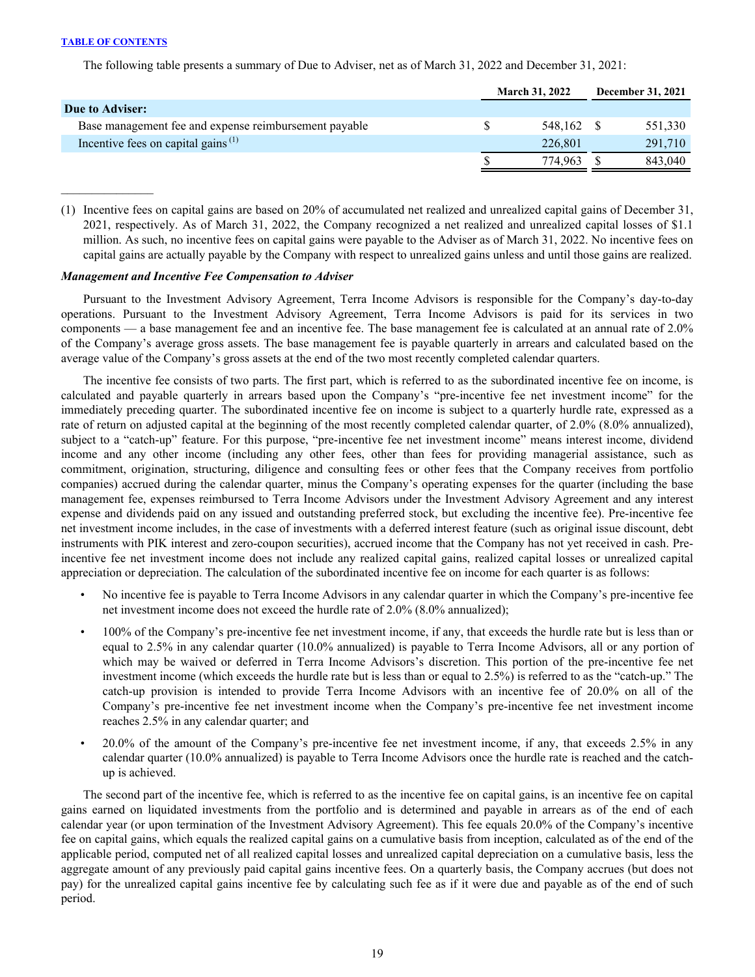The following table presents a summary of Due to Adviser, net as of March 31, 2022 and December 31, 2021:

|                                                             | <b>March 31, 2022</b> | <b>December 31, 2021</b> |         |  |
|-------------------------------------------------------------|-----------------------|--------------------------|---------|--|
| Due to Adviser:                                             |                       |                          |         |  |
| Base management fee and expense reimbursement payable       | 548.162               |                          | 551,330 |  |
| Incentive fees on capital gains <sup><math>(1)</math></sup> | 226.801               |                          | 291,710 |  |
|                                                             | 774.963               |                          | 843.040 |  |

(1) Incentive fees on capital gains are based on 20% of accumulated net realized and unrealized capital gains of December 31, 2021, respectively. As of March 31, 2022, the Company recognized a net realized and unrealized capital losses of \$1.1 million. As such, no incentive fees on capital gains were payable to the Adviser as of March 31, 2022. No incentive fees on capital gains are actually payable by the Company with respect to unrealized gains unless and until those gains are realized.

#### *Management and Incentive Fee Compensation to Adviser*

Pursuant to the Investment Advisory Agreement, Terra Income Advisors is responsible for the Company's day-to-day operations. Pursuant to the Investment Advisory Agreement, Terra Income Advisors is paid for its services in two components — a base management fee and an incentive fee. The base management fee is calculated at an annual rate of 2.0% of the Company's average gross assets. The base management fee is payable quarterly in arrears and calculated based on the average value of the Company's gross assets at the end of the two most recently completed calendar quarters.

The incentive fee consists of two parts. The first part, which is referred to as the subordinated incentive fee on income, is calculated and payable quarterly in arrears based upon the Company's "pre-incentive fee net investment income" for the immediately preceding quarter. The subordinated incentive fee on income is subject to a quarterly hurdle rate, expressed as a rate of return on adjusted capital at the beginning of the most recently completed calendar quarter, of 2.0% (8.0% annualized), subject to a "catch-up" feature. For this purpose, "pre-incentive fee net investment income" means interest income, dividend income and any other income (including any other fees, other than fees for providing managerial assistance, such as commitment, origination, structuring, diligence and consulting fees or other fees that the Company receives from portfolio companies) accrued during the calendar quarter, minus the Company's operating expenses for the quarter (including the base management fee, expenses reimbursed to Terra Income Advisors under the Investment Advisory Agreement and any interest expense and dividends paid on any issued and outstanding preferred stock, but excluding the incentive fee). Pre-incentive fee net investment income includes, in the case of investments with a deferred interest feature (such as original issue discount, debt instruments with PIK interest and zero-coupon securities), accrued income that the Company has not yet received in cash. Preincentive fee net investment income does not include any realized capital gains, realized capital losses or unrealized capital appreciation or depreciation. The calculation of the subordinated incentive fee on income for each quarter is as follows:

- No incentive fee is payable to Terra Income Advisors in any calendar quarter in which the Company's pre-incentive fee net investment income does not exceed the hurdle rate of 2.0% (8.0% annualized);
- 100% of the Company's pre-incentive fee net investment income, if any, that exceeds the hurdle rate but is less than or equal to 2.5% in any calendar quarter (10.0% annualized) is payable to Terra Income Advisors, all or any portion of which may be waived or deferred in Terra Income Advisors's discretion. This portion of the pre-incentive fee net investment income (which exceeds the hurdle rate but is less than or equal to 2.5%) is referred to as the "catch-up." The catch-up provision is intended to provide Terra Income Advisors with an incentive fee of 20.0% on all of the Company's pre-incentive fee net investment income when the Company's pre-incentive fee net investment income reaches 2.5% in any calendar quarter; and
- 20.0% of the amount of the Company's pre-incentive fee net investment income, if any, that exceeds 2.5% in any calendar quarter (10.0% annualized) is payable to Terra Income Advisors once the hurdle rate is reached and the catchup is achieved.

The second part of the incentive fee, which is referred to as the incentive fee on capital gains, is an incentive fee on capital gains earned on liquidated investments from the portfolio and is determined and payable in arrears as of the end of each calendar year (or upon termination of the Investment Advisory Agreement). This fee equals 20.0% of the Company's incentive fee on capital gains, which equals the realized capital gains on a cumulative basis from inception, calculated as of the end of the applicable period, computed net of all realized capital losses and unrealized capital depreciation on a cumulative basis, less the aggregate amount of any previously paid capital gains incentive fees. On a quarterly basis, the Company accrues (but does not pay) for the unrealized capital gains incentive fee by calculating such fee as if it were due and payable as of the end of such period.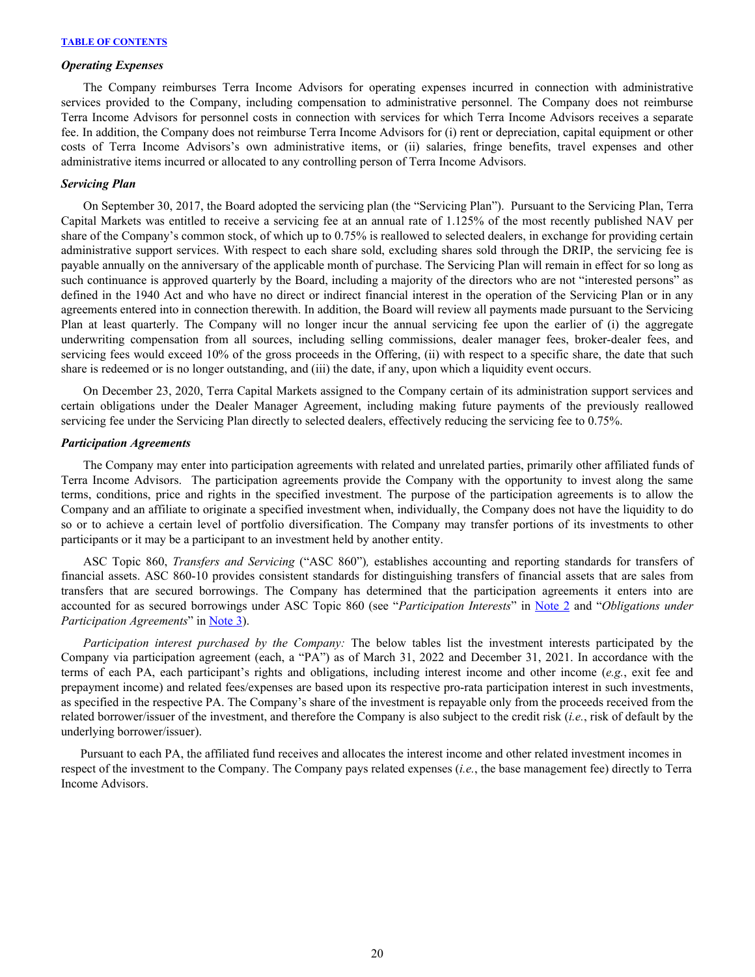#### *Operating Expenses*

The Company reimburses Terra Income Advisors for operating expenses incurred in connection with administrative services provided to the Company, including compensation to administrative personnel. The Company does not reimburse Terra Income Advisors for personnel costs in connection with services for which Terra Income Advisors receives a separate fee. In addition, the Company does not reimburse Terra Income Advisors for (i) rent or depreciation, capital equipment or other costs of Terra Income Advisors's own administrative items, or (ii) salaries, fringe benefits, travel expenses and other administrative items incurred or allocated to any controlling person of Terra Income Advisors.

#### *Servicing Plan*

On September 30, 2017, the Board adopted the servicing plan (the "Servicing Plan"). Pursuant to the Servicing Plan, Terra Capital Markets was entitled to receive a servicing fee at an annual rate of 1.125% of the most recently published NAV per share of the Company's common stock, of which up to 0.75% is reallowed to selected dealers, in exchange for providing certain administrative support services. With respect to each share sold, excluding shares sold through the DRIP, the servicing fee is payable annually on the anniversary of the applicable month of purchase. The Servicing Plan will remain in effect for so long as such continuance is approved quarterly by the Board, including a majority of the directors who are not "interested persons" as defined in the 1940 Act and who have no direct or indirect financial interest in the operation of the Servicing Plan or in any agreements entered into in connection therewith. In addition, the Board will review all payments made pursuant to the Servicing Plan at least quarterly. The Company will no longer incur the annual servicing fee upon the earlier of (i) the aggregate underwriting compensation from all sources, including selling commissions, dealer manager fees, broker-dealer fees, and servicing fees would exceed 10% of the gross proceeds in the Offering, (ii) with respect to a specific share, the date that such share is redeemed or is no longer outstanding, and (iii) the date, if any, upon which a liquidity event occurs.

On December 23, 2020, Terra Capital Markets assigned to the Company certain of its administration support services and certain obligations under the Dealer Manager Agreement, including making future payments of the previously reallowed servicing fee under the Servicing Plan directly to selected dealers, effectively reducing the servicing fee to 0.75%.

#### *Participation Agreements*

The Company may enter into participation agreements with related and unrelated parties, primarily other affiliated funds of Terra Income Advisors. The participation agreements provide the Company with the opportunity to invest along the same terms, conditions, price and rights in the specified investment. The purpose of the participation agreements is to allow the Company and an affiliate to originate a specified investment when, individually, the Company does not have the liquidity to do so or to achieve a certain level of portfolio diversification. The Company may transfer portions of its investments to other participants or it may be a participant to an investment held by another entity.

ASC Topic 860, *Transfers and Servicing* ("ASC 860")*,* establishes accounting and reporting standards for transfers of financial assets. ASC 860-10 provides consistent standards for distinguishing transfers of financial assets that are sales from transfers that are secured borrowings. The Company has determined that the participation agreements it enters into are accounted for as secured borrowings under ASC Topic 860 (see "*Participation Interests*" in [Note 2](#page-11-0) and "*Obligations under Participation Agreements*" in [Note 3\)](#page-14-0).

*Participation interest purchased by the Company:* The below tables list the investment interests participated by the Company via participation agreement (each, a "PA") as of March 31, 2022 and December 31, 2021. In accordance with the terms of each PA, each participant's rights and obligations, including interest income and other income (*e.g.*, exit fee and prepayment income) and related fees/expenses are based upon its respective pro-rata participation interest in such investments, as specified in the respective PA. The Company's share of the investment is repayable only from the proceeds received from the related borrower/issuer of the investment, and therefore the Company is also subject to the credit risk (*i.e.*, risk of default by the underlying borrower/issuer).

Pursuant to each PA, the affiliated fund receives and allocates the interest income and other related investment incomes in respect of the investment to the Company. The Company pays related expenses (*i.e.*, the base management fee) directly to Terra Income Advisors.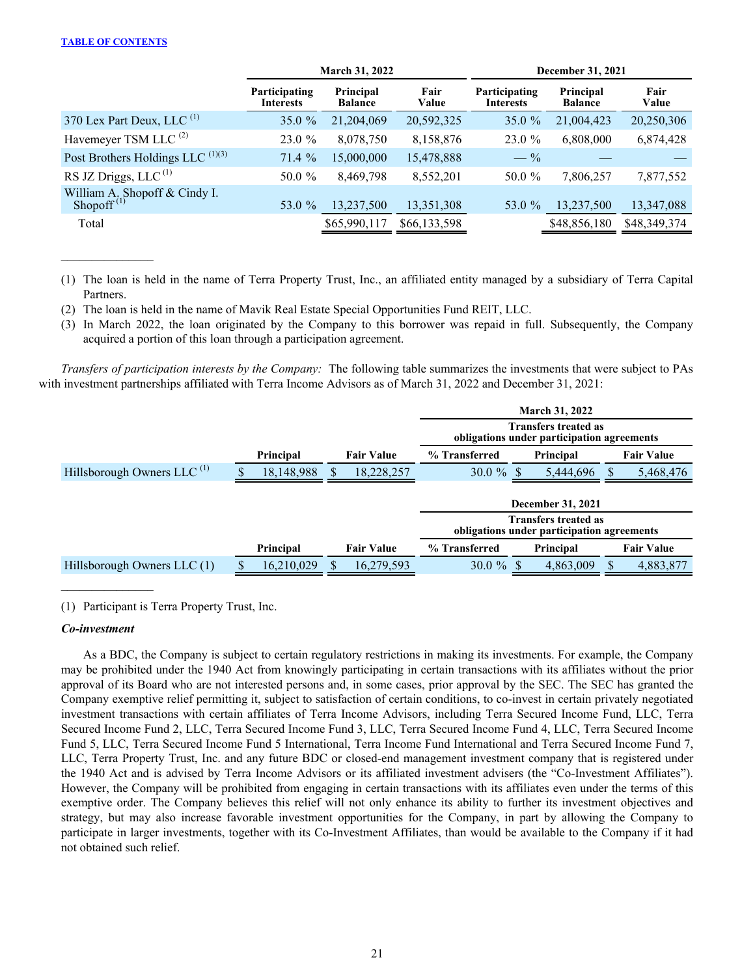$\mathcal{L}_\text{max}$  and  $\mathcal{L}_\text{max}$ 

|                                                         |                                   | March 31, 2022              |               | <b>December 31, 2021</b>   |                             |               |  |  |  |
|---------------------------------------------------------|-----------------------------------|-----------------------------|---------------|----------------------------|-----------------------------|---------------|--|--|--|
|                                                         | Participating<br><b>Interests</b> | Principal<br><b>Balance</b> | Fair<br>Value | Participating<br>Interests | Principal<br><b>Balance</b> | Fair<br>Value |  |  |  |
| 370 Lex Part Deux, LLC $(1)$                            | $35.0 \%$                         | 21,204,069                  | 20,592,325    | 35.0 $%$                   | 21,004,423                  | 20,250,306    |  |  |  |
| Havemeyer TSM LLC <sup>(2)</sup>                        | 23.0%                             | 8,078,750                   | 8,158,876     | 23.0 %                     | 6,808,000                   | 6,874,428     |  |  |  |
| Post Brothers Holdings LLC $^{(1)(3)}$                  | 71.4%                             | 15,000,000                  | 15,478,888    | $-$ %                      |                             |               |  |  |  |
| RS JZ Driggs, LLC $(1)$                                 | 50.0 %                            | 8,469,798                   | 8,552,201     | 50.0 %                     | 7,806,257                   | 7,877,552     |  |  |  |
| William A. Shopoff & Cindy I.<br>Shopoff <sup>(1)</sup> | 53.0 %                            | 13,237,500                  | 13,351,308    | 53.0 %                     | 13,237,500                  | 13,347,088    |  |  |  |
| Total                                                   |                                   | \$65,990,117                | \$66,133,598  |                            | \$48,856,180                | \$48,349,374  |  |  |  |

(1) The loan is held in the name of Terra Property Trust, Inc., an affiliated entity managed by a subsidiary of Terra Capital Partners.

(2) The loan is held in the name of Mavik Real Estate Special Opportunities Fund REIT, LLC.

(3) In March 2022, the loan originated by the Company to this borrower was repaid in full. Subsequently, the Company acquired a portion of this loan through a participation agreement.

*Transfers of participation interests by the Company:* The following table summarizes the investments that were subject to PAs with investment partnerships affiliated with Terra Income Advisors as of March 31, 2022 and December 31, 2021:

|                                        |            |  |                   | <b>March 31, 2022</b>                                                     |  |                                                                           |  |                   |
|----------------------------------------|------------|--|-------------------|---------------------------------------------------------------------------|--|---------------------------------------------------------------------------|--|-------------------|
|                                        |            |  |                   | <b>Transfers treated as</b><br>obligations under participation agreements |  |                                                                           |  |                   |
|                                        | Principal  |  | <b>Fair Value</b> | % Transferred                                                             |  | Principal                                                                 |  | <b>Fair Value</b> |
| Hillsborough Owners LLC <sup>(1)</sup> | 18,148,988 |  | 18,228,257        | 30.0 $%$                                                                  |  | 5,444,696                                                                 |  | 5,468,476         |
|                                        |            |  |                   |                                                                           |  | <b>December 31, 2021</b>                                                  |  |                   |
|                                        |            |  |                   |                                                                           |  | <b>Transfers treated as</b><br>obligations under participation agreements |  |                   |
|                                        | Principal  |  | <b>Fair Value</b> | % Transferred                                                             |  | Principal                                                                 |  | <b>Fair Value</b> |
| Hillsborough Owners LLC (1)            | 16,210,029 |  | 16,279,593        | 30.0 $%$                                                                  |  | 4,863,009                                                                 |  | 4,883,877         |

(1) Participant is Terra Property Trust, Inc.

### *Co-investment*

 $\mathcal{L}_\text{max}$  , where  $\mathcal{L}_\text{max}$ 

As a BDC, the Company is subject to certain regulatory restrictions in making its investments. For example, the Company may be prohibited under the 1940 Act from knowingly participating in certain transactions with its affiliates without the prior approval of its Board who are not interested persons and, in some cases, prior approval by the SEC. The SEC has granted the Company exemptive relief permitting it, subject to satisfaction of certain conditions, to co-invest in certain privately negotiated investment transactions with certain affiliates of Terra Income Advisors, including Terra Secured Income Fund, LLC, Terra Secured Income Fund 2, LLC, Terra Secured Income Fund 3, LLC, Terra Secured Income Fund 4, LLC, Terra Secured Income Fund 5, LLC, Terra Secured Income Fund 5 International, Terra Income Fund International and Terra Secured Income Fund 7, LLC, Terra Property Trust, Inc. and any future BDC or closed-end management investment company that is registered under the 1940 Act and is advised by Terra Income Advisors or its affiliated investment advisers (the "Co-Investment Affiliates"). However, the Company will be prohibited from engaging in certain transactions with its affiliates even under the terms of this exemptive order. The Company believes this relief will not only enhance its ability to further its investment objectives and strategy, but may also increase favorable investment opportunities for the Company, in part by allowing the Company to participate in larger investments, together with its Co-Investment Affiliates, than would be available to the Company if it had not obtained such relief.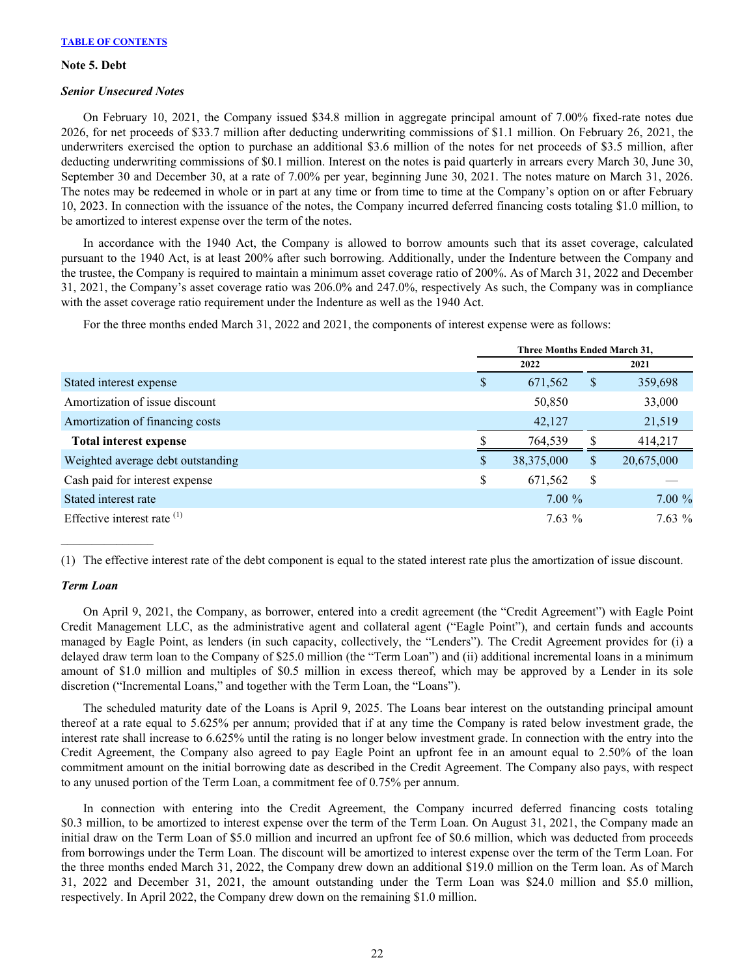#### <span id="page-22-0"></span>**Note 5. Debt**

#### *Senior Unsecured Notes*

On February 10, 2021, the Company issued \$34.8 million in aggregate principal amount of 7.00% fixed-rate notes due 2026, for net proceeds of \$33.7 million after deducting underwriting commissions of \$1.1 million. On February 26, 2021, the underwriters exercised the option to purchase an additional \$3.6 million of the notes for net proceeds of \$3.5 million, after deducting underwriting commissions of \$0.1 million. Interest on the notes is paid quarterly in arrears every March 30, June 30, September 30 and December 30, at a rate of 7.00% per year, beginning June 30, 2021. The notes mature on March 31, 2026. The notes may be redeemed in whole or in part at any time or from time to time at the Company's option on or after February 10, 2023. In connection with the issuance of the notes, the Company incurred deferred financing costs totaling \$1.0 million, to be amortized to interest expense over the term of the notes.

In accordance with the 1940 Act, the Company is allowed to borrow amounts such that its asset coverage, calculated pursuant to the 1940 Act, is at least 200% after such borrowing. Additionally, under the Indenture between the Company and the trustee, the Company is required to maintain a minimum asset coverage ratio of 200%. As of March 31, 2022 and December 31, 2021, the Company's asset coverage ratio was 206.0% and 247.0%, respectively As such, the Company was in compliance with the asset coverage ratio requirement under the Indenture as well as the 1940 Act.

For the three months ended March 31, 2022 and 2021, the components of interest expense were as follows:

|                                   |    | Three Months Ended March 31, |    |            |  |  |  |
|-----------------------------------|----|------------------------------|----|------------|--|--|--|
|                                   |    | 2022                         |    | 2021       |  |  |  |
| Stated interest expense           | S  | 671,562                      | S  | 359,698    |  |  |  |
| Amortization of issue discount    |    | 50,850                       |    | 33,000     |  |  |  |
| Amortization of financing costs   |    | 42,127                       |    | 21,519     |  |  |  |
| Total interest expense            |    | 764,539                      |    | 414,217    |  |  |  |
| Weighted average debt outstanding | \$ | 38, 375, 000                 | \$ | 20,675,000 |  |  |  |
| Cash paid for interest expense    | \$ | 671,562                      | \$ |            |  |  |  |
| Stated interest rate              |    | $7.00\%$                     |    | $7.00 \%$  |  |  |  |
| Effective interest rate $(1)$     |    | $7.63\%$                     |    | $7.63\%$   |  |  |  |

(1) The effective interest rate of the debt component is equal to the stated interest rate plus the amortization of issue discount.

#### *Term Loan*

 $\mathcal{L}_\text{max}$  and  $\mathcal{L}_\text{max}$ 

On April 9, 2021, the Company, as borrower, entered into a credit agreement (the "Credit Agreement") with Eagle Point Credit Management LLC, as the administrative agent and collateral agent ("Eagle Point"), and certain funds and accounts managed by Eagle Point, as lenders (in such capacity, collectively, the "Lenders"). The Credit Agreement provides for (i) a delayed draw term loan to the Company of \$25.0 million (the "Term Loan") and (ii) additional incremental loans in a minimum amount of \$1.0 million and multiples of \$0.5 million in excess thereof, which may be approved by a Lender in its sole discretion ("Incremental Loans," and together with the Term Loan, the "Loans").

The scheduled maturity date of the Loans is April 9, 2025. The Loans bear interest on the outstanding principal amount thereof at a rate equal to 5.625% per annum; provided that if at any time the Company is rated below investment grade, the interest rate shall increase to 6.625% until the rating is no longer below investment grade. In connection with the entry into the Credit Agreement, the Company also agreed to pay Eagle Point an upfront fee in an amount equal to 2.50% of the loan commitment amount on the initial borrowing date as described in the Credit Agreement. The Company also pays, with respect to any unused portion of the Term Loan, a commitment fee of 0.75% per annum.

In connection with entering into the Credit Agreement, the Company incurred deferred financing costs totaling \$0.3 million, to be amortized to interest expense over the term of the Term Loan. On August 31, 2021, the Company made an initial draw on the Term Loan of \$5.0 million and incurred an upfront fee of \$0.6 million, which was deducted from proceeds from borrowings under the Term Loan. The discount will be amortized to interest expense over the term of the Term Loan. For the three months ended March 31, 2022, the Company drew down an additional \$19.0 million on the Term loan. As of March 31, 2022 and December 31, 2021, the amount outstanding under the Term Loan was \$24.0 million and \$5.0 million, respectively. In April 2022, the Company drew down on the remaining \$1.0 million.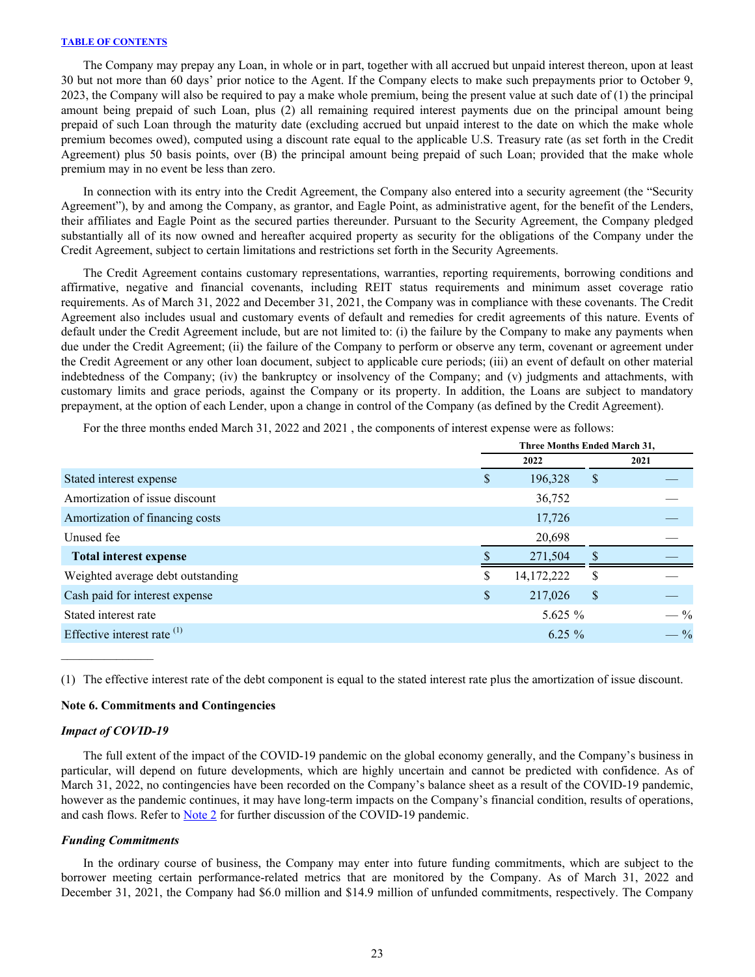<span id="page-23-0"></span>The Company may prepay any Loan, in whole or in part, together with all accrued but unpaid interest thereon, upon at least 30 but not more than 60 days' prior notice to the Agent. If the Company elects to make such prepayments prior to October 9, 2023, the Company will also be required to pay a make whole premium, being the present value at such date of (1) the principal amount being prepaid of such Loan, plus (2) all remaining required interest payments due on the principal amount being prepaid of such Loan through the maturity date (excluding accrued but unpaid interest to the date on which the make whole premium becomes owed), computed using a discount rate equal to the applicable U.S. Treasury rate (as set forth in the Credit Agreement) plus 50 basis points, over (B) the principal amount being prepaid of such Loan; provided that the make whole premium may in no event be less than zero.

In connection with its entry into the Credit Agreement, the Company also entered into a security agreement (the "Security Agreement"), by and among the Company, as grantor, and Eagle Point, as administrative agent, for the benefit of the Lenders, their affiliates and Eagle Point as the secured parties thereunder. Pursuant to the Security Agreement, the Company pledged substantially all of its now owned and hereafter acquired property as security for the obligations of the Company under the Credit Agreement, subject to certain limitations and restrictions set forth in the Security Agreements.

The Credit Agreement contains customary representations, warranties, reporting requirements, borrowing conditions and affirmative, negative and financial covenants, including REIT status requirements and minimum asset coverage ratio requirements. As of March 31, 2022 and December 31, 2021, the Company was in compliance with these covenants. The Credit Agreement also includes usual and customary events of default and remedies for credit agreements of this nature. Events of default under the Credit Agreement include, but are not limited to: (i) the failure by the Company to make any payments when due under the Credit Agreement; (ii) the failure of the Company to perform or observe any term, covenant or agreement under the Credit Agreement or any other loan document, subject to applicable cure periods; (iii) an event of default on other material indebtedness of the Company; (iv) the bankruptcy or insolvency of the Company; and (v) judgments and attachments, with customary limits and grace periods, against the Company or its property. In addition, the Loans are subject to mandatory prepayment, at the option of each Lender, upon a change in control of the Company (as defined by the Credit Agreement).

For the three months ended March 31, 2022 and 2021 , the components of interest expense were as follows:

|                                   | Three Months Ended March 31, |              |    |                 |  |
|-----------------------------------|------------------------------|--------------|----|-----------------|--|
|                                   |                              | 2022         |    | 2021            |  |
| Stated interest expense           | \$                           | 196,328      | \$ |                 |  |
| Amortization of issue discount    |                              | 36,752       |    |                 |  |
| Amortization of financing costs   |                              | 17,726       |    |                 |  |
| Unused fee                        |                              | 20,698       |    |                 |  |
| <b>Total interest expense</b>     |                              | 271,504      |    |                 |  |
| Weighted average debt outstanding | S                            | 14, 172, 222 | S  |                 |  |
| Cash paid for interest expense    | \$                           | 217,026      | \$ |                 |  |
| Stated interest rate              |                              | 5.625 $%$    |    | $- \frac{9}{6}$ |  |
| Effective interest rate (1)       |                              | $6.25 \%$    |    | $- \frac{9}{6}$ |  |

(1) The effective interest rate of the debt component is equal to the stated interest rate plus the amortization of issue discount.

#### **Note 6. Commitments and Contingencies**

#### *Impact of COVID-19*

 $\mathcal{L}_\text{max}$  and  $\mathcal{L}_\text{max}$ 

The full extent of the impact of the COVID-19 pandemic on the global economy generally, and the Company's business in particular, will depend on future developments, which are highly uncertain and cannot be predicted with confidence. As of March 31, 2022, no contingencies have been recorded on the Company's balance sheet as a result of the COVID-19 pandemic, however as the pandemic continues, it may have long-term impacts on the Company's financial condition, results of operations, and cash flows. Refer to **Note 2** for further discussion of the COVID-19 pandemic.

#### *Funding Commitments*

In the ordinary course of business, the Company may enter into future funding commitments, which are subject to the borrower meeting certain performance-related metrics that are monitored by the Company. As of March 31, 2022 and December 31, 2021, the Company had \$6.0 million and \$14.9 million of unfunded commitments, respectively. The Company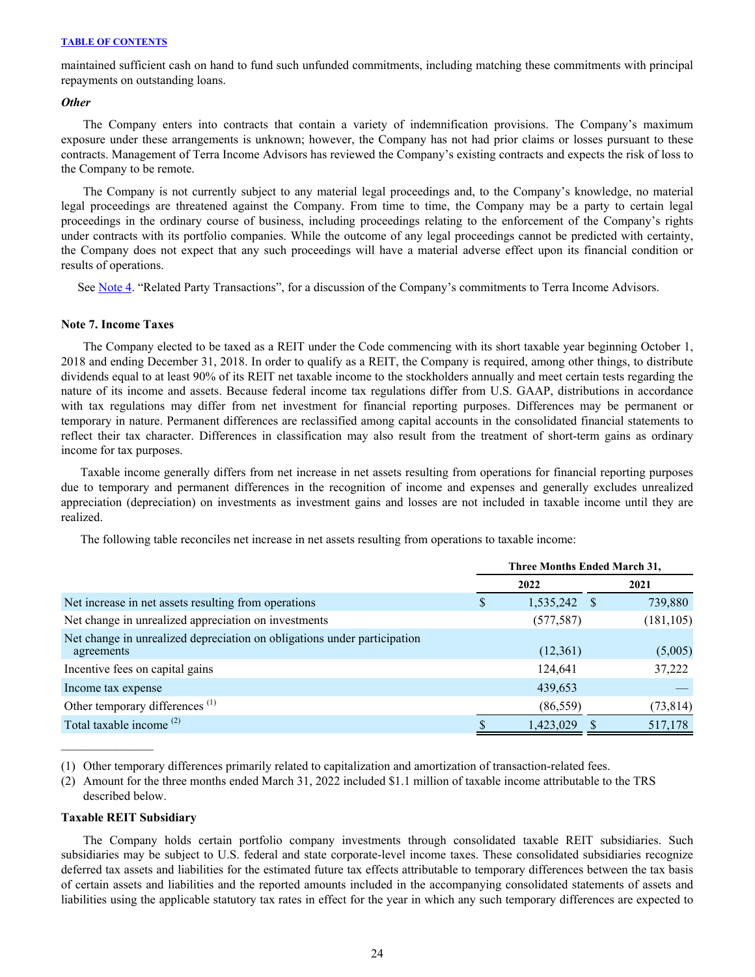maintained sufficient cash on hand to fund such unfunded commitments, including matching these commitments with principal repayments on outstanding loans.

## *Other*

The Company enters into contracts that contain a variety of indemnification provisions. The Company's maximum exposure under these arrangements is unknown; however, the Company has not had prior claims or losses pursuant to these contracts. Management of Terra Income Advisors has reviewed the Company's existing contracts and expects the risk of loss to the Company to be remote.

The Company is not currently subject to any material legal proceedings and, to the Company's knowledge, no material legal proceedings are threatened against the Company. From time to time, the Company may be a party to certain legal proceedings in the ordinary course of business, including proceedings relating to the enforcement of the Company's rights under contracts with its portfolio companies. While the outcome of any legal proceedings cannot be predicted with certainty, the Company does not expect that any such proceedings will have a material adverse effect upon its financial condition or results of operations.

See [Note 4.](#page-18-0) "Related Party Transactions", for a discussion of the Company's commitments to Terra Income Advisors.

## **Note 7. Income Taxes**

The Company elected to be taxed as a REIT under the Code commencing with its short taxable year beginning October 1, 2018 and ending December 31, 2018. In order to qualify as a REIT, the Company is required, among other things, to distribute dividends equal to at least 90% of its REIT net taxable income to the stockholders annually and meet certain tests regarding the nature of its income and assets. Because federal income tax regulations differ from U.S. GAAP, distributions in accordance with tax regulations may differ from net investment for financial reporting purposes. Differences may be permanent or temporary in nature. Permanent differences are reclassified among capital accounts in the consolidated financial statements to reflect their tax character. Differences in classification may also result from the treatment of short-term gains as ordinary income for tax purposes.

Taxable income generally differs from net increase in net assets resulting from operations for financial reporting purposes due to temporary and permanent differences in the recognition of income and expenses and generally excludes unrealized appreciation (depreciation) on investments as investment gains and losses are not included in taxable income until they are realized.

The following table reconciles net increase in net assets resulting from operations to taxable income:

|                                                                                        | <b>Three Months Ended March 31,</b> |            |  |            |  |  |
|----------------------------------------------------------------------------------------|-------------------------------------|------------|--|------------|--|--|
|                                                                                        | 2022                                |            |  | 2021       |  |  |
| Net increase in net assets resulting from operations                                   | У                                   | 1,535,242  |  | 739,880    |  |  |
| Net change in unrealized appreciation on investments                                   |                                     | (577, 587) |  | (181, 105) |  |  |
| Net change in unrealized depreciation on obligations under participation<br>agreements |                                     | (12,361)   |  | (5,005)    |  |  |
| Incentive fees on capital gains                                                        |                                     | 124.641    |  | 37,222     |  |  |
| Income tax expense                                                                     |                                     | 439,653    |  |            |  |  |
| Other temporary differences <sup>(1)</sup>                                             |                                     | (86, 559)  |  | (73, 814)  |  |  |
| Total taxable income <sup>(2)</sup>                                                    |                                     | 1,423,029  |  | 517,178    |  |  |

(1) Other temporary differences primarily related to capitalization and amortization of transaction-related fees.

(2) Amount for the three months ended March 31, 2022 included \$1.1 million of taxable income attributable to the TRS described below.

#### **Taxable REIT Subsidiary**

The Company holds certain portfolio company investments through consolidated taxable REIT subsidiaries. Such subsidiaries may be subject to U.S. federal and state corporate-level income taxes. These consolidated subsidiaries recognize deferred tax assets and liabilities for the estimated future tax effects attributable to temporary differences between the tax basis of certain assets and liabilities and the reported amounts included in the accompanying consolidated statements of assets and liabilities using the applicable statutory tax rates in effect for the year in which any such temporary differences are expected to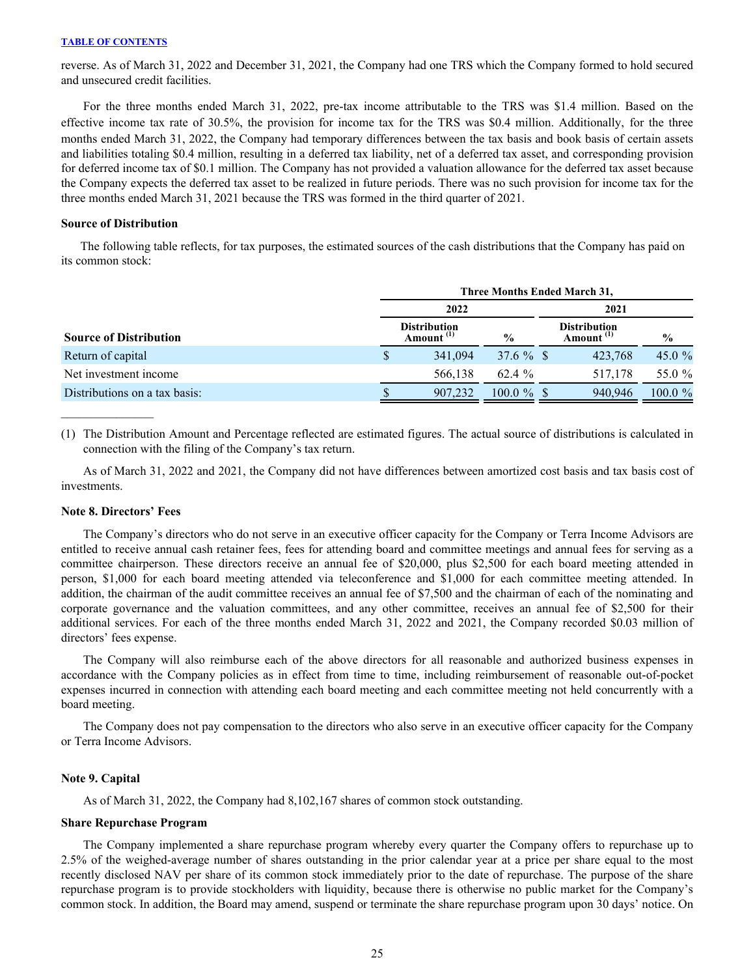reverse. As of March 31, 2022 and December 31, 2021, the Company had one TRS which the Company formed to hold secured and unsecured credit facilities.

For the three months ended March 31, 2022, pre-tax income attributable to the TRS was \$1.4 million. Based on the effective income tax rate of 30.5%, the provision for income tax for the TRS was \$0.4 million. Additionally, for the three months ended March 31, 2022, the Company had temporary differences between the tax basis and book basis of certain assets and liabilities totaling \$0.4 million, resulting in a deferred tax liability, net of a deferred tax asset, and corresponding provision for deferred income tax of \$0.1 million. The Company has not provided a valuation allowance for the deferred tax asset because the Company expects the deferred tax asset to be realized in future periods. There was no such provision for income tax for the three months ended March 31, 2021 because the TRS was formed in the third quarter of 2021.

#### **Source of Distribution**

The following table reflects, for tax purposes, the estimated sources of the cash distributions that the Company has paid on its common stock:

|                               | Three Months Ended March 31, |                                              |               |      |                                              |               |  |  |  |
|-------------------------------|------------------------------|----------------------------------------------|---------------|------|----------------------------------------------|---------------|--|--|--|
|                               |                              | 2022                                         |               | 2021 |                                              |               |  |  |  |
| <b>Source of Distribution</b> |                              | <b>Distribution</b><br>Amount <sup>(1)</sup> | $\frac{6}{6}$ |      | <b>Distribution</b><br>Amount <sup>(1)</sup> | $\frac{6}{9}$ |  |  |  |
| Return of capital             | S                            | 341,094                                      | 37.6 $%$ \$   |      | 423,768                                      | 45.0 $%$      |  |  |  |
| Net investment income         |                              | 566.138                                      | 62.4 %        |      | 517.178                                      | 55.0 %        |  |  |  |
| Distributions on a tax basis: |                              | 907.232                                      | $100.0 \%$ \$ |      | 940.946                                      | $100.0 \%$    |  |  |  |

(1) The Distribution Amount and Percentage reflected are estimated figures. The actual source of distributions is calculated in connection with the filing of the Company's tax return.

As of March 31, 2022 and 2021, the Company did not have differences between amortized cost basis and tax basis cost of investments.

#### **Note 8. Directors' Fees**

The Company's directors who do not serve in an executive officer capacity for the Company or Terra Income Advisors are entitled to receive annual cash retainer fees, fees for attending board and committee meetings and annual fees for serving as a committee chairperson. These directors receive an annual fee of \$20,000, plus \$2,500 for each board meeting attended in person, \$1,000 for each board meeting attended via teleconference and \$1,000 for each committee meeting attended. In addition, the chairman of the audit committee receives an annual fee of \$7,500 and the chairman of each of the nominating and corporate governance and the valuation committees, and any other committee, receives an annual fee of \$2,500 for their additional services. For each of the three months ended March 31, 2022 and 2021, the Company recorded \$0.03 million of directors' fees expense.

The Company will also reimburse each of the above directors for all reasonable and authorized business expenses in accordance with the Company policies as in effect from time to time, including reimbursement of reasonable out-of-pocket expenses incurred in connection with attending each board meeting and each committee meeting not held concurrently with a board meeting.

The Company does not pay compensation to the directors who also serve in an executive officer capacity for the Company or Terra Income Advisors.

#### **Note 9. Capital**

As of March 31, 2022, the Company had 8,102,167 shares of common stock outstanding.

#### **Share Repurchase Program**

 The Company implemented a share repurchase program whereby every quarter the Company offers to repurchase up to 2.5% of the weighed-average number of shares outstanding in the prior calendar year at a price per share equal to the most recently disclosed NAV per share of its common stock immediately prior to the date of repurchase. The purpose of the share repurchase program is to provide stockholders with liquidity, because there is otherwise no public market for the Company's common stock. In addition, the Board may amend, suspend or terminate the share repurchase program upon 30 days' notice. On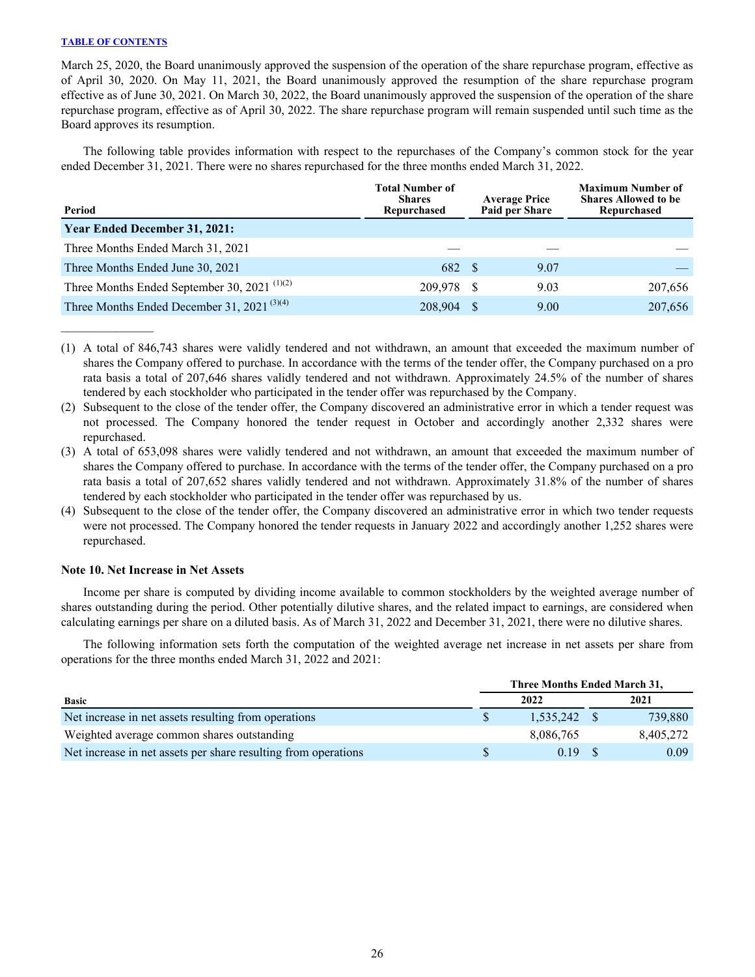March 25, 2020, the Board unanimously approved the suspension of the operation of the share repurchase program, effective as of April 30, 2020. On May 11, 2021, the Board unanimously approved the resumption of the share repurchase program effective as of June 30, 2021. On March 30, 2022, the Board unanimously approved the suspension of the operation of the share repurchase program, effective as of April 30, 2022. The share repurchase program will remain suspended until such time as the Board approves its resumption.

The following table provides information with respect to the repurchases of the Company's common stock for the year ended December 31, 2021. There were no shares repurchased for the three months ended March 31, 2022.

| Period                                                               | <b>Total Number of</b><br><b>Shares</b><br>Repurchased | <b>Average Price</b><br>Paid per Share | <b>Maximum Number of</b><br><b>Shares Allowed to be</b><br>Repurchased |  |
|----------------------------------------------------------------------|--------------------------------------------------------|----------------------------------------|------------------------------------------------------------------------|--|
| <b>Year Ended December 31, 2021:</b>                                 |                                                        |                                        |                                                                        |  |
| Three Months Ended March 31, 2021                                    |                                                        |                                        |                                                                        |  |
| Three Months Ended June 30, 2021                                     | 682 \$                                                 | 9.07                                   |                                                                        |  |
| Three Months Ended September 30, 2021 <sup><math>(1)(2)</math></sup> | 209.978 \$                                             | 9.03                                   | 207,656                                                                |  |
| Three Months Ended December 31, 2021 <sup>(3)(4)</sup>               | 208,904 \$                                             | 9.00                                   | 207,656                                                                |  |

(1) A total of 846,743 shares were validly tendered and not withdrawn, an amount that exceeded the maximum number of shares the Company offered to purchase. In accordance with the terms of the tender offer, the Company purchased on a pro rata basis a total of 207,646 shares validly tendered and not withdrawn. Approximately 24.5% of the number of shares tendered by each stockholder who participated in the tender offer was repurchased by the Company.

(2) Subsequent to the close of the tender offer, the Company discovered an administrative error in which a tender request was not processed. The Company honored the tender request in October and accordingly another 2,332 shares were repurchased.

- (3) A total of 653,098 shares were validly tendered and not withdrawn, an amount that exceeded the maximum number of shares the Company offered to purchase. In accordance with the terms of the tender offer, the Company purchased on a pro rata basis a total of 207,652 shares validly tendered and not withdrawn. Approximately 31.8% of the number of shares tendered by each stockholder who participated in the tender offer was repurchased by us.
- (4) Subsequent to the close of the tender offer, the Company discovered an administrative error in which two tender requests were not processed. The Company honored the tender requests in January 2022 and accordingly another 1,252 shares were repurchased.

### **Note 10. Net Increase in Net Assets**

Income per share is computed by dividing income available to common stockholders by the weighted average number of shares outstanding during the period. Other potentially dilutive shares, and the related impact to earnings, are considered when calculating earnings per share on a diluted basis. As of March 31, 2022 and December 31, 2021, there were no dilutive shares.

The following information sets forth the computation of the weighted average net increase in net assets per share from operations for the three months ended March 31, 2022 and 2021:

|                                                                | Three Months Ended March 31, |                |           |  |  |
|----------------------------------------------------------------|------------------------------|----------------|-----------|--|--|
| <b>Basic</b>                                                   |                              | 2022           | 2021      |  |  |
| Net increase in net assets resulting from operations           |                              | $1.535.242$ \$ | 739.880   |  |  |
| Weighted average common shares outstanding                     |                              | 8.086.765      | 8,405,272 |  |  |
| Net increase in net assets per share resulting from operations |                              | 0.19           | 0.09      |  |  |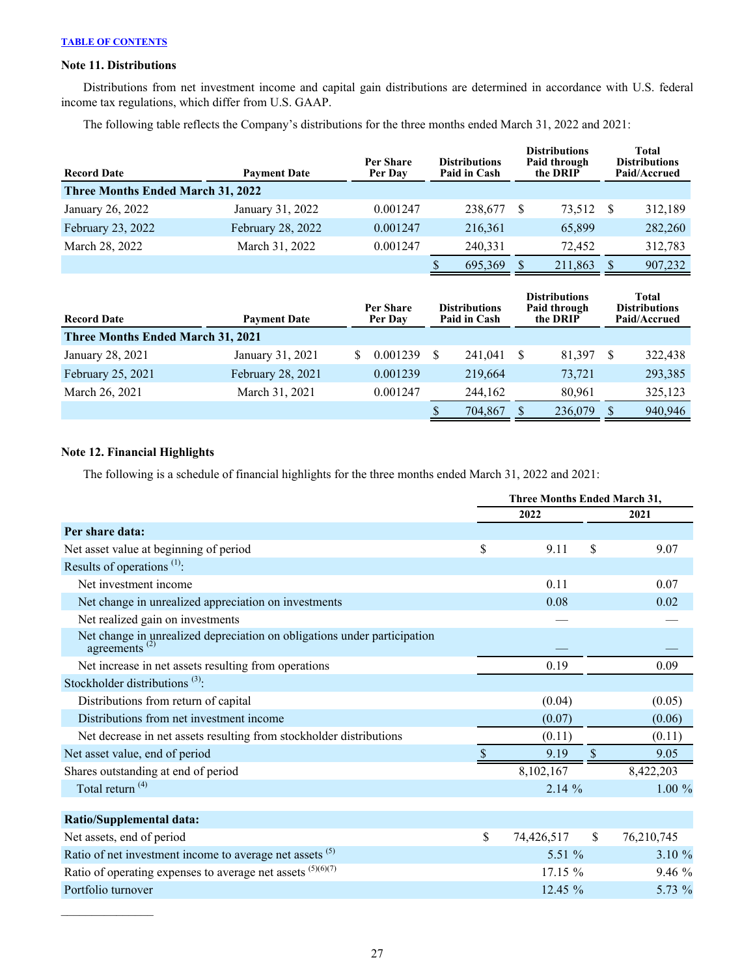## **Note 11. Distributions**

Distributions from net investment income and capital gain distributions are determined in accordance with U.S. federal income tax regulations, which differ from U.S. GAAP.

The following table reflects the Company's distributions for the three months ended March 31, 2022 and 2021:

| <b>Record Date</b>                       | <b>Payment Date</b> | Per Share<br>Per Day | <b>Distributions</b><br>Paid in Cash | <b>Distributions</b><br>Paid through<br>the DRIP |    | Total<br><b>Distributions</b><br>Paid/Accrued |  |
|------------------------------------------|---------------------|----------------------|--------------------------------------|--------------------------------------------------|----|-----------------------------------------------|--|
| <b>Three Months Ended March 31, 2022</b> |                     |                      |                                      |                                                  |    |                                               |  |
| January 26, 2022                         | January 31, 2022    | 0.001247             | 238,677                              | 73,512                                           | -S | 312,189                                       |  |
| February 23, 2022                        | February 28, 2022   | 0.001247             | 216,361                              | 65,899                                           |    | 282,260                                       |  |
| March 28, 2022                           | March 31, 2022      | 0.001247             | 240,331                              | 72,452                                           |    | 312,783                                       |  |
|                                          |                     |                      | 695,369                              | 211,863                                          |    | 907,232                                       |  |

| <b>Record Date</b>                       | <b>Payment Date</b> | <b>Per Share</b><br>Per Dav |   | <b>Distributions</b><br>Paid in Cash |  | <b>Distributions</b><br>Paid through<br>the DRIP |  | Total<br><b>Distributions</b><br>Paid/Accrued |
|------------------------------------------|---------------------|-----------------------------|---|--------------------------------------|--|--------------------------------------------------|--|-----------------------------------------------|
| <b>Three Months Ended March 31, 2021</b> |                     |                             |   |                                      |  |                                                  |  |                                               |
| January 28, 2021                         | January 31, 2021    | 0.001239                    |   | 241.041                              |  | 81,397                                           |  | 322,438                                       |
| February 25, 2021                        | February 28, 2021   | 0.001239                    |   | 219,664                              |  | 73.721                                           |  | 293,385                                       |
| March 26, 2021                           | March 31, 2021      | 0.001247                    |   | 244.162                              |  | 80,961                                           |  | 325,123                                       |
|                                          |                     |                             | S | 704,867                              |  | 236,079                                          |  | 940,946                                       |

## **Note 12. Financial Highlights**

 $\mathcal{L}_\text{max}$  , where  $\mathcal{L}_\text{max}$ 

The following is a schedule of financial highlights for the three months ended March 31, 2022 and 2021:

|                                                                                                 | <b>Three Months Ended March 31,</b> |     |            |  |  |
|-------------------------------------------------------------------------------------------------|-------------------------------------|-----|------------|--|--|
|                                                                                                 | 2022                                |     | 2021       |  |  |
| Per share data:                                                                                 |                                     |     |            |  |  |
| Net asset value at beginning of period                                                          | \$<br>9.11                          | \$. | 9.07       |  |  |
| Results of operations $(1)$ :                                                                   |                                     |     |            |  |  |
| Net investment income                                                                           | 0.11                                |     | 0.07       |  |  |
| Net change in unrealized appreciation on investments                                            | 0.08                                |     | 0.02       |  |  |
| Net realized gain on investments                                                                |                                     |     |            |  |  |
| Net change in unrealized depreciation on obligations under participation<br>agreements $^{(2)}$ |                                     |     |            |  |  |
| Net increase in net assets resulting from operations                                            | 0.19                                |     | 0.09       |  |  |
| Stockholder distributions $(3)$ :                                                               |                                     |     |            |  |  |
| Distributions from return of capital                                                            | (0.04)                              |     | (0.05)     |  |  |
| Distributions from net investment income                                                        | (0.07)                              |     | (0.06)     |  |  |
| Net decrease in net assets resulting from stockholder distributions                             | (0.11)                              |     | (0.11)     |  |  |
| Net asset value, end of period                                                                  | 9.19                                |     | 9.05       |  |  |
| Shares outstanding at end of period                                                             | 8,102,167                           |     | 8,422,203  |  |  |
| Total return <sup>(4)</sup>                                                                     | 2.14%                               |     | $1.00 \%$  |  |  |
|                                                                                                 |                                     |     |            |  |  |
| <b>Ratio/Supplemental data:</b>                                                                 |                                     |     |            |  |  |
| Net assets, end of period                                                                       | \$<br>74,426,517                    | \$  | 76,210,745 |  |  |
| Ratio of net investment income to average net assets <sup>(5)</sup>                             | 5.51 $%$                            |     | $3.10 \%$  |  |  |
| Ratio of operating expenses to average net assets $(5)(6)(7)$                                   | 17.15 %                             |     | 9.46 %     |  |  |
| Portfolio turnover                                                                              | $12.45 \%$                          |     | 5.73 %     |  |  |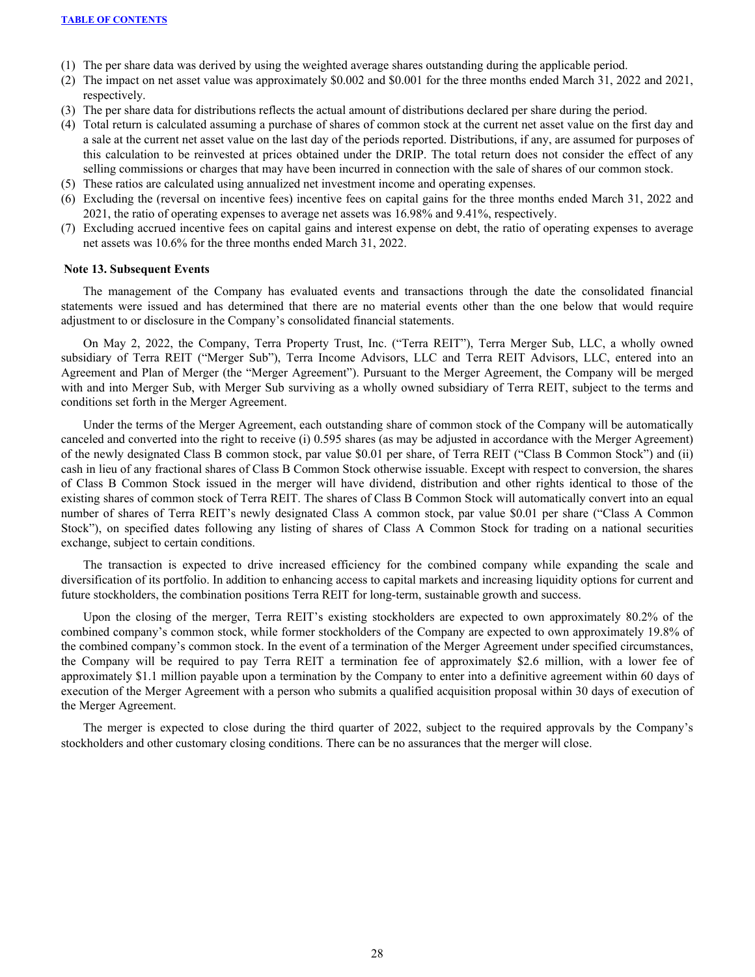- (1) The per share data was derived by using the weighted average shares outstanding during the applicable period.
- (2) The impact on net asset value was approximately \$0.002 and \$0.001 for the three months ended March 31, 2022 and 2021, respectively.
- (3) The per share data for distributions reflects the actual amount of distributions declared per share during the period.
- (4) Total return is calculated assuming a purchase of shares of common stock at the current net asset value on the first day and a sale at the current net asset value on the last day of the periods reported. Distributions, if any, are assumed for purposes of this calculation to be reinvested at prices obtained under the DRIP. The total return does not consider the effect of any selling commissions or charges that may have been incurred in connection with the sale of shares of our common stock.
- (5) These ratios are calculated using annualized net investment income and operating expenses.
- (6) Excluding the (reversal on incentive fees) incentive fees on capital gains for the three months ended March 31, 2022 and 2021, the ratio of operating expenses to average net assets was 16.98% and 9.41%, respectively.
- (7) Excluding accrued incentive fees on capital gains and interest expense on debt, the ratio of operating expenses to average net assets was 10.6% for the three months ended March 31, 2022.

#### **Note 13. Subsequent Events**

The management of the Company has evaluated events and transactions through the date the consolidated financial statements were issued and has determined that there are no material events other than the one below that would require adjustment to or disclosure in the Company's consolidated financial statements.

On May 2, 2022, the Company, Terra Property Trust, Inc. ("Terra REIT"), Terra Merger Sub, LLC, a wholly owned subsidiary of Terra REIT ("Merger Sub"), Terra Income Advisors, LLC and Terra REIT Advisors, LLC, entered into an Agreement and Plan of Merger (the "Merger Agreement"). Pursuant to the Merger Agreement, the Company will be merged with and into Merger Sub, with Merger Sub surviving as a wholly owned subsidiary of Terra REIT, subject to the terms and conditions set forth in the Merger Agreement.

Under the terms of the Merger Agreement, each outstanding share of common stock of the Company will be automatically canceled and converted into the right to receive (i) 0.595 shares (as may be adjusted in accordance with the Merger Agreement) of the newly designated Class B common stock, par value \$0.01 per share, of Terra REIT ("Class B Common Stock") and (ii) cash in lieu of any fractional shares of Class B Common Stock otherwise issuable. Except with respect to conversion, the shares of Class B Common Stock issued in the merger will have dividend, distribution and other rights identical to those of the existing shares of common stock of Terra REIT. The shares of Class B Common Stock will automatically convert into an equal number of shares of Terra REIT's newly designated Class A common stock, par value \$0.01 per share ("Class A Common Stock"), on specified dates following any listing of shares of Class A Common Stock for trading on a national securities exchange, subject to certain conditions.

The transaction is expected to drive increased efficiency for the combined company while expanding the scale and diversification of its portfolio. In addition to enhancing access to capital markets and increasing liquidity options for current and future stockholders, the combination positions Terra REIT for long-term, sustainable growth and success.

Upon the closing of the merger, Terra REIT's existing stockholders are expected to own approximately 80.2% of the combined company's common stock, while former stockholders of the Company are expected to own approximately 19.8% of the combined company's common stock. In the event of a termination of the Merger Agreement under specified circumstances, the Company will be required to pay Terra REIT a termination fee of approximately \$2.6 million, with a lower fee of approximately \$1.1 million payable upon a termination by the Company to enter into a definitive agreement within 60 days of execution of the Merger Agreement with a person who submits a qualified acquisition proposal within 30 days of execution of the Merger Agreement.

The merger is expected to close during the third quarter of 2022, subject to the required approvals by the Company's stockholders and other customary closing conditions. There can be no assurances that the merger will close.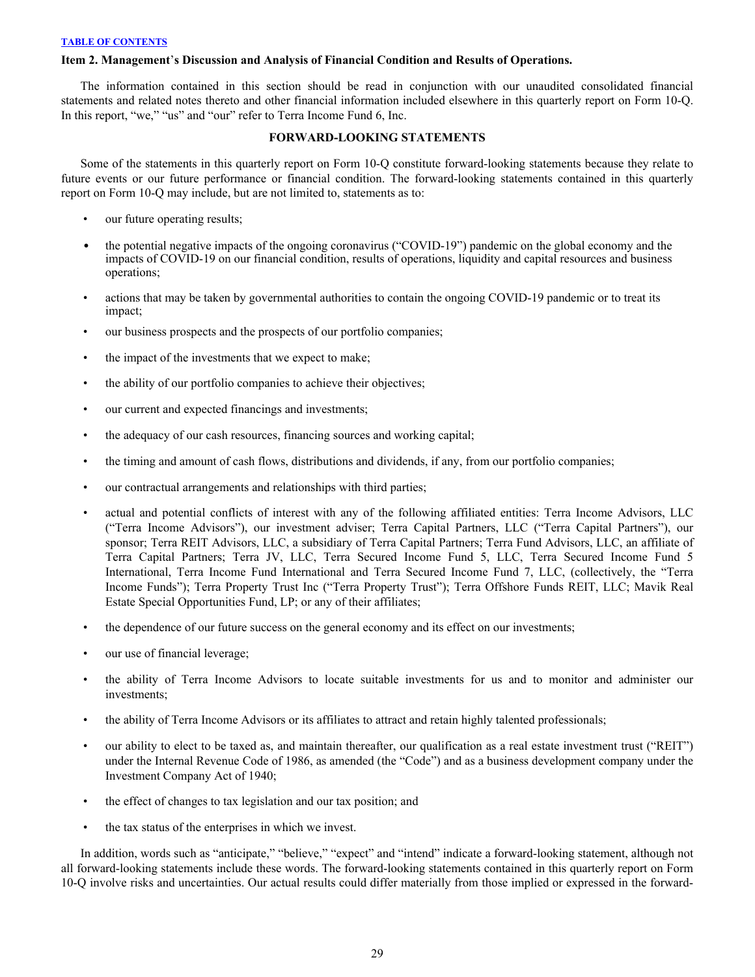## <span id="page-29-0"></span>**Item 2. Management**'**s Discussion and Analysis of Financial Condition and Results of Operations.**

The information contained in this section should be read in conjunction with our unaudited consolidated financial statements and related notes thereto and other financial information included elsewhere in this quarterly report on Form 10-Q. In this report, "we," "us" and "our" refer to Terra Income Fund 6, Inc.

### **FORWARD-LOOKING STATEMENTS**

Some of the statements in this quarterly report on Form 10-Q constitute forward-looking statements because they relate to future events or our future performance or financial condition. The forward-looking statements contained in this quarterly report on Form 10-Q may include, but are not limited to, statements as to:

- our future operating results;
- the potential negative impacts of the ongoing coronavirus ("COVID-19") pandemic on the global economy and the impacts of COVID-19 on our financial condition, results of operations, liquidity and capital resources and business operations;
- actions that may be taken by governmental authorities to contain the ongoing COVID-19 pandemic or to treat its impact;
- our business prospects and the prospects of our portfolio companies;
- the impact of the investments that we expect to make;
- the ability of our portfolio companies to achieve their objectives;
- our current and expected financings and investments;
- the adequacy of our cash resources, financing sources and working capital;
- the timing and amount of cash flows, distributions and dividends, if any, from our portfolio companies;
- our contractual arrangements and relationships with third parties;
- actual and potential conflicts of interest with any of the following affiliated entities: Terra Income Advisors, LLC ("Terra Income Advisors"), our investment adviser; Terra Capital Partners, LLC ("Terra Capital Partners"), our sponsor; Terra REIT Advisors, LLC, a subsidiary of Terra Capital Partners; Terra Fund Advisors, LLC, an affiliate of Terra Capital Partners; Terra JV, LLC, Terra Secured Income Fund 5, LLC, Terra Secured Income Fund 5 International, Terra Income Fund International and Terra Secured Income Fund 7, LLC, (collectively, the "Terra Income Funds"); Terra Property Trust Inc ("Terra Property Trust"); Terra Offshore Funds REIT, LLC; Mavik Real Estate Special Opportunities Fund, LP; or any of their affiliates;
- the dependence of our future success on the general economy and its effect on our investments;
- our use of financial leverage;
- the ability of Terra Income Advisors to locate suitable investments for us and to monitor and administer our investments;
- the ability of Terra Income Advisors or its affiliates to attract and retain highly talented professionals;
- our ability to elect to be taxed as, and maintain thereafter, our qualification as a real estate investment trust ("REIT") under the Internal Revenue Code of 1986, as amended (the "Code") and as a business development company under the Investment Company Act of 1940;
- the effect of changes to tax legislation and our tax position; and
- the tax status of the enterprises in which we invest.

In addition, words such as "anticipate," "believe," "expect" and "intend" indicate a forward-looking statement, although not all forward-looking statements include these words. The forward-looking statements contained in this quarterly report on Form 10-Q involve risks and uncertainties. Our actual results could differ materially from those implied or expressed in the forward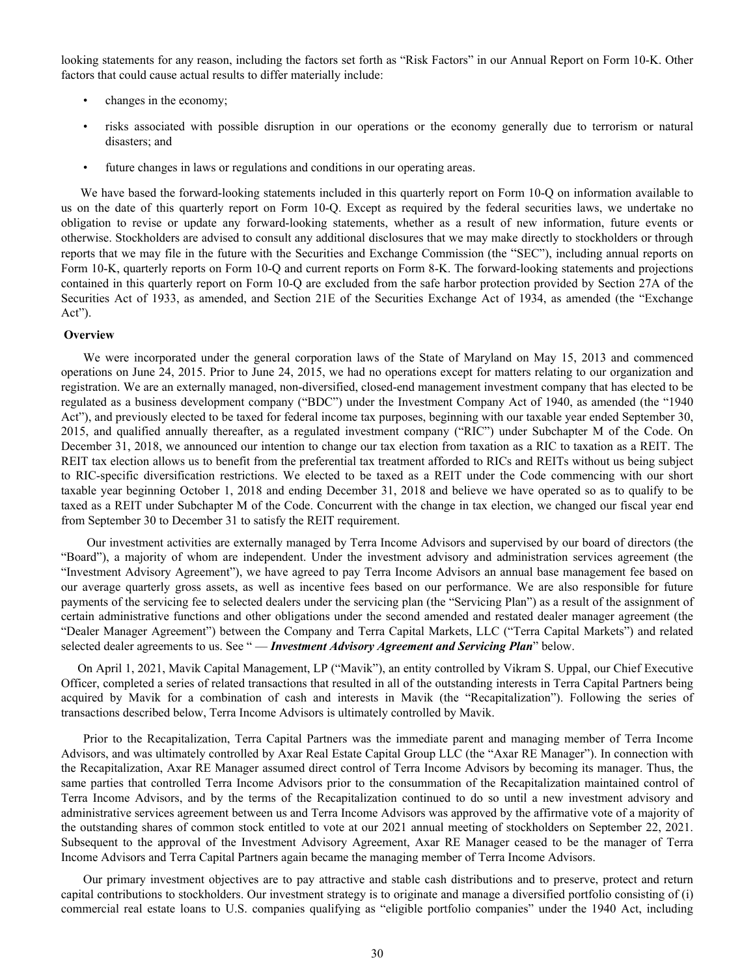looking statements for any reason, including the factors set forth as "Risk Factors" in our Annual Report on Form 10-K. Other factors that could cause actual results to differ materially include:

- changes in the economy;
- risks associated with possible disruption in our operations or the economy generally due to terrorism or natural disasters; and
- future changes in laws or regulations and conditions in our operating areas.

We have based the forward-looking statements included in this quarterly report on Form 10-Q on information available to us on the date of this quarterly report on Form 10-Q. Except as required by the federal securities laws, we undertake no obligation to revise or update any forward-looking statements, whether as a result of new information, future events or otherwise. Stockholders are advised to consult any additional disclosures that we may make directly to stockholders or through reports that we may file in the future with the Securities and Exchange Commission (the "SEC"), including annual reports on Form 10-K, quarterly reports on Form 10-Q and current reports on Form 8-K. The forward-looking statements and projections contained in this quarterly report on Form 10-Q are excluded from the safe harbor protection provided by Section 27A of the Securities Act of 1933, as amended, and Section 21E of the Securities Exchange Act of 1934, as amended (the "Exchange Act").

#### **Overview**

We were incorporated under the general corporation laws of the State of Maryland on May 15, 2013 and commenced operations on June 24, 2015. Prior to June 24, 2015, we had no operations except for matters relating to our organization and registration. We are an externally managed, non-diversified, closed-end management investment company that has elected to be regulated as a business development company ("BDC") under the Investment Company Act of 1940, as amended (the "1940 Act"), and previously elected to be taxed for federal income tax purposes, beginning with our taxable year ended September 30, 2015, and qualified annually thereafter, as a regulated investment company ("RIC") under Subchapter M of the Code. On December 31, 2018, we announced our intention to change our tax election from taxation as a RIC to taxation as a REIT. The REIT tax election allows us to benefit from the preferential tax treatment afforded to RICs and REITs without us being subject to RIC-specific diversification restrictions. We elected to be taxed as a REIT under the Code commencing with our short taxable year beginning October 1, 2018 and ending December 31, 2018 and believe we have operated so as to qualify to be taxed as a REIT under Subchapter M of the Code. Concurrent with the change in tax election, we changed our fiscal year end from September 30 to December 31 to satisfy the REIT requirement.

 Our investment activities are externally managed by Terra Income Advisors and supervised by our board of directors (the "Board"), a majority of whom are independent. Under the investment advisory and administration services agreement (the "Investment Advisory Agreement"), we have agreed to pay Terra Income Advisors an annual base management fee based on our average quarterly gross assets, as well as incentive fees based on our performance. We are also responsible for future payments of the servicing fee to selected dealers under the servicing plan (the "Servicing Plan") as a result of the assignment of certain administrative functions and other obligations under the second amended and restated dealer manager agreement (the "Dealer Manager Agreement") between the Company and Terra Capital Markets, LLC ("Terra Capital Markets") and related selected dealer agreements to us. See " — *Investment Advisory Agreement and Servicing Plan*" below.

On April 1, 2021, Mavik Capital Management, LP ("Mavik"), an entity controlled by Vikram S. Uppal, our Chief Executive Officer, completed a series of related transactions that resulted in all of the outstanding interests in Terra Capital Partners being acquired by Mavik for a combination of cash and interests in Mavik (the "Recapitalization"). Following the series of transactions described below, Terra Income Advisors is ultimately controlled by Mavik.

Prior to the Recapitalization, Terra Capital Partners was the immediate parent and managing member of Terra Income Advisors, and was ultimately controlled by Axar Real Estate Capital Group LLC (the "Axar RE Manager"). In connection with the Recapitalization, Axar RE Manager assumed direct control of Terra Income Advisors by becoming its manager. Thus, the same parties that controlled Terra Income Advisors prior to the consummation of the Recapitalization maintained control of Terra Income Advisors, and by the terms of the Recapitalization continued to do so until a new investment advisory and administrative services agreement between us and Terra Income Advisors was approved by the affirmative vote of a majority of the outstanding shares of common stock entitled to vote at our 2021 annual meeting of stockholders on September 22, 2021. Subsequent to the approval of the Investment Advisory Agreement, Axar RE Manager ceased to be the manager of Terra Income Advisors and Terra Capital Partners again became the managing member of Terra Income Advisors.

Our primary investment objectives are to pay attractive and stable cash distributions and to preserve, protect and return capital contributions to stockholders. Our investment strategy is to originate and manage a diversified portfolio consisting of (i) commercial real estate loans to U.S. companies qualifying as "eligible portfolio companies" under the 1940 Act, including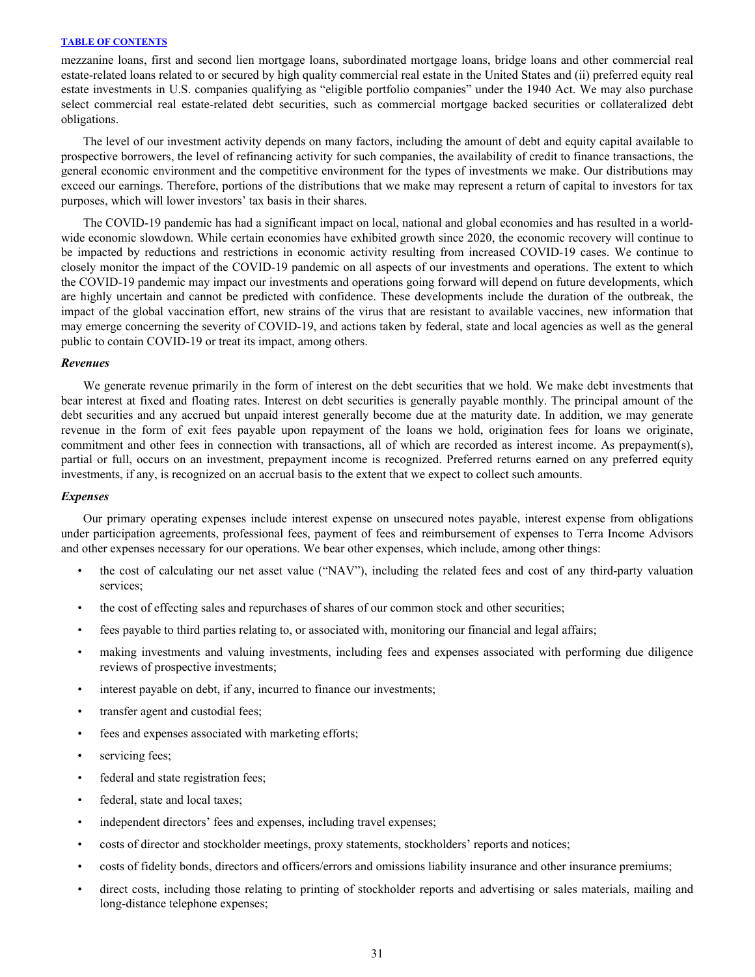mezzanine loans, first and second lien mortgage loans, subordinated mortgage loans, bridge loans and other commercial real estate-related loans related to or secured by high quality commercial real estate in the United States and (ii) preferred equity real estate investments in U.S. companies qualifying as "eligible portfolio companies" under the 1940 Act. We may also purchase select commercial real estate-related debt securities, such as commercial mortgage backed securities or collateralized debt obligations.

The level of our investment activity depends on many factors, including the amount of debt and equity capital available to prospective borrowers, the level of refinancing activity for such companies, the availability of credit to finance transactions, the general economic environment and the competitive environment for the types of investments we make. Our distributions may exceed our earnings. Therefore, portions of the distributions that we make may represent a return of capital to investors for tax purposes, which will lower investors' tax basis in their shares.

The COVID-19 pandemic has had a significant impact on local, national and global economies and has resulted in a worldwide economic slowdown. While certain economies have exhibited growth since 2020, the economic recovery will continue to be impacted by reductions and restrictions in economic activity resulting from increased COVID-19 cases. We continue to closely monitor the impact of the COVID-19 pandemic on all aspects of our investments and operations. The extent to which the COVID-19 pandemic may impact our investments and operations going forward will depend on future developments, which are highly uncertain and cannot be predicted with confidence. These developments include the duration of the outbreak, the impact of the global vaccination effort, new strains of the virus that are resistant to available vaccines, new information that may emerge concerning the severity of COVID-19, and actions taken by federal, state and local agencies as well as the general public to contain COVID-19 or treat its impact, among others.

#### *Revenues*

We generate revenue primarily in the form of interest on the debt securities that we hold. We make debt investments that bear interest at fixed and floating rates. Interest on debt securities is generally payable monthly. The principal amount of the debt securities and any accrued but unpaid interest generally become due at the maturity date. In addition, we may generate revenue in the form of exit fees payable upon repayment of the loans we hold, origination fees for loans we originate, commitment and other fees in connection with transactions, all of which are recorded as interest income. As prepayment(s), partial or full, occurs on an investment, prepayment income is recognized. Preferred returns earned on any preferred equity investments, if any, is recognized on an accrual basis to the extent that we expect to collect such amounts.

#### *Expenses*

Our primary operating expenses include interest expense on unsecured notes payable, interest expense from obligations under participation agreements, professional fees, payment of fees and reimbursement of expenses to Terra Income Advisors and other expenses necessary for our operations. We bear other expenses, which include, among other things:

- the cost of calculating our net asset value ("NAV"), including the related fees and cost of any third-party valuation services;
- the cost of effecting sales and repurchases of shares of our common stock and other securities;
- fees payable to third parties relating to, or associated with, monitoring our financial and legal affairs;
- making investments and valuing investments, including fees and expenses associated with performing due diligence reviews of prospective investments;
- interest payable on debt, if any, incurred to finance our investments;
- transfer agent and custodial fees;
- fees and expenses associated with marketing efforts;
- servicing fees;
- federal and state registration fees;
- federal, state and local taxes;
- independent directors' fees and expenses, including travel expenses;
- costs of director and stockholder meetings, proxy statements, stockholders' reports and notices;
- costs of fidelity bonds, directors and officers/errors and omissions liability insurance and other insurance premiums;
- direct costs, including those relating to printing of stockholder reports and advertising or sales materials, mailing and long-distance telephone expenses;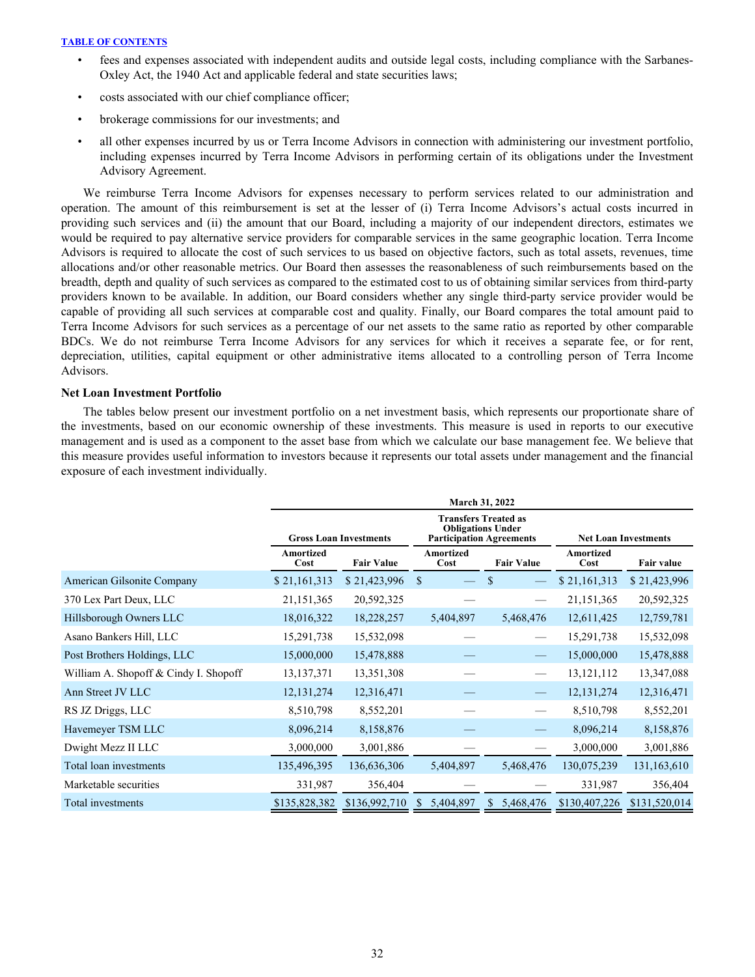- fees and expenses associated with independent audits and outside legal costs, including compliance with the Sarbanes-Oxley Act, the 1940 Act and applicable federal and state securities laws;
- costs associated with our chief compliance officer;
- brokerage commissions for our investments; and
- all other expenses incurred by us or Terra Income Advisors in connection with administering our investment portfolio, including expenses incurred by Terra Income Advisors in performing certain of its obligations under the Investment Advisory Agreement.

We reimburse Terra Income Advisors for expenses necessary to perform services related to our administration and operation. The amount of this reimbursement is set at the lesser of (i) Terra Income Advisors's actual costs incurred in providing such services and (ii) the amount that our Board, including a majority of our independent directors, estimates we would be required to pay alternative service providers for comparable services in the same geographic location. Terra Income Advisors is required to allocate the cost of such services to us based on objective factors, such as total assets, revenues, time allocations and/or other reasonable metrics. Our Board then assesses the reasonableness of such reimbursements based on the breadth, depth and quality of such services as compared to the estimated cost to us of obtaining similar services from third-party providers known to be available. In addition, our Board considers whether any single third-party service provider would be capable of providing all such services at comparable cost and quality. Finally, our Board compares the total amount paid to Terra Income Advisors for such services as a percentage of our net assets to the same ratio as reported by other comparable BDCs. We do not reimburse Terra Income Advisors for any services for which it receives a separate fee, or for rent, depreciation, utilities, capital equipment or other administrative items allocated to a controlling person of Terra Income Advisors.

### **Net Loan Investment Portfolio**

 The tables below present our investment portfolio on a net investment basis, which represents our proportionate share of the investments, based on our economic ownership of these investments. This measure is used in reports to our executive management and is used as a component to the asset base from which we calculate our base management fee. We believe that this measure provides useful information to investors because it represents our total assets under management and the financial exposure of each investment individually.

|                                       |                   | <b>March 31, 2022</b>         |                             |                           |                   |                   |  |  |  |  |  |  |
|---------------------------------------|-------------------|-------------------------------|-----------------------------|---------------------------|-------------------|-------------------|--|--|--|--|--|--|
|                                       |                   | <b>Gross Loan Investments</b> | <b>Net Loan Investments</b> |                           |                   |                   |  |  |  |  |  |  |
|                                       | Amortized<br>Cost | <b>Fair Value</b>             | <b>Amortized</b><br>Cost    | <b>Fair Value</b>         | Amortized<br>Cost | <b>Fair value</b> |  |  |  |  |  |  |
| American Gilsonite Company            | \$21,161,313      | \$21,423,996                  | <sup>\$</sup>               | <sup>\$</sup>             | \$21,161,313      | \$21,423,996      |  |  |  |  |  |  |
| 370 Lex Part Deux, LLC                | 21,151,365        | 20,592,325                    |                             |                           | 21,151,365        | 20,592,325        |  |  |  |  |  |  |
| Hillsborough Owners LLC               | 18,016,322        | 18,228,257                    | 5,404,897                   | 5,468,476                 | 12,611,425        | 12,759,781        |  |  |  |  |  |  |
| Asano Bankers Hill, LLC               | 15,291,738        | 15,532,098                    |                             |                           | 15,291,738        | 15,532,098        |  |  |  |  |  |  |
| Post Brothers Holdings, LLC           | 15,000,000        | 15,478,888                    |                             |                           | 15,000,000        | 15,478,888        |  |  |  |  |  |  |
| William A. Shopoff & Cindy I. Shopoff | 13, 137, 371      | 13,351,308                    |                             |                           | 13, 121, 112      | 13,347,088        |  |  |  |  |  |  |
| Ann Street JV LLC                     | 12, 131, 274      | 12,316,471                    |                             |                           | 12, 131, 274      | 12,316,471        |  |  |  |  |  |  |
| RS JZ Driggs, LLC                     | 8,510,798         | 8,552,201                     |                             |                           | 8,510,798         | 8,552,201         |  |  |  |  |  |  |
| Havemeyer TSM LLC                     | 8,096,214         | 8,158,876                     |                             |                           | 8,096,214         | 8,158,876         |  |  |  |  |  |  |
| Dwight Mezz II LLC                    | 3,000,000         | 3,001,886                     |                             |                           | 3,000,000         | 3,001,886         |  |  |  |  |  |  |
| Total loan investments                | 135,496,395       | 136,636,306                   | 5,404,897                   | 5,468,476                 | 130,075,239       | 131,163,610       |  |  |  |  |  |  |
| Marketable securities                 | 331,987           | 356,404                       |                             |                           | 331,987           | 356,404           |  |  |  |  |  |  |
| Total investments                     | \$135,828,382     | \$136,992,710                 | 5,404,897<br>S.             | 5,468,476<br><sup>S</sup> | \$130,407,226     | \$131,520,014     |  |  |  |  |  |  |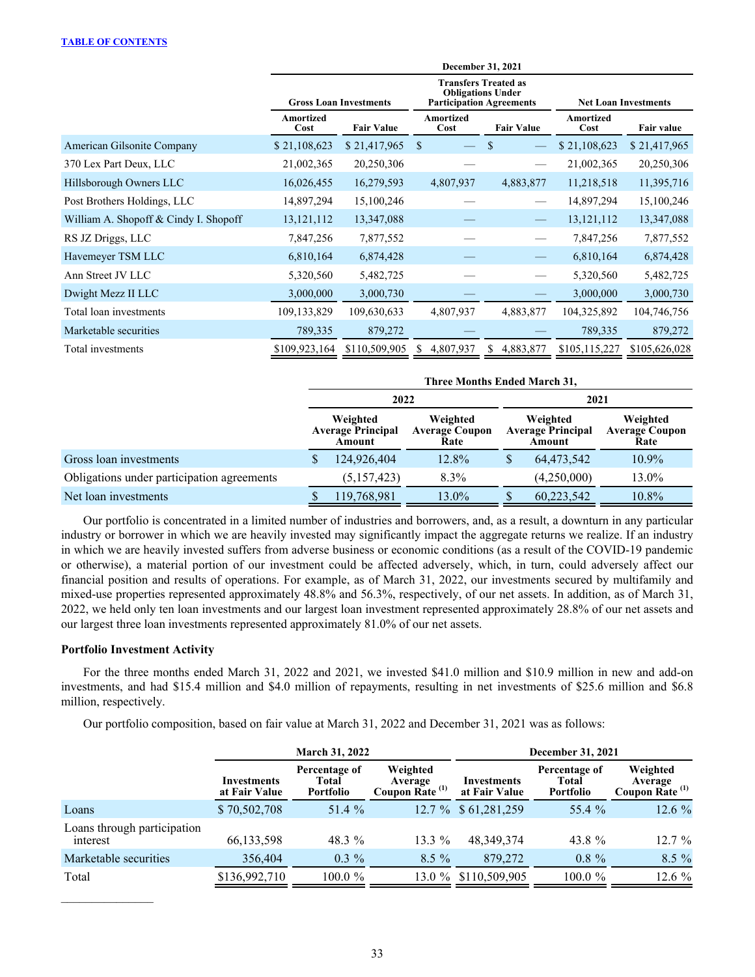|                                       | December 31, 2021 |                               |                                                                                            |                             |                   |                   |  |  |  |  |  |
|---------------------------------------|-------------------|-------------------------------|--------------------------------------------------------------------------------------------|-----------------------------|-------------------|-------------------|--|--|--|--|--|
|                                       |                   | <b>Gross Loan Investments</b> | <b>Transfers Treated as</b><br><b>Obligations Under</b><br><b>Participation Agreements</b> | <b>Net Loan Investments</b> |                   |                   |  |  |  |  |  |
|                                       | Amortized<br>Cost | <b>Fair Value</b>             | Amortized<br><b>Fair Value</b><br>Cost                                                     |                             | Amortized<br>Cost | <b>Fair value</b> |  |  |  |  |  |
| American Gilsonite Company            | \$21,108,623      | \$21,417,965                  | <sup>\$</sup>                                                                              |                             | \$21,108,623      | \$21,417,965      |  |  |  |  |  |
| 370 Lex Part Deux, LLC                | 21,002,365        | 20,250,306                    |                                                                                            |                             | 21,002,365        | 20,250,306        |  |  |  |  |  |
| Hillsborough Owners LLC               | 16,026,455        | 16,279,593                    | 4,807,937                                                                                  | 4,883,877                   | 11,218,518        | 11,395,716        |  |  |  |  |  |
| Post Brothers Holdings, LLC           | 14,897,294        | 15,100,246                    |                                                                                            |                             | 14,897,294        | 15,100,246        |  |  |  |  |  |
| William A. Shopoff & Cindy I. Shopoff | 13, 121, 112      | 13,347,088                    |                                                                                            |                             | 13, 121, 112      | 13,347,088        |  |  |  |  |  |
| RS JZ Driggs, LLC                     | 7,847,256         | 7,877,552                     |                                                                                            |                             | 7,847,256         | 7,877,552         |  |  |  |  |  |
| Havemeyer TSM LLC                     | 6,810,164         | 6,874,428                     |                                                                                            |                             | 6,810,164         | 6,874,428         |  |  |  |  |  |
| Ann Street JV LLC                     | 5,320,560         | 5,482,725                     |                                                                                            |                             | 5,320,560         | 5,482,725         |  |  |  |  |  |
| Dwight Mezz II LLC                    | 3,000,000         | 3,000,730                     |                                                                                            |                             | 3,000,000         | 3,000,730         |  |  |  |  |  |
| Total loan investments                | 109,133,829       | 109,630,633                   | 4,807,937                                                                                  | 4,883,877                   | 104,325,892       | 104,746,756       |  |  |  |  |  |
| Marketable securities                 | 789,335           | 879,272                       |                                                                                            |                             | 789,335           | 879,272           |  |  |  |  |  |
| Total investments                     | \$109,923,164     | \$110,509,905                 | 4,807,937<br>S.                                                                            | 4,883,877<br>S              | \$105,115,227     | \$105,626,028     |  |  |  |  |  |

|                                            | Three Months Ended March 31, |                                                |                                           |                                                |             |                                           |  |  |  |
|--------------------------------------------|------------------------------|------------------------------------------------|-------------------------------------------|------------------------------------------------|-------------|-------------------------------------------|--|--|--|
|                                            | 2022                         |                                                |                                           |                                                | 2021        |                                           |  |  |  |
|                                            |                              | Weighted<br><b>Average Principal</b><br>Amount | Weighted<br><b>Average Coupon</b><br>Rate | Weighted<br><b>Average Principal</b><br>Amount |             | Weighted<br><b>Average Coupon</b><br>Rate |  |  |  |
| Gross loan investments                     |                              | 124,926,404                                    | 12.8%                                     |                                                | 64,473,542  | 10.9%                                     |  |  |  |
| Obligations under participation agreements |                              | (5, 157, 423)                                  | 8.3%                                      |                                                | (4,250,000) | 13.0%                                     |  |  |  |
| Net loan investments                       |                              | 119,768,981                                    | 13.0%                                     |                                                | 60,223,542  | 10.8%                                     |  |  |  |

Our portfolio is concentrated in a limited number of industries and borrowers, and, as a result, a downturn in any particular industry or borrower in which we are heavily invested may significantly impact the aggregate returns we realize. If an industry in which we are heavily invested suffers from adverse business or economic conditions (as a result of the COVID-19 pandemic or otherwise), a material portion of our investment could be affected adversely, which, in turn, could adversely affect our financial position and results of operations. For example, as of March 31, 2022, our investments secured by multifamily and mixed-use properties represented approximately 48.8% and 56.3%, respectively, of our net assets. In addition, as of March 31, 2022, we held only ten loan investments and our largest loan investment represented approximately 28.8% of our net assets and our largest three loan investments represented approximately 81.0% of our net assets.

### **Portfolio Investment Activity**

 $\mathcal{L}_\text{max}$  , where  $\mathcal{L}_\text{max}$ 

For the three months ended March 31, 2022 and 2021, we invested \$41.0 million and \$10.9 million in new and add-on investments, and had \$15.4 million and \$4.0 million of repayments, resulting in net investments of \$25.6 million and \$6.8 million, respectively.

Our portfolio composition, based on fair value at March 31, 2022 and December 31, 2021 was as follows:

|                                         |                              | <b>March 31, 2022</b>                      |                                                   | December 31, 2021            |                                     |                                                   |  |  |
|-----------------------------------------|------------------------------|--------------------------------------------|---------------------------------------------------|------------------------------|-------------------------------------|---------------------------------------------------|--|--|
|                                         | Investments<br>at Fair Value | Percentage of<br><b>Total</b><br>Portfolio | Weighted<br>Average<br>Coupon Rate <sup>(1)</sup> | Investments<br>at Fair Value | Percentage of<br>Total<br>Portfolio | Weighted<br>Average<br>Coupon Rate <sup>(1)</sup> |  |  |
| Loans                                   | \$70,502,708                 | 51.4 %                                     |                                                   | 12.7 % \$61,281,259          | 55.4 %                              | $12.6\%$                                          |  |  |
| Loans through participation<br>interest | 66, 133, 598                 | 48.3 %                                     | 13.3 $%$                                          | 48.349.374                   | 43.8 %                              | $12.7 \%$                                         |  |  |
| Marketable securities                   | 356,404                      | $0.3\%$                                    | $8.5 \%$                                          | 879,272                      | $0.8 \%$                            | 8.5 %                                             |  |  |
| Total                                   | \$136,992,710                | $100.0 \%$                                 | 13.0 $%$                                          | \$110,509,905                | $100.0 \%$                          | 12.6 %                                            |  |  |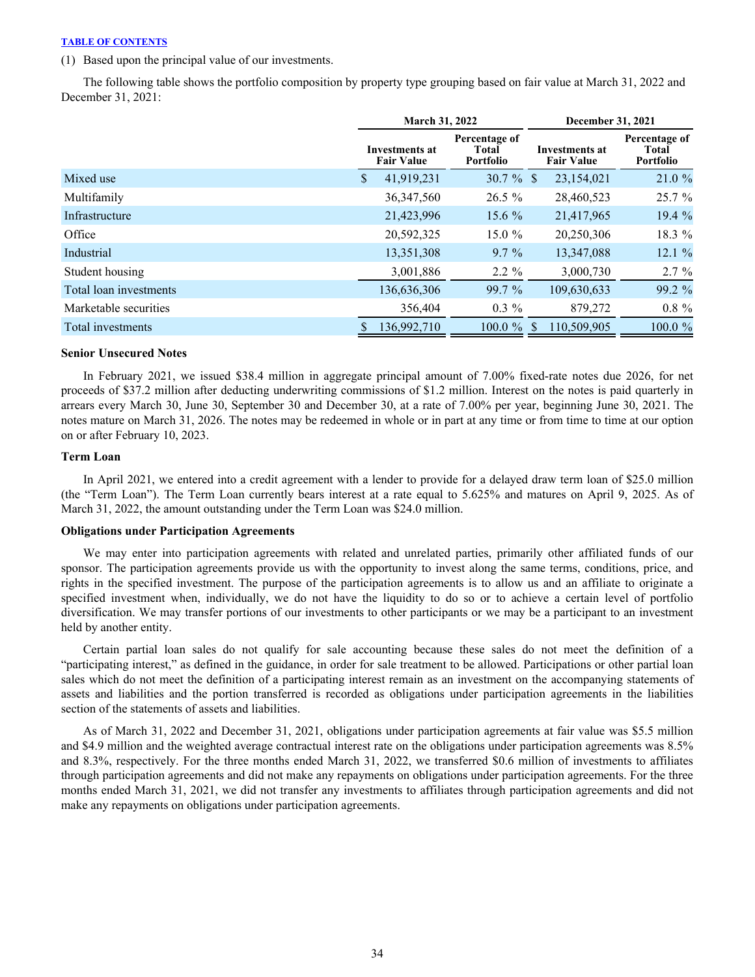(1) Based upon the principal value of our investments.

The following table shows the portfolio composition by property type grouping based on fair value at March 31, 2022 and December 31, 2021:

|                        | March 31, 2022                             |                                     | December 31, 2021                   |                                            |  |  |
|------------------------|--------------------------------------------|-------------------------------------|-------------------------------------|--------------------------------------------|--|--|
|                        | <b>Investments at</b><br><b>Fair Value</b> | Percentage of<br>Total<br>Portfolio | Investments at<br><b>Fair Value</b> | Percentage of<br>Total<br><b>Portfolio</b> |  |  |
| Mixed use              | \$<br>41,919,231                           | $30.7 \%$ \$                        | 23,154,021                          | 21.0%                                      |  |  |
| Multifamily            | 36, 347, 560                               | $26.5\%$                            | 28,460,523                          | 25.7%                                      |  |  |
| Infrastructure         | 21,423,996                                 | 15.6 $%$                            | 21,417,965                          | 19.4 %                                     |  |  |
| Office                 | 20,592,325                                 | $15.0 \%$                           | 20,250,306                          | 18.3 %                                     |  |  |
| Industrial             | 13,351,308                                 | $9.7\%$                             | 13,347,088                          | 12.1%                                      |  |  |
| Student housing        | 3,001,886                                  | $2.2 \%$                            | 3,000,730                           | $2.7\%$                                    |  |  |
| Total loan investments | 136,636,306                                | 99.7 %                              | 109,630,633                         | 99.2 %                                     |  |  |
| Marketable securities  | 356,404                                    | $0.3\%$                             | 879,272                             | $0.8 \%$                                   |  |  |
| Total investments      | 136,992,710                                | $100.0 \%$                          | 110,509,905                         | 100.0 %                                    |  |  |

#### **Senior Unsecured Notes**

In February 2021, we issued \$38.4 million in aggregate principal amount of 7.00% fixed-rate notes due 2026, for net proceeds of \$37.2 million after deducting underwriting commissions of \$1.2 million. Interest on the notes is paid quarterly in arrears every March 30, June 30, September 30 and December 30, at a rate of 7.00% per year, beginning June 30, 2021. The notes mature on March 31, 2026. The notes may be redeemed in whole or in part at any time or from time to time at our option on or after February 10, 2023.

#### **Term Loan**

In April 2021, we entered into a credit agreement with a lender to provide for a delayed draw term loan of \$25.0 million (the "Term Loan"). The Term Loan currently bears interest at a rate equal to 5.625% and matures on April 9, 2025. As of March 31, 2022, the amount outstanding under the Term Loan was \$24.0 million.

#### **Obligations under Participation Agreements**

 We may enter into participation agreements with related and unrelated parties, primarily other affiliated funds of our sponsor. The participation agreements provide us with the opportunity to invest along the same terms, conditions, price, and rights in the specified investment. The purpose of the participation agreements is to allow us and an affiliate to originate a specified investment when, individually, we do not have the liquidity to do so or to achieve a certain level of portfolio diversification. We may transfer portions of our investments to other participants or we may be a participant to an investment held by another entity.

 Certain partial loan sales do not qualify for sale accounting because these sales do not meet the definition of a "participating interest," as defined in the guidance, in order for sale treatment to be allowed. Participations or other partial loan sales which do not meet the definition of a participating interest remain as an investment on the accompanying statements of assets and liabilities and the portion transferred is recorded as obligations under participation agreements in the liabilities section of the statements of assets and liabilities.

As of March 31, 2022 and December 31, 2021, obligations under participation agreements at fair value was \$5.5 million and \$4.9 million and the weighted average contractual interest rate on the obligations under participation agreements was 8.5% and 8.3%, respectively. For the three months ended March 31, 2022, we transferred \$0.6 million of investments to affiliates through participation agreements and did not make any repayments on obligations under participation agreements. For the three months ended March 31, 2021, we did not transfer any investments to affiliates through participation agreements and did not make any repayments on obligations under participation agreements.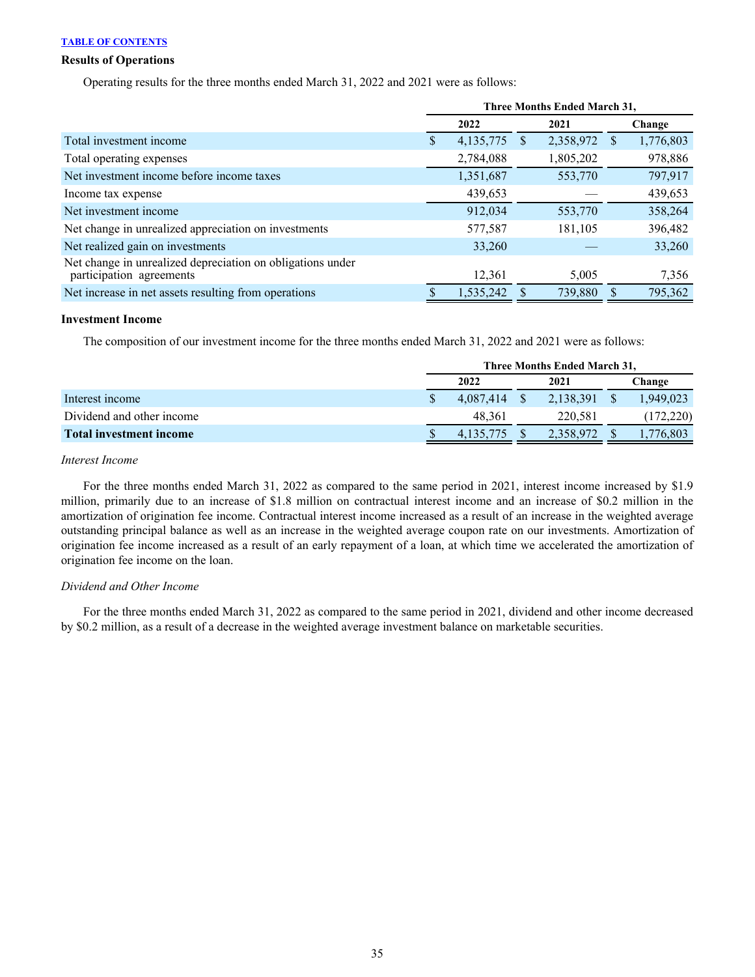## **Results of Operations**

Operating results for the three months ended March 31, 2022 and 2021 were as follows:

|                                                                                        | Three Months Ended March 31, |           |          |           |     |           |
|----------------------------------------------------------------------------------------|------------------------------|-----------|----------|-----------|-----|-----------|
|                                                                                        |                              | 2022      |          | 2021      |     | Change    |
| Total investment income                                                                | S.                           | 4,135,775 | <b>S</b> | 2,358,972 | \$. | 1,776,803 |
| Total operating expenses                                                               |                              | 2,784,088 |          | 1,805,202 |     | 978,886   |
| Net investment income before income taxes                                              |                              | 1,351,687 |          | 553,770   |     | 797,917   |
| Income tax expense                                                                     |                              | 439,653   |          |           |     | 439,653   |
| Net investment income                                                                  |                              | 912,034   |          | 553,770   |     | 358,264   |
| Net change in unrealized appreciation on investments                                   |                              | 577,587   |          | 181,105   |     | 396,482   |
| Net realized gain on investments                                                       |                              | 33,260    |          |           |     | 33,260    |
| Net change in unrealized depreciation on obligations under<br>participation agreements |                              | 12,361    |          | 5,005     |     | 7,356     |
| Net increase in net assets resulting from operations                                   |                              | 1,535,242 |          | 739,880   |     | 795,362   |

#### **Investment Income**

The composition of our investment income for the three months ended March 31, 2022 and 2021 were as follows:

|                                | Three Months Ended March 31, |           |  |           |  |            |
|--------------------------------|------------------------------|-----------|--|-----------|--|------------|
|                                |                              | 2022      |  | 2021      |  | Change     |
| Interest income                |                              | 4.087.414 |  | 2,138,391 |  | 1.949,023  |
| Dividend and other income      |                              | 48.361    |  | 220.581   |  | (172, 220) |
| <b>Total investment income</b> |                              | 4.135.775 |  | 2,358,972 |  | 1,776,803  |

## *Interest Income*

For the three months ended March 31, 2022 as compared to the same period in 2021, interest income increased by \$1.9 million, primarily due to an increase of \$1.8 million on contractual interest income and an increase of \$0.2 million in the amortization of origination fee income. Contractual interest income increased as a result of an increase in the weighted average outstanding principal balance as well as an increase in the weighted average coupon rate on our investments. Amortization of origination fee income increased as a result of an early repayment of a loan, at which time we accelerated the amortization of origination fee income on the loan.

#### *Dividend and Other Income*

For the three months ended March 31, 2022 as compared to the same period in 2021, dividend and other income decreased by \$0.2 million, as a result of a decrease in the weighted average investment balance on marketable securities.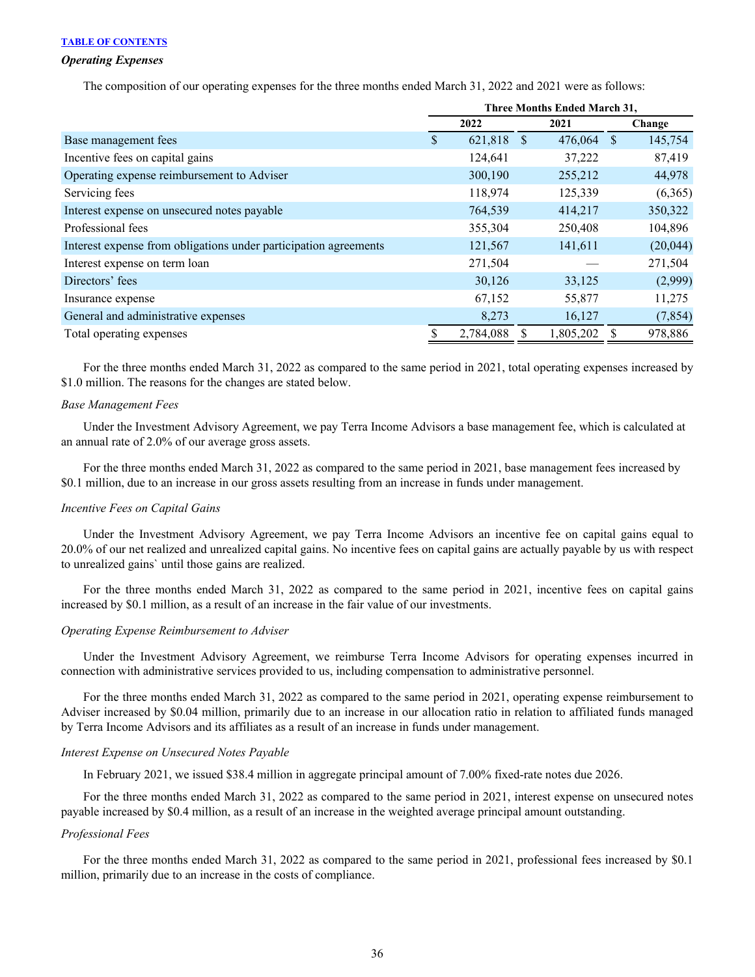#### *Operating Expenses*

The composition of our operating expenses for the three months ended March 31, 2022 and 2021 were as follows:

|                                                                  | <b>Three Months Ended March 31,</b> |           |      |            |        |          |
|------------------------------------------------------------------|-------------------------------------|-----------|------|------------|--------|----------|
|                                                                  |                                     | 2022      | 2021 |            | Change |          |
| Base management fees                                             | \$                                  | 621,818   | - \$ | 476,064 \$ |        | 145,754  |
| Incentive fees on capital gains                                  |                                     | 124,641   |      | 37,222     |        | 87,419   |
| Operating expense reimbursement to Adviser                       |                                     | 300,190   |      | 255,212    |        | 44,978   |
| Servicing fees                                                   |                                     | 118,974   |      | 125,339    |        | (6,365)  |
| Interest expense on unsecured notes payable                      |                                     | 764,539   |      | 414,217    |        | 350,322  |
| Professional fees                                                |                                     | 355,304   |      | 250,408    |        | 104,896  |
| Interest expense from obligations under participation agreements |                                     | 121,567   |      | 141,611    |        | (20,044) |
| Interest expense on term loan                                    |                                     | 271,504   |      |            |        | 271,504  |
| Directors' fees                                                  |                                     | 30,126    |      | 33,125     |        | (2,999)  |
| Insurance expense                                                |                                     | 67,152    |      | 55,877     |        | 11,275   |
| General and administrative expenses                              |                                     | 8,273     |      | 16,127     |        | (7, 854) |
| Total operating expenses                                         |                                     | 2,784,088 |      | 1,805,202  |        | 978,886  |

 For the three months ended March 31, 2022 as compared to the same period in 2021, total operating expenses increased by \$1.0 million. The reasons for the changes are stated below.

#### *Base Management Fees*

 Under the Investment Advisory Agreement, we pay Terra Income Advisors a base management fee, which is calculated at an annual rate of 2.0% of our average gross assets.

 For the three months ended March 31, 2022 as compared to the same period in 2021, base management fees increased by \$0.1 million, due to an increase in our gross assets resulting from an increase in funds under management.

#### *Incentive Fees on Capital Gains*

Under the Investment Advisory Agreement, we pay Terra Income Advisors an incentive fee on capital gains equal to 20.0% of our net realized and unrealized capital gains. No incentive fees on capital gains are actually payable by us with respect to unrealized gains` until those gains are realized.

For the three months ended March 31, 2022 as compared to the same period in 2021, incentive fees on capital gains increased by \$0.1 million, as a result of an increase in the fair value of our investments.

#### *Operating Expense Reimbursement to Adviser*

 Under the Investment Advisory Agreement, we reimburse Terra Income Advisors for operating expenses incurred in connection with administrative services provided to us, including compensation to administrative personnel.

 For the three months ended March 31, 2022 as compared to the same period in 2021, operating expense reimbursement to Adviser increased by \$0.04 million, primarily due to an increase in our allocation ratio in relation to affiliated funds managed by Terra Income Advisors and its affiliates as a result of an increase in funds under management.

#### *Interest Expense on Unsecured Notes Payable*

In February 2021, we issued \$38.4 million in aggregate principal amount of 7.00% fixed-rate notes due 2026.

For the three months ended March 31, 2022 as compared to the same period in 2021, interest expense on unsecured notes payable increased by \$0.4 million, as a result of an increase in the weighted average principal amount outstanding.

## *Professional Fees*

For the three months ended March 31, 2022 as compared to the same period in 2021, professional fees increased by \$0.1 million, primarily due to an increase in the costs of compliance.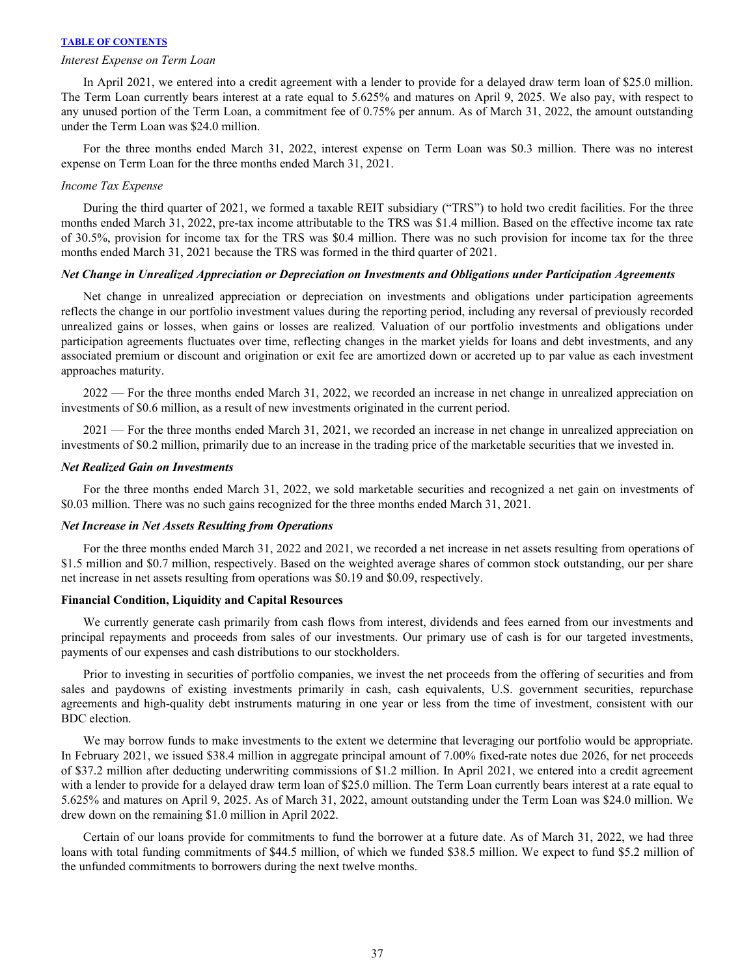#### *Interest Expense on Term Loan*

In April 2021, we entered into a credit agreement with a lender to provide for a delayed draw term loan of \$25.0 million. The Term Loan currently bears interest at a rate equal to 5.625% and matures on April 9, 2025. We also pay, with respect to any unused portion of the Term Loan, a commitment fee of 0.75% per annum. As of March 31, 2022, the amount outstanding under the Term Loan was \$24.0 million.

For the three months ended March 31, 2022, interest expense on Term Loan was \$0.3 million. There was no interest expense on Term Loan for the three months ended March 31, 2021.

#### *Income Tax Expense*

During the third quarter of 2021, we formed a taxable REIT subsidiary ("TRS") to hold two credit facilities. For the three months ended March 31, 2022, pre-tax income attributable to the TRS was \$1.4 million. Based on the effective income tax rate of 30.5%, provision for income tax for the TRS was \$0.4 million. There was no such provision for income tax for the three months ended March 31, 2021 because the TRS was formed in the third quarter of 2021.

#### *Net Change in Unrealized Appreciation or Depreciation on Investments and Obligations under Participation Agreements*

 Net change in unrealized appreciation or depreciation on investments and obligations under participation agreements reflects the change in our portfolio investment values during the reporting period, including any reversal of previously recorded unrealized gains or losses, when gains or losses are realized. Valuation of our portfolio investments and obligations under participation agreements fluctuates over time, reflecting changes in the market yields for loans and debt investments, and any associated premium or discount and origination or exit fee are amortized down or accreted up to par value as each investment approaches maturity.

2022 — For the three months ended March 31, 2022, we recorded an increase in net change in unrealized appreciation on investments of \$0.6 million, as a result of new investments originated in the current period.

2021 — For the three months ended March 31, 2021, we recorded an increase in net change in unrealized appreciation on investments of \$0.2 million, primarily due to an increase in the trading price of the marketable securities that we invested in.

#### *Net Realized Gain on Investments*

For the three months ended March 31, 2022, we sold marketable securities and recognized a net gain on investments of \$0.03 million. There was no such gains recognized for the three months ended March 31, 2021.

#### *Net Increase in Net Assets Resulting from Operations*

For the three months ended March 31, 2022 and 2021, we recorded a net increase in net assets resulting from operations of \$1.5 million and \$0.7 million, respectively. Based on the weighted average shares of common stock outstanding, our per share net increase in net assets resulting from operations was \$0.19 and \$0.09, respectively.

#### **Financial Condition, Liquidity and Capital Resources**

We currently generate cash primarily from cash flows from interest, dividends and fees earned from our investments and principal repayments and proceeds from sales of our investments. Our primary use of cash is for our targeted investments, payments of our expenses and cash distributions to our stockholders.

 Prior to investing in securities of portfolio companies, we invest the net proceeds from the offering of securities and from sales and paydowns of existing investments primarily in cash, cash equivalents, U.S. government securities, repurchase agreements and high-quality debt instruments maturing in one year or less from the time of investment, consistent with our BDC election.

We may borrow funds to make investments to the extent we determine that leveraging our portfolio would be appropriate. In February 2021, we issued \$38.4 million in aggregate principal amount of 7.00% fixed-rate notes due 2026, for net proceeds of \$37.2 million after deducting underwriting commissions of \$1.2 million. In April 2021, we entered into a credit agreement with a lender to provide for a delayed draw term loan of \$25.0 million. The Term Loan currently bears interest at a rate equal to 5.625% and matures on April 9, 2025. As of March 31, 2022, amount outstanding under the Term Loan was \$24.0 million. We drew down on the remaining \$1.0 million in April 2022.

Certain of our loans provide for commitments to fund the borrower at a future date. As of March 31, 2022, we had three loans with total funding commitments of \$44.5 million, of which we funded \$38.5 million. We expect to fund \$5.2 million of the unfunded commitments to borrowers during the next twelve months.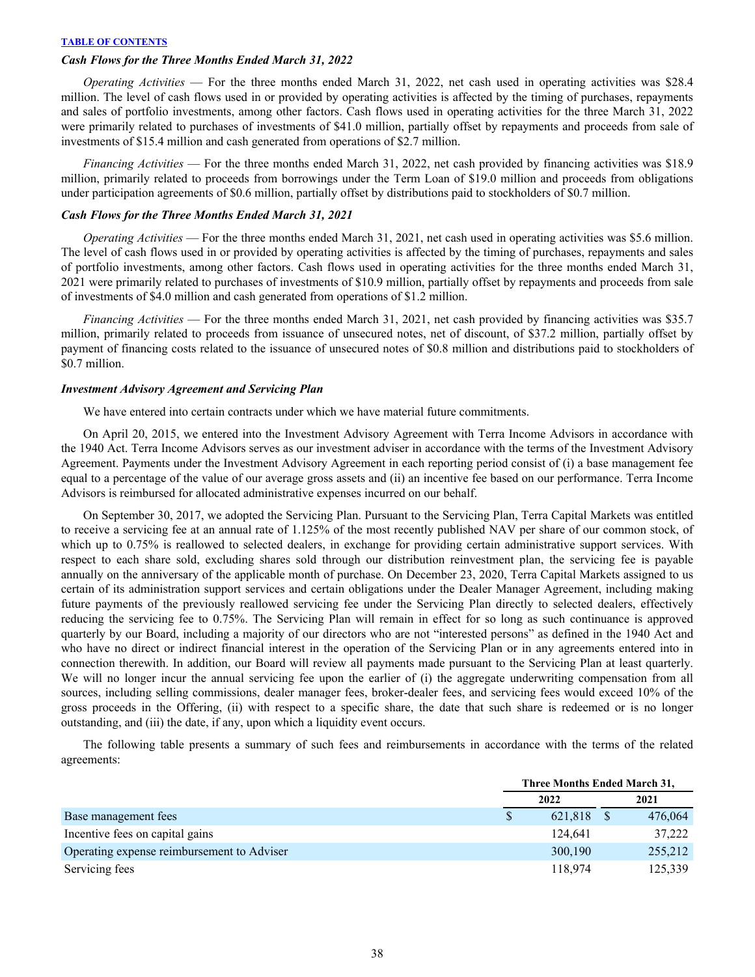## *Cash Flows for the Three Months Ended March 31, 2022*

 *Operating Activities* — For the three months ended March 31, 2022, net cash used in operating activities was \$28.4 million. The level of cash flows used in or provided by operating activities is affected by the timing of purchases, repayments and sales of portfolio investments, among other factors. Cash flows used in operating activities for the three March 31, 2022 were primarily related to purchases of investments of \$41.0 million, partially offset by repayments and proceeds from sale of investments of \$15.4 million and cash generated from operations of \$2.7 million.

*Financing Activities* — For the three months ended March 31, 2022, net cash provided by financing activities was \$18.9 million, primarily related to proceeds from borrowings under the Term Loan of \$19.0 million and proceeds from obligations under participation agreements of \$0.6 million, partially offset by distributions paid to stockholders of \$0.7 million.

#### *Cash Flows for the Three Months Ended March 31, 2021*

 *Operating Activities* — For the three months ended March 31, 2021, net cash used in operating activities was \$5.6 million. The level of cash flows used in or provided by operating activities is affected by the timing of purchases, repayments and sales of portfolio investments, among other factors. Cash flows used in operating activities for the three months ended March 31, 2021 were primarily related to purchases of investments of \$10.9 million, partially offset by repayments and proceeds from sale of investments of \$4.0 million and cash generated from operations of \$1.2 million.

*Financing Activities* — For the three months ended March 31, 2021, net cash provided by financing activities was \$35.7 million, primarily related to proceeds from issuance of unsecured notes, net of discount, of \$37.2 million, partially offset by payment of financing costs related to the issuance of unsecured notes of \$0.8 million and distributions paid to stockholders of \$0.7 million.

#### *Investment Advisory Agreement and Servicing Plan*

We have entered into certain contracts under which we have material future commitments.

On April 20, 2015, we entered into the Investment Advisory Agreement with Terra Income Advisors in accordance with the 1940 Act. Terra Income Advisors serves as our investment adviser in accordance with the terms of the Investment Advisory Agreement. Payments under the Investment Advisory Agreement in each reporting period consist of (i) a base management fee equal to a percentage of the value of our average gross assets and (ii) an incentive fee based on our performance. Terra Income Advisors is reimbursed for allocated administrative expenses incurred on our behalf.

 On September 30, 2017, we adopted the Servicing Plan. Pursuant to the Servicing Plan, Terra Capital Markets was entitled to receive a servicing fee at an annual rate of 1.125% of the most recently published NAV per share of our common stock, of which up to 0.75% is reallowed to selected dealers, in exchange for providing certain administrative support services. With respect to each share sold, excluding shares sold through our distribution reinvestment plan, the servicing fee is payable annually on the anniversary of the applicable month of purchase. On December 23, 2020, Terra Capital Markets assigned to us certain of its administration support services and certain obligations under the Dealer Manager Agreement, including making future payments of the previously reallowed servicing fee under the Servicing Plan directly to selected dealers, effectively reducing the servicing fee to 0.75%. The Servicing Plan will remain in effect for so long as such continuance is approved quarterly by our Board, including a majority of our directors who are not "interested persons" as defined in the 1940 Act and who have no direct or indirect financial interest in the operation of the Servicing Plan or in any agreements entered into in connection therewith. In addition, our Board will review all payments made pursuant to the Servicing Plan at least quarterly. We will no longer incur the annual servicing fee upon the earlier of (i) the aggregate underwriting compensation from all sources, including selling commissions, dealer manager fees, broker-dealer fees, and servicing fees would exceed 10% of the gross proceeds in the Offering, (ii) with respect to a specific share, the date that such share is redeemed or is no longer outstanding, and (iii) the date, if any, upon which a liquidity event occurs.

The following table presents a summary of such fees and reimbursements in accordance with the terms of the related agreements:

|                                            | Three Months Ended March 31, |         |  |         |
|--------------------------------------------|------------------------------|---------|--|---------|
|                                            |                              | 2022    |  | 2021    |
| Base management fees                       |                              | 621.818 |  | 476,064 |
| Incentive fees on capital gains            |                              | 124.641 |  | 37,222  |
| Operating expense reimbursement to Adviser |                              | 300,190 |  | 255,212 |
| Servicing fees                             |                              | 118,974 |  | 125,339 |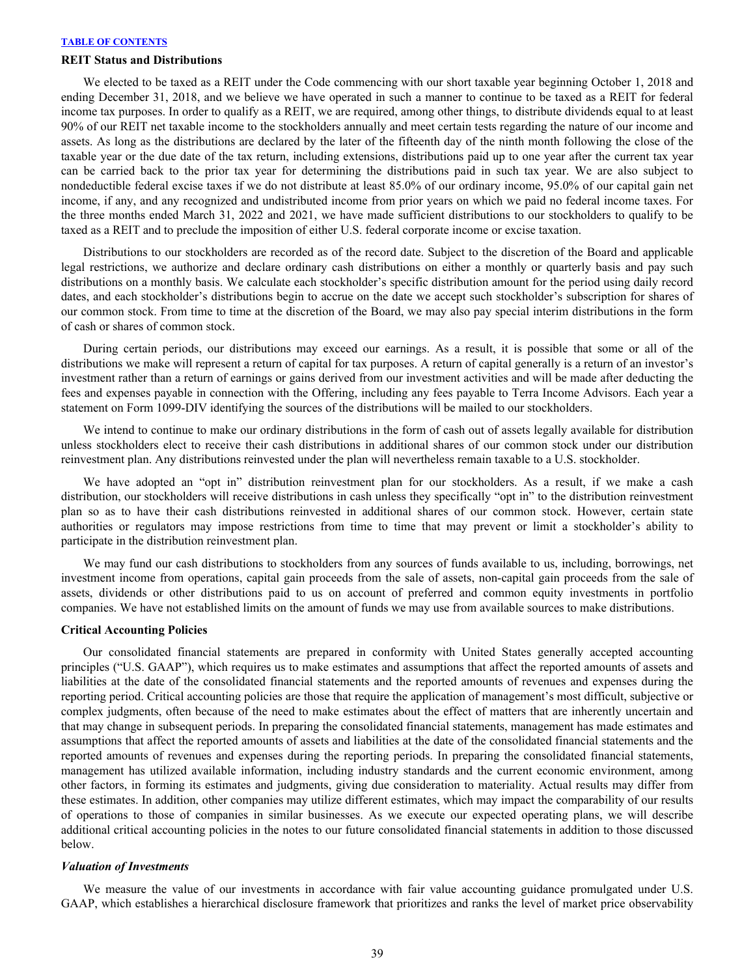#### **REIT Status and Distributions**

We elected to be taxed as a REIT under the Code commencing with our short taxable year beginning October 1, 2018 and ending December 31, 2018, and we believe we have operated in such a manner to continue to be taxed as a REIT for federal income tax purposes. In order to qualify as a REIT, we are required, among other things, to distribute dividends equal to at least 90% of our REIT net taxable income to the stockholders annually and meet certain tests regarding the nature of our income and assets. As long as the distributions are declared by the later of the fifteenth day of the ninth month following the close of the taxable year or the due date of the tax return, including extensions, distributions paid up to one year after the current tax year can be carried back to the prior tax year for determining the distributions paid in such tax year. We are also subject to nondeductible federal excise taxes if we do not distribute at least 85.0% of our ordinary income, 95.0% of our capital gain net income, if any, and any recognized and undistributed income from prior years on which we paid no federal income taxes. For the three months ended March 31, 2022 and 2021, we have made sufficient distributions to our stockholders to qualify to be taxed as a REIT and to preclude the imposition of either U.S. federal corporate income or excise taxation.

 Distributions to our stockholders are recorded as of the record date. Subject to the discretion of the Board and applicable legal restrictions, we authorize and declare ordinary cash distributions on either a monthly or quarterly basis and pay such distributions on a monthly basis. We calculate each stockholder's specific distribution amount for the period using daily record dates, and each stockholder's distributions begin to accrue on the date we accept such stockholder's subscription for shares of our common stock. From time to time at the discretion of the Board, we may also pay special interim distributions in the form of cash or shares of common stock.

 During certain periods, our distributions may exceed our earnings. As a result, it is possible that some or all of the distributions we make will represent a return of capital for tax purposes. A return of capital generally is a return of an investor's investment rather than a return of earnings or gains derived from our investment activities and will be made after deducting the fees and expenses payable in connection with the Offering, including any fees payable to Terra Income Advisors. Each year a statement on Form 1099-DIV identifying the sources of the distributions will be mailed to our stockholders.

 We intend to continue to make our ordinary distributions in the form of cash out of assets legally available for distribution unless stockholders elect to receive their cash distributions in additional shares of our common stock under our distribution reinvestment plan. Any distributions reinvested under the plan will nevertheless remain taxable to a U.S. stockholder.

We have adopted an "opt in" distribution reinvestment plan for our stockholders. As a result, if we make a cash distribution, our stockholders will receive distributions in cash unless they specifically "opt in" to the distribution reinvestment plan so as to have their cash distributions reinvested in additional shares of our common stock. However, certain state authorities or regulators may impose restrictions from time to time that may prevent or limit a stockholder's ability to participate in the distribution reinvestment plan.

We may fund our cash distributions to stockholders from any sources of funds available to us, including, borrowings, net investment income from operations, capital gain proceeds from the sale of assets, non-capital gain proceeds from the sale of assets, dividends or other distributions paid to us on account of preferred and common equity investments in portfolio companies. We have not established limits on the amount of funds we may use from available sources to make distributions.

#### **Critical Accounting Policies**

Our consolidated financial statements are prepared in conformity with United States generally accepted accounting principles ("U.S. GAAP"), which requires us to make estimates and assumptions that affect the reported amounts of assets and liabilities at the date of the consolidated financial statements and the reported amounts of revenues and expenses during the reporting period. Critical accounting policies are those that require the application of management's most difficult, subjective or complex judgments, often because of the need to make estimates about the effect of matters that are inherently uncertain and that may change in subsequent periods. In preparing the consolidated financial statements, management has made estimates and assumptions that affect the reported amounts of assets and liabilities at the date of the consolidated financial statements and the reported amounts of revenues and expenses during the reporting periods. In preparing the consolidated financial statements, management has utilized available information, including industry standards and the current economic environment, among other factors, in forming its estimates and judgments, giving due consideration to materiality. Actual results may differ from these estimates. In addition, other companies may utilize different estimates, which may impact the comparability of our results of operations to those of companies in similar businesses. As we execute our expected operating plans, we will describe additional critical accounting policies in the notes to our future consolidated financial statements in addition to those discussed below.

#### *Valuation of Investments*

We measure the value of our investments in accordance with fair value accounting guidance promulgated under U.S. GAAP, which establishes a hierarchical disclosure framework that prioritizes and ranks the level of market price observability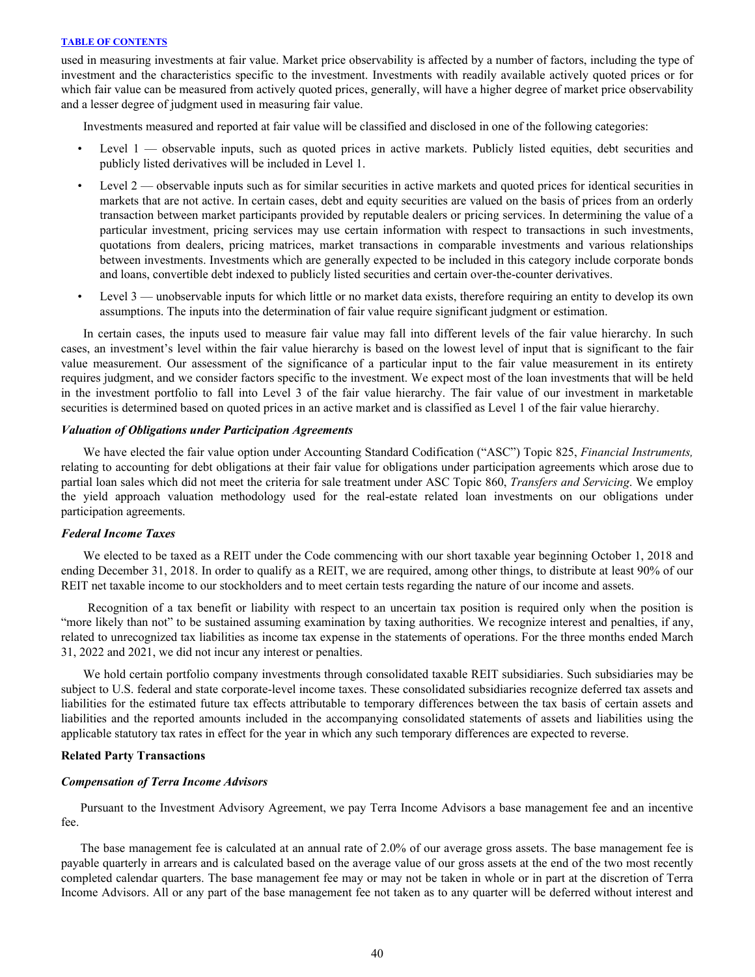used in measuring investments at fair value. Market price observability is affected by a number of factors, including the type of investment and the characteristics specific to the investment. Investments with readily available actively quoted prices or for which fair value can be measured from actively quoted prices, generally, will have a higher degree of market price observability and a lesser degree of judgment used in measuring fair value.

Investments measured and reported at fair value will be classified and disclosed in one of the following categories:

- Level 1 observable inputs, such as quoted prices in active markets. Publicly listed equities, debt securities and publicly listed derivatives will be included in Level 1.
- Level  $2$  observable inputs such as for similar securities in active markets and quoted prices for identical securities in markets that are not active. In certain cases, debt and equity securities are valued on the basis of prices from an orderly transaction between market participants provided by reputable dealers or pricing services. In determining the value of a particular investment, pricing services may use certain information with respect to transactions in such investments, quotations from dealers, pricing matrices, market transactions in comparable investments and various relationships between investments. Investments which are generally expected to be included in this category include corporate bonds and loans, convertible debt indexed to publicly listed securities and certain over-the-counter derivatives.
- Level 3 unobservable inputs for which little or no market data exists, therefore requiring an entity to develop its own assumptions. The inputs into the determination of fair value require significant judgment or estimation.

In certain cases, the inputs used to measure fair value may fall into different levels of the fair value hierarchy. In such cases, an investment's level within the fair value hierarchy is based on the lowest level of input that is significant to the fair value measurement. Our assessment of the significance of a particular input to the fair value measurement in its entirety requires judgment, and we consider factors specific to the investment. We expect most of the loan investments that will be held in the investment portfolio to fall into Level 3 of the fair value hierarchy. The fair value of our investment in marketable securities is determined based on quoted prices in an active market and is classified as Level 1 of the fair value hierarchy.

## *Valuation of Obligations under Participation Agreements*

 We have elected the fair value option under Accounting Standard Codification ("ASC") Topic 825, *Financial Instruments,*  relating to accounting for debt obligations at their fair value for obligations under participation agreements which arose due to partial loan sales which did not meet the criteria for sale treatment under ASC Topic 860, *Transfers and Servicing*. We employ the yield approach valuation methodology used for the real-estate related loan investments on our obligations under participation agreements.

#### *Federal Income Taxes*

We elected to be taxed as a REIT under the Code commencing with our short taxable year beginning October 1, 2018 and ending December 31, 2018. In order to qualify as a REIT, we are required, among other things, to distribute at least 90% of our REIT net taxable income to our stockholders and to meet certain tests regarding the nature of our income and assets.

 Recognition of a tax benefit or liability with respect to an uncertain tax position is required only when the position is "more likely than not" to be sustained assuming examination by taxing authorities. We recognize interest and penalties, if any, related to unrecognized tax liabilities as income tax expense in the statements of operations. For the three months ended March 31, 2022 and 2021, we did not incur any interest or penalties.

We hold certain portfolio company investments through consolidated taxable REIT subsidiaries. Such subsidiaries may be subject to U.S. federal and state corporate-level income taxes. These consolidated subsidiaries recognize deferred tax assets and liabilities for the estimated future tax effects attributable to temporary differences between the tax basis of certain assets and liabilities and the reported amounts included in the accompanying consolidated statements of assets and liabilities using the applicable statutory tax rates in effect for the year in which any such temporary differences are expected to reverse.

#### **Related Party Transactions**

#### *Compensation of Terra Income Advisors*

Pursuant to the Investment Advisory Agreement, we pay Terra Income Advisors a base management fee and an incentive fee.

The base management fee is calculated at an annual rate of 2.0% of our average gross assets. The base management fee is payable quarterly in arrears and is calculated based on the average value of our gross assets at the end of the two most recently completed calendar quarters. The base management fee may or may not be taken in whole or in part at the discretion of Terra Income Advisors. All or any part of the base management fee not taken as to any quarter will be deferred without interest and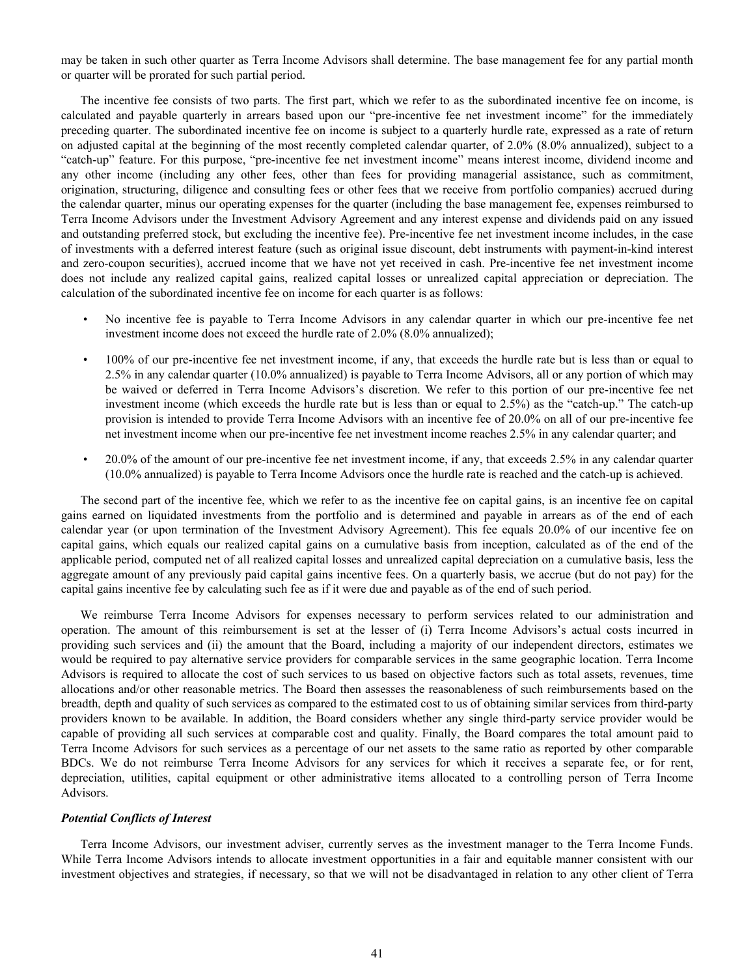may be taken in such other quarter as Terra Income Advisors shall determine. The base management fee for any partial month or quarter will be prorated for such partial period.

The incentive fee consists of two parts. The first part, which we refer to as the subordinated incentive fee on income, is calculated and payable quarterly in arrears based upon our "pre-incentive fee net investment income" for the immediately preceding quarter. The subordinated incentive fee on income is subject to a quarterly hurdle rate, expressed as a rate of return on adjusted capital at the beginning of the most recently completed calendar quarter, of 2.0% (8.0% annualized), subject to a "catch-up" feature. For this purpose, "pre-incentive fee net investment income" means interest income, dividend income and any other income (including any other fees, other than fees for providing managerial assistance, such as commitment, origination, structuring, diligence and consulting fees or other fees that we receive from portfolio companies) accrued during the calendar quarter, minus our operating expenses for the quarter (including the base management fee, expenses reimbursed to Terra Income Advisors under the Investment Advisory Agreement and any interest expense and dividends paid on any issued and outstanding preferred stock, but excluding the incentive fee). Pre-incentive fee net investment income includes, in the case of investments with a deferred interest feature (such as original issue discount, debt instruments with payment-in-kind interest and zero-coupon securities), accrued income that we have not yet received in cash. Pre-incentive fee net investment income does not include any realized capital gains, realized capital losses or unrealized capital appreciation or depreciation. The calculation of the subordinated incentive fee on income for each quarter is as follows:

- No incentive fee is payable to Terra Income Advisors in any calendar quarter in which our pre-incentive fee net investment income does not exceed the hurdle rate of 2.0% (8.0% annualized);
- 100% of our pre-incentive fee net investment income, if any, that exceeds the hurdle rate but is less than or equal to 2.5% in any calendar quarter (10.0% annualized) is payable to Terra Income Advisors, all or any portion of which may be waived or deferred in Terra Income Advisors's discretion. We refer to this portion of our pre-incentive fee net investment income (which exceeds the hurdle rate but is less than or equal to 2.5%) as the "catch-up." The catch-up provision is intended to provide Terra Income Advisors with an incentive fee of 20.0% on all of our pre-incentive fee net investment income when our pre-incentive fee net investment income reaches 2.5% in any calendar quarter; and
- 20.0% of the amount of our pre-incentive fee net investment income, if any, that exceeds 2.5% in any calendar quarter (10.0% annualized) is payable to Terra Income Advisors once the hurdle rate is reached and the catch-up is achieved.

The second part of the incentive fee, which we refer to as the incentive fee on capital gains, is an incentive fee on capital gains earned on liquidated investments from the portfolio and is determined and payable in arrears as of the end of each calendar year (or upon termination of the Investment Advisory Agreement). This fee equals 20.0% of our incentive fee on capital gains, which equals our realized capital gains on a cumulative basis from inception, calculated as of the end of the applicable period, computed net of all realized capital losses and unrealized capital depreciation on a cumulative basis, less the aggregate amount of any previously paid capital gains incentive fees. On a quarterly basis, we accrue (but do not pay) for the capital gains incentive fee by calculating such fee as if it were due and payable as of the end of such period.

We reimburse Terra Income Advisors for expenses necessary to perform services related to our administration and operation. The amount of this reimbursement is set at the lesser of (i) Terra Income Advisors's actual costs incurred in providing such services and (ii) the amount that the Board, including a majority of our independent directors, estimates we would be required to pay alternative service providers for comparable services in the same geographic location. Terra Income Advisors is required to allocate the cost of such services to us based on objective factors such as total assets, revenues, time allocations and/or other reasonable metrics. The Board then assesses the reasonableness of such reimbursements based on the breadth, depth and quality of such services as compared to the estimated cost to us of obtaining similar services from third-party providers known to be available. In addition, the Board considers whether any single third-party service provider would be capable of providing all such services at comparable cost and quality. Finally, the Board compares the total amount paid to Terra Income Advisors for such services as a percentage of our net assets to the same ratio as reported by other comparable BDCs. We do not reimburse Terra Income Advisors for any services for which it receives a separate fee, or for rent, depreciation, utilities, capital equipment or other administrative items allocated to a controlling person of Terra Income Advisors.

#### *Potential Conflicts of Interest*

Terra Income Advisors, our investment adviser, currently serves as the investment manager to the Terra Income Funds. While Terra Income Advisors intends to allocate investment opportunities in a fair and equitable manner consistent with our investment objectives and strategies, if necessary, so that we will not be disadvantaged in relation to any other client of Terra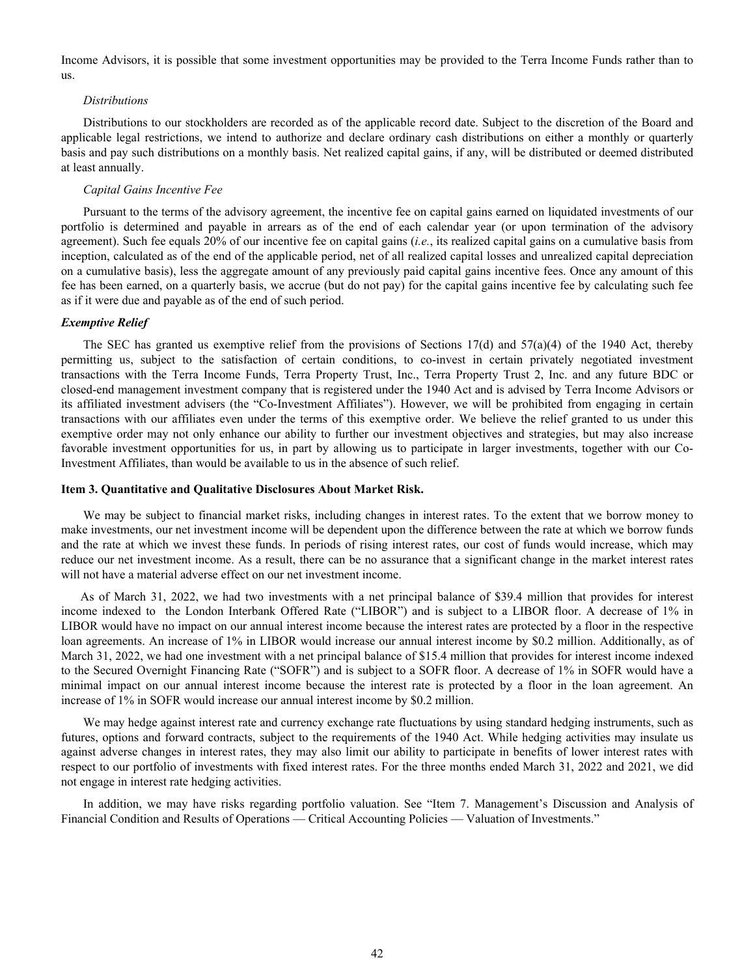<span id="page-42-0"></span>Income Advisors, it is possible that some investment opportunities may be provided to the Terra Income Funds rather than to us.

#### *Distributions*

 Distributions to our stockholders are recorded as of the applicable record date. Subject to the discretion of the Board and applicable legal restrictions, we intend to authorize and declare ordinary cash distributions on either a monthly or quarterly basis and pay such distributions on a monthly basis. Net realized capital gains, if any, will be distributed or deemed distributed at least annually.

#### *Capital Gains Incentive Fee*

 Pursuant to the terms of the advisory agreement, the incentive fee on capital gains earned on liquidated investments of our portfolio is determined and payable in arrears as of the end of each calendar year (or upon termination of the advisory agreement). Such fee equals 20% of our incentive fee on capital gains (*i.e.*, its realized capital gains on a cumulative basis from inception, calculated as of the end of the applicable period, net of all realized capital losses and unrealized capital depreciation on a cumulative basis), less the aggregate amount of any previously paid capital gains incentive fees. Once any amount of this fee has been earned, on a quarterly basis, we accrue (but do not pay) for the capital gains incentive fee by calculating such fee as if it were due and payable as of the end of such period.

#### *Exemptive Relief*

The SEC has granted us exemptive relief from the provisions of Sections  $17(d)$  and  $57(a)(4)$  of the 1940 Act, thereby permitting us, subject to the satisfaction of certain conditions, to co-invest in certain privately negotiated investment transactions with the Terra Income Funds, Terra Property Trust, Inc., Terra Property Trust 2, Inc. and any future BDC or closed-end management investment company that is registered under the 1940 Act and is advised by Terra Income Advisors or its affiliated investment advisers (the "Co-Investment Affiliates"). However, we will be prohibited from engaging in certain transactions with our affiliates even under the terms of this exemptive order. We believe the relief granted to us under this exemptive order may not only enhance our ability to further our investment objectives and strategies, but may also increase favorable investment opportunities for us, in part by allowing us to participate in larger investments, together with our Co-Investment Affiliates, than would be available to us in the absence of such relief.

#### **Item 3. Quantitative and Qualitative Disclosures About Market Risk.**

We may be subject to financial market risks, including changes in interest rates. To the extent that we borrow money to make investments, our net investment income will be dependent upon the difference between the rate at which we borrow funds and the rate at which we invest these funds. In periods of rising interest rates, our cost of funds would increase, which may reduce our net investment income. As a result, there can be no assurance that a significant change in the market interest rates will not have a material adverse effect on our net investment income.

As of March 31, 2022, we had two investments with a net principal balance of \$39.4 million that provides for interest income indexed to the London Interbank Offered Rate ("LIBOR") and is subject to a LIBOR floor. A decrease of 1% in LIBOR would have no impact on our annual interest income because the interest rates are protected by a floor in the respective loan agreements. An increase of 1% in LIBOR would increase our annual interest income by \$0.2 million. Additionally, as of March 31, 2022, we had one investment with a net principal balance of \$15.4 million that provides for interest income indexed to the Secured Overnight Financing Rate ("SOFR") and is subject to a SOFR floor. A decrease of 1% in SOFR would have a minimal impact on our annual interest income because the interest rate is protected by a floor in the loan agreement. An increase of 1% in SOFR would increase our annual interest income by \$0.2 million.

We may hedge against interest rate and currency exchange rate fluctuations by using standard hedging instruments, such as futures, options and forward contracts, subject to the requirements of the 1940 Act. While hedging activities may insulate us against adverse changes in interest rates, they may also limit our ability to participate in benefits of lower interest rates with respect to our portfolio of investments with fixed interest rates. For the three months ended March 31, 2022 and 2021, we did not engage in interest rate hedging activities.

In addition, we may have risks regarding portfolio valuation. See "Item 7. Management's Discussion and Analysis of Financial Condition and Results of Operations — Critical Accounting Policies — Valuation of Investments."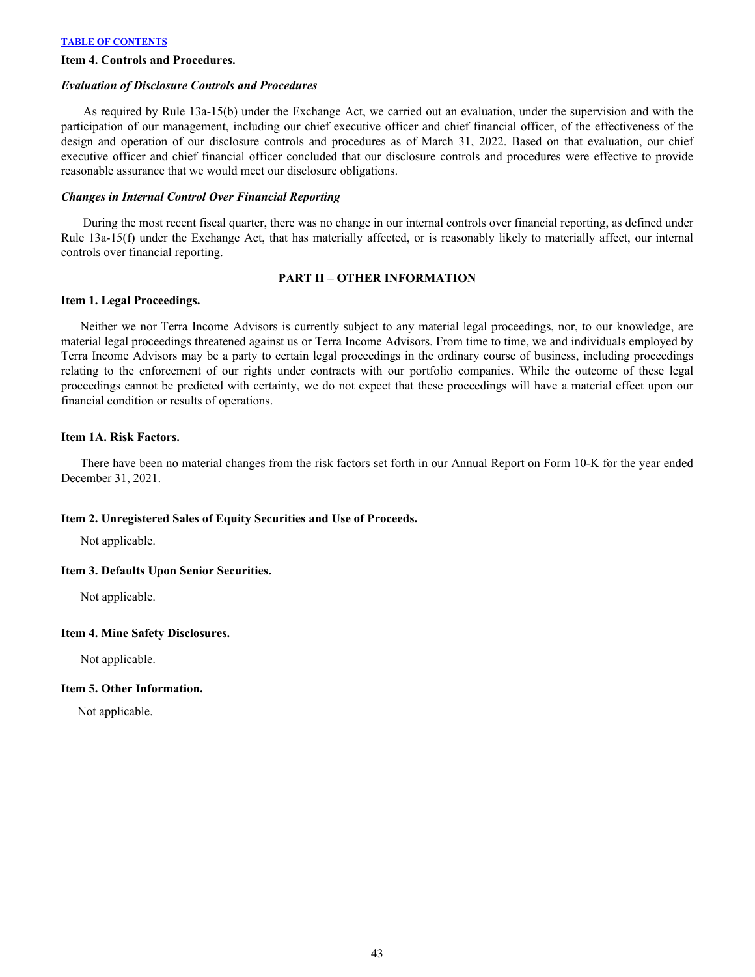#### <span id="page-43-0"></span>**Item 4. Controls and Procedures.**

#### *Evaluation of Disclosure Controls and Procedures*

 As required by Rule 13a-15(b) under the Exchange Act, we carried out an evaluation, under the supervision and with the participation of our management, including our chief executive officer and chief financial officer, of the effectiveness of the design and operation of our disclosure controls and procedures as of March 31, 2022. Based on that evaluation, our chief executive officer and chief financial officer concluded that our disclosure controls and procedures were effective to provide reasonable assurance that we would meet our disclosure obligations.

## *Changes in Internal Control Over Financial Reporting*

 During the most recent fiscal quarter, there was no change in our internal controls over financial reporting, as defined under Rule 13a-15(f) under the Exchange Act, that has materially affected, or is reasonably likely to materially affect, our internal controls over financial reporting.

## **PART II – OTHER INFORMATION**

### **Item 1. Legal Proceedings.**

Neither we nor Terra Income Advisors is currently subject to any material legal proceedings, nor, to our knowledge, are material legal proceedings threatened against us or Terra Income Advisors. From time to time, we and individuals employed by Terra Income Advisors may be a party to certain legal proceedings in the ordinary course of business, including proceedings relating to the enforcement of our rights under contracts with our portfolio companies. While the outcome of these legal proceedings cannot be predicted with certainty, we do not expect that these proceedings will have a material effect upon our financial condition or results of operations.

### **Item 1A. Risk Factors.**

There have been no material changes from the risk factors set forth in our Annual Report on Form 10-K for the year ended December 31, 2021.

### **Item 2. Unregistered Sales of Equity Securities and Use of Proceeds.**

Not applicable.

### **Item 3. Defaults Upon Senior Securities.**

Not applicable.

## **Item 4. Mine Safety Disclosures.**

Not applicable.

## **Item 5. Other Information.**

Not applicable.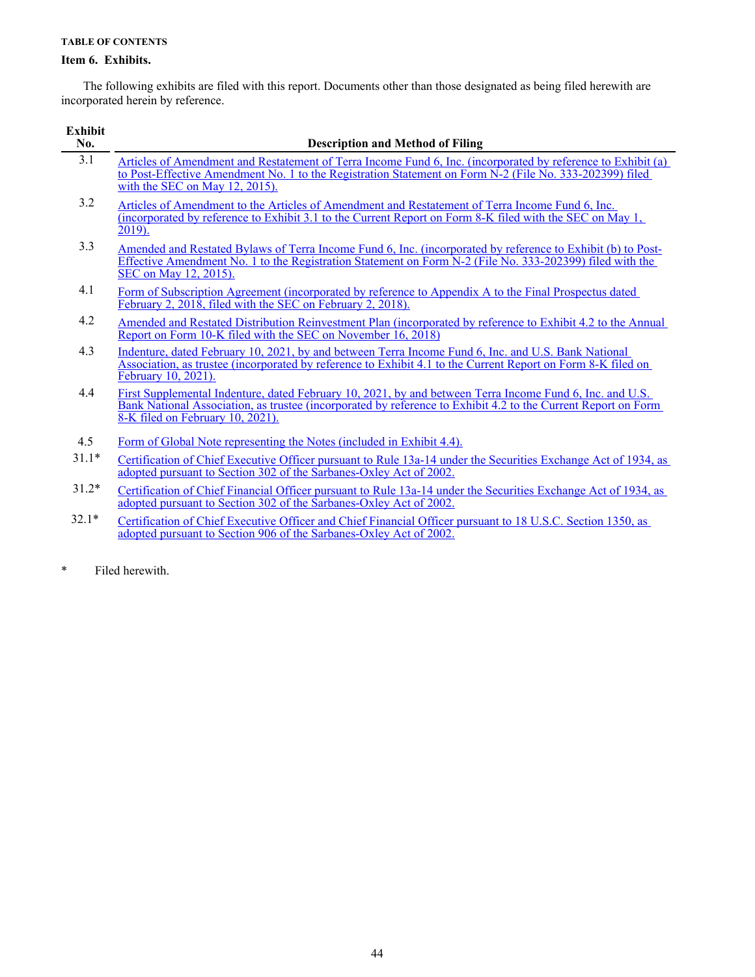## <span id="page-44-0"></span>**Item 6. Exhibits.**

 The following exhibits are filed with this report. Documents other than those designated as being filed herewith are incorporated herein by reference.

| <b>Exhibit</b><br>No. | <b>Description and Method of Filing</b>                                                                                                                                                                                                                         |
|-----------------------|-----------------------------------------------------------------------------------------------------------------------------------------------------------------------------------------------------------------------------------------------------------------|
| 3.1                   | Articles of Amendment and Restatement of Terra Income Fund 6, Inc. (incorporated by reference to Exhibit (a)<br>to Post-Effective Amendment No. 1 to the Registration Statement on Form N-2 (File No. 333-202399) filed<br>with the SEC on May $12$ , $2015$ ). |
| 3.2                   | Articles of Amendment to the Articles of Amendment and Restatement of Terra Income Fund 6, Inc.<br>(incorporated by reference to Exhibit 3.1 to the Current Report on Form 8-K filed with the SEC on May 1,<br>$2019$ ).                                        |
| 3.3                   | Amended and Restated Bylaws of Terra Income Fund 6, Inc. (incorporated by reference to Exhibit (b) to Post-<br>Effective Amendment No. 1 to the Registration Statement on Form N-2 (File No. 333-202399) filed with the<br>SEC on May 12, 2015).                |
| 4.1                   | Form of Subscription Agreement (incorporated by reference to Appendix A to the Final Prospectus dated<br>February 2, 2018, filed with the SEC on February 2, 2018).                                                                                             |
| 4.2                   | Amended and Restated Distribution Reinvestment Plan (incorporated by reference to Exhibit 4.2 to the Annual<br>Report on Form 10-K filed with the SEC on November $16, 2018$ )                                                                                  |
| 4.3                   | Indenture, dated February 10, 2021, by and between Terra Income Fund 6, Inc. and U.S. Bank National<br>Association, as trustee (incorporated by reference to Exhibit 4.1 to the Current Report on Form 8-K filed on<br>February 10, 2021).                      |
| 4.4                   | First Supplemental Indenture, dated February 10, 2021, by and between Terra Income Fund 6, Inc. and U.S.<br>Bank National Association, as trustee (incorporated by reference to Exhibit 4.2 to the Current Report on Form<br>8-K filed on February 10, 2021).   |
| 4.5                   | Form of Global Note representing the Notes (included in Exhibit 4.4).                                                                                                                                                                                           |
| $31.1*$               | Certification of Chief Executive Officer pursuant to Rule 13a-14 under the Securities Exchange Act of 1934, as<br>adopted pursuant to Section 302 of the Sarbanes-Oxley Act of 2002.                                                                            |
| $31.2*$               | Certification of Chief Financial Officer pursuant to Rule 13a-14 under the Securities Exchange Act of 1934, as<br>adopted pursuant to Section 302 of the Sarbanes-Oxley Act of 2002.                                                                            |
| $321*$                | $Covification of Chief Exconting Offloor and Chief Eimonsal Offloor number 10 IIC C. Section 1250, see$                                                                                                                                                         |

32.1\* Certification of Chief Executive Officer and Chief Financial Officer pursuant to 18 U.S.C. Section 1350, as [adopted pursuant to Section 906 of the Sarbanes-Oxley Act of 2002.](a33122exhibit32.htm)

\* Filed herewith.